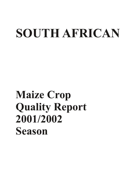# **SOUTH AFRICAN**

# **Maize Crop Quality Report 2001/2002 Season**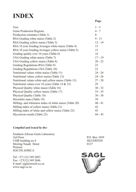# **INDEX**

|                                                        | Page      |
|--------------------------------------------------------|-----------|
| Text                                                   | $1 - 3$   |
| <b>Grain Production Regions</b>                        | $4 - 7$   |
| Production estimates (Table 1)                         | 8         |
| RSA Grading white maize (Table 2)                      | $9 - 11$  |
| RSA Grading yellow maize (Table 3)                     | $12 - 14$ |
| RSA 10 year Grading Averages white maize (Table 4)     | 15        |
| RSA 10 year Grading Averages yellow maize (Table 5)    | 15        |
| Grading quality over 10 years (Table 6)                | 16        |
| USA Grading white maize (Table 7)                      | $17 - 19$ |
| USA Grading yellow maize (Table 8)                     | $20 - 22$ |
| Grading Regulations RSA (Table 9)                      | 23        |
| Grading Regulations USA (Table 10)                     | 23        |
| Nutritional values white maize (Table 11)              | $24 - 26$ |
| Nutritional values yellow maize (Table 12)             | $24 - 26$ |
| Nutritional values white and yellow maize (Table 13)   | $27 - 28$ |
| Nutritional values over 10 years (Table 14 $&$ 15)     | 29        |
| Physical Quality white maize (Table 16)                | $30 - 32$ |
| Physical Quality yellow maize (Table 17)               | $33 - 35$ |
| Physical Quality (Table 18)                            | $36 - 38$ |
| Hectolitre mass (Table 19)                             | 39        |
| Milling- and whiteness index of white maize (Table 20) | $40 - 41$ |
| Milling index of yellow maize (Table 21)               | 42        |
| Milling index of white and yellow maize (Table 22)     | 43        |
| Mycotoxin results (Table 23)                           | $44 - 45$ |

## *Compiled and issued by the:*

Southern African Grain Laboratory<br>3rd Floor CSIR building no.4 SILVERTON<br>Meiring Naudé Street 0127 Meiring Naudé Street Pretoria SOUTH AFRICA

Tel: +27 (12) 349 2683 Fax:  $+27(12)$  349 2686 E-mail: sagl@mweb.co.za www.sagl.co.za

P.O. Box 1059

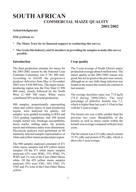# **SOUTH AFRICAN COMMERCIAL MAIZE QUALITY 2001/2002**

#### **Acknowledgments**

#### *With gratitude to:*

- **\* The Maize Trust for its financial support in conducting this survey.**
- **\* The Grain Silo Industry and its members in providing the samples to make this survey possible.**

#### **Introduction**

The final production estimate for maize for the 2001/2002 season by the National Crop Estimates Committee was 8 781 480 tons. According to SAGIS the progressive producer deliveries from May to November 2002 were 8 436 900 tons. The major maizeproducing region was the Free State (2 896 000 tons), closely followed by the North West (2 609 500 tons). White maize contributed 58% to the total production.

900 samples, proportionally representing white and yellow maize of each production region, were analysed for quality. All samples were graded according to RSA and USA grading regulations, and 100 kernel weight, kernel size, breakage susceptibility, stress cracks, milling index, fat, protein, starch and whiteness index were determined. Mycotoxin analyses were performed on 90 randomly selected samples representative of white and yellow maize produced per region.

The 900 samples analysed consisted of 471 white maize samples and 429 yellow maize samples. Of the 471 white maize samples analysed, 63% were WM1, 33% WM2, 3% WM3 and 1% was of the Class Other Maize white. Of the 429 yellow maize samples analysed, 59% were YM1, 36% YM2, 2% YM3 and 3% were of the Class Other Maize yellow.

## **Crop quality**

The 5-year average of South Africa's maize production average about 8 million tons. The maize quality of the 2001/2002 season was good, but not as good as the previous season, although no or very little fungi infection was found on the maize this season (in contrast to last season).

The average hectolitre mass was 77.0 kg/hl (78.0 during 2000/2001). The total percentage of defective kernels was 7.2, which is higher than last year's 5.8 but in line with the 5-year average.

The kernel size was a little smaller than the previous two years. Breakability of the kernels as well as stress cracks within the kernels was average compared with previous years.

The fat content was 4.2% (db), starch content  $75.5\%$  (db) and protein  $8.9\%$  (db), which is above the 5-year average.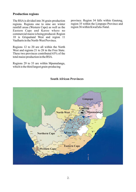## **Production regions**

The RSA is divided into 36 grain-production regions. Regions one to nine are winter rainfall areas (Western Cape) as well as the Eastern Cape and Karoo where no commercial maize is being produced. Region 10 is Griqualand West and region 11 Vaalharts in the North-West Province.

Regions 12 to 20 are all within the North West and regions 21 to 28 in the Free State. These two provinces contributed 63% of the total maize production in the RSA.

Regions 29 to 33 are within Mpumalanga, which is the third largest grain-producing

province. Region 34 falls within Gauteng, region 35 within the Limpopo Province and region 36 within KwaZulu-Natal.

## **South African Provinces**

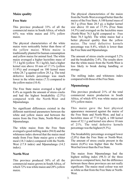## **Maize quality**

## **Free State**

This province produced 33% of all the commercial maize in South Africa, of which 65% was white maize and 35% yellow maize.

The physical characteristics of the white maize were noticeably better than those of the yellow maize. White maize is traditionally planted for human consumption and yellow maize for animal feed. The white maize averaged a higher hectolitre mass of 77.1 kg/hl (yellow 76.1 kg/hl), had a higher kernel size above 10 mm of 17.1% (yellow 11.9%) and averaged on 100 kernel mass white 28.7 g against yellow 28.3 g. The total defective kernels percentage was much lower in the white maize (7.5) compared to the yellow maize (10.4).

The Free State maize averaged a high of 8.4% as regards the amount of stress cracks and had the highest breakability (2.5%) compared with the North-West and Mpumalanga.

No significant differences existed in the different nutritional parameters between the white and yellow maize and between the maize from the Free State, North-West and Mpumalanga.

The white maize from the Free State averaged a good milling index (94.0) and the whiteness index showed that the maize meal made from Free State maize gave a whiter meal (18.3 index) compared with the North-West (17.8 index) and Mpumalanga (14.2 index).

## **North-West**

This province produced 30% of all the commercial maize grown in South Africa, of which 72% was white maize and 28% yellow maize.

The physical characteristics of the maize from the North-West averaged better than the maize of the Free State. A 100 kernel mass of 30.7 g (Free State 28.5 g), a higher kernel size above 10 mm of 17.5% (Free State 14.5%) and averaged on the hectolitre mass (North-West 76.5 kg/hl compared to Free State 76.5 kg/hl). The white maize had a better physical quality than the yellow maize. The total defective kernels percentage was 8.4%, which is lower than the Free State and Mpumalanga.

The amount of stress cracks averaged 5.2% and the breakability 2.4%. The results show that the white maize from the North-West is less likely to break during handling or storage.

The milling index and whiteness index compared with those of the Free State.

## **Mpumalanga**

This province produced 21% of the total commercial maize production in South Africa, of which 45% was white maize and 55% yellow maize.

This maize gave the best physical appearance measured against the maize of the Free State and North-West, and had a hectolitre mass of 77.8 kg/hl, a 100 kernel mass of 32.1 g and kernel size above 10 mm of 21%. The total defective kernels percentage was the highest (9.3%).

The breakability percentage averaged lower (2,0%) than the Free State or North-West. The amount of stress cracks present in the maize (6,8%) was higher than the North-West but lower than the Free State.

The maize from Mpumalanga had the highest milling index (98.3) of the three provinces compared here, but the difference between these three provinces are not really significant. The maize meal colour was not as white as that from the Free State or North-West.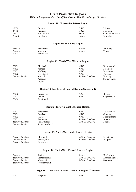## **Grain Production Regions**

*With each region is given the different Grain Handlers with specific silos.*

#### **Region 10: Griekwaland-West Region**

| GWK  | Douglas          | GWK    | Prieska            |
|------|------------------|--------|--------------------|
| GWK  | Rietrivier       | GWK    | Marydale           |
| GWK  | Modderrivier     | KOLK   | Oranjerivierstasie |
| KOLK | <b>Britstown</b> | Oranje | Upington           |

#### **Region 11: Vaalharts Region**

| <i>Senwes</i> | <b>Hartswater</b> | Senwes | Jan Kemp |
|---------------|-------------------|--------|----------|
| <i>Senwes</i> | Magogong          | Senwes | Taung    |
| GWK           | Barkly-Wes        |        |          |

#### **Region 12: North-West Western Region**

| <i>NWK</i>      | <b>Bloubank</b> | <i>NWK</i>      | Buhrmannsdrif  |
|-----------------|-----------------|-----------------|----------------|
| <i>NWK</i>      | Kameel          | <i>NWK</i>      | Madibogo       |
| <i>NWK</i>      | Mafikeng        | <i>NWK</i>      | Mareetsane     |
| <i>NWK</i>      | Piet Plessis    | <i>NWK</i>      | Vergeleë       |
| Suidwes Landbou | Kameel          | Suidwes Landbou | <b>Vryburg</b> |
|                 | Kraaipan        |                 | Springbokpan   |
|                 | Vryhof          |                 |                |

#### **Region 13: North-West Central Region (Sannieshof)**

| <b>NWK</b> | <b>Biesiesvlei</b> | <i>NWK</i> | <b>Bossies</b> |
|------------|--------------------|------------|----------------|
| <i>NWK</i> | Gerdau             | NWK        | Oppaslaagte    |
| <i>NWK</i> | Sannieshof         |            |                |

#### **Region 14: North-West Southern Region**

| <i>NWK</i>      | Barberspan       | <i>NWK</i>      | Delareyville |
|-----------------|------------------|-----------------|--------------|
| <b>NWK</b>      | Excelsior        | <i>NWK</i>      | Geysdorp     |
| <i>NWK</i>      | Migdol           | NWK             | Nooitgedacht |
| <i>NWK</i>      | Taaibospan       | Suidwes Landbou | Amalia       |
| Suidwes Landbou | Hallat's Hope    | Suidwes Landbou | Migdol       |
| Suidwes Landbou | Schweizer-Reneke |                 |              |

#### **Region 15: North-West South Eastern Region**

| Suidwes Landbou | <b>Bloemhof</b> | Suidwes Landbou | Christiana |
|-----------------|-----------------|-----------------|------------|
| Suidwes Landbou | Hertzogville    | Suidwes Landbou | Hoopstad   |
| Suidwes Landbou | Kingswood       |                 |            |

#### **Region 16: North-West Central Eastern Region**

| Senwes          | Regina        | <i>Senwes</i>   | Klerksdorp     |
|-----------------|---------------|-----------------|----------------|
| Suidwes Landbou | Bamboesspruit | Suidwes Landbou | Leeudoringstad |
| Suidwes Landbou | Makwassie     | Suidwes Landbou | Strydpoort     |
| Suidwes Landbou | Wolmaranstad  |                 |                |
|                 |               |                 |                |

#### **Region17: North-West Central Northern Region (Ottosdal)**

| <i>NWK</i> | <b>Bospoort</b> | NWK | Kleinharts |
|------------|-----------------|-----|------------|
|            |                 |     |            |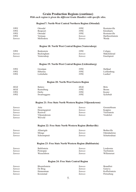#### **Grain Production Regions (continue)**  *With each region is given the different Grain Handlers with specific silos.*

#### **Region17: North-West Central Northern Region (Ottosdal)**

| <b>NWK</b>    | Ottosdal        | <i>NWK</i>    | Rostrataville   |
|---------------|-----------------|---------------|-----------------|
| <i>NWK</i>    | <b>Bospoort</b> | <i>NWK</i>    | Kleinharts      |
| <i>NWK</i>    | Ottosdal        | <i>NWK</i>    | Rostrataville   |
| <i>NWK</i>    | Vermaas         | <i>Senwes</i> | Hartbeesfontein |
| <b>Senwes</b> | Melliodora      | <i>Senwes</i> | Werda           |

#### **Region 18: North West Central Region (Ventersdorp)**

| <i>NWK</i>    | <b>Bodenstein</b> | <i>NWK</i>    | Coligny     |
|---------------|-------------------|---------------|-------------|
| <b>Senwes</b> | Buckingham        | <i>Senwes</i> | Makokskraal |
| <i>Senwes</i> | Ventersdorp       | Senwes        | Enselspruit |

#### **Region 19: North-West Central Region (Lichtenburg)**

| <i>NWK</i> | Grootpan    | <i>NWK</i> | Halfpad     |
|------------|-------------|------------|-------------|
| <i>NWK</i> | Hibernia    | <i>NWK</i> | Lichtenburg |
| <i>NWK</i> | Lottiehalte | NWK        | Lusthof     |

#### **Region 20: North-West Eastern Region**

| <b>MGK</b> | Battery      | MGK        | <b>Brits</b> |
|------------|--------------|------------|--------------|
| <b>MGK</b> | Rustenburg   | NWK        | <b>Boons</b> |
| <i>NWK</i> | Derby        | <i>NWK</i> | Koster       |
| <i>NWK</i> | Swartruggens | <i>NWK</i> | Syferbult    |

#### **Region 21: Free State North Western Region (Viljoenskroon)**

| <i>Senwes</i> | Attie         | <i>Senwes</i> | Groenebloem |
|---------------|---------------|---------------|-------------|
| <i>Senwes</i> | Heuningspruit | <i>Senwes</i> | Koppies     |
| <i>Senwes</i> | Rooiwal       | <i>Senwes</i> | Vierfontein |
| <i>Senwes</i> | Viljoenskroon | <i>Senwes</i> | Vredefort   |
| <i>Senwes</i> | Weiveld       |               |             |

#### **Region 22: Free State North Western Region (Bothaville)**

| <i>Senwes</i> | Allanrigde   | <i>Senwes</i> | <b>Bothaville</b> |
|---------------|--------------|---------------|-------------------|
| <i>Senwes</i> | Mirage       | Senwes        | Odendaalsrus      |
| <i>Senwes</i> | Schoonspruit | Senwes        | Schuttesdraai     |

#### **Region 23: Free State North Western Region (Bultfontein)**

| <i>Senwes</i> | <b>Bultfontein</b> | <i>Senwes</i> | Losdoorns   |
|---------------|--------------------|---------------|-------------|
| <i>Senwes</i> | Protespan          | <i>Senwes</i> | Tierfontein |
| <i>Senwes</i> | Wesselsbron        | <i>Senwes</i> | Willemsrust |

#### **Region 24: Free State Central Region**

| <i>Senwes</i> | <b>Bloemfontein</b> | Senwes | <b>Brandfort</b> |
|---------------|---------------------|--------|------------------|
| <i>Senwes</i> | De Brug             | Senwes | Geneva           |
| <i>Senwes</i> | Hennenman           | Senwes | Koffiefontein    |
| <i>Senwes</i> | Kroonstad           | Senwes | Petrusburg       |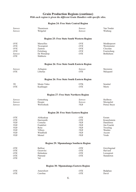## **Grain Production Regions (continue)**

*With each region is given the different Grain Handlers with specific silos.* 

#### **Region 24: Free State Central Region**

| <b>Senwes</b><br><b>Senwes</b>                          | Theunissen<br>Welgeleë                                                       | <b>Senwes</b><br><b>Senwes</b>                    | Van Tonder<br>Winburg                                              |
|---------------------------------------------------------|------------------------------------------------------------------------------|---------------------------------------------------|--------------------------------------------------------------------|
|                                                         |                                                                              | <b>Region 25: Free State South Western Region</b> |                                                                    |
| OVK<br>OVK<br>OVK<br>OVK<br><b>Senwes</b><br><b>OTK</b> | Marseilles<br>Tweespruit<br>Zastron<br>Ficksburg<br>De Wetsdorp<br>Slabberts | OVK<br>OVK<br>OVK<br>OVK<br><b>OTK</b>            | Modderpoort<br>Westminster<br>Clocolan<br>Fouriesburg<br>Bethlehem |
|                                                         |                                                                              | <b>Region 26: Free State South Eastern Region</b> |                                                                    |
| <b>Senwes</b><br><b>OTK</b>                             | Arlington<br>Libertas                                                        | <b>Senwes</b><br><b>OTK</b>                       | Steynsrus<br>Marquard                                              |
|                                                         |                                                                              | <b>Region 26: Free State South Eastern Region</b> |                                                                    |
| TK<br><b>OTK</b>                                        | Monte Video<br>Kaallaagte                                                    | <b>OTK</b><br><b>OTK</b>                          | Senekal<br>Meets                                                   |
|                                                         |                                                                              | <b>Region 27: Free State Northern Region</b>      |                                                                    |
| <i>Senwes</i>                                           | Gottenburg                                                                   | <b>Senwes</b>                                     | Heilbron                                                           |
| <b>Senwes</b><br><b>Senwes</b>                          | Hoogte<br>Wolwehoek                                                          | <b>Senwes</b><br><b>VKB</b>                       | Mooigeleë<br>Petrus Steyn                                          |
|                                                         |                                                                              | <b>Region 28: Free State Eastern Region</b>       |                                                                    |
| <b>OTK</b>                                              | Afrikaskop                                                                   | <b>OTK</b>                                        | Eeram                                                              |
| <b>OTK</b>                                              | Harrismith                                                                   | <b>OTK</b>                                        | Kransfontein                                                       |
| <b>VKB</b>                                              | Cornelia                                                                     | <i>VKB</i>                                        | Daniëlsrus                                                         |
| <i>VKB</i>                                              | Frankfort                                                                    | <b>VKB</b>                                        | Jim Fouché                                                         |
| <b>VKB</b>                                              | Reitz                                                                        | <b>VKB</b>                                        | Tweeling                                                           |
| VKB                                                     | Villiers                                                                     | <b>VKB</b>                                        | Warden                                                             |
| <b>VKB</b><br><b>VKB</b>                                | Windfield<br>Memel                                                           | <b>VKB</b><br><b>VKB</b>                          | Ascent<br>Vrede                                                    |
|                                                         |                                                                              | Region 29: Mpumalanga Southern Region             |                                                                    |
| <b>OTK</b>                                              | Balfour                                                                      | <b>OTK</b>                                        | Greylingstad                                                       |
| $\mathit{OTK}$                                          | Grootvlei                                                                    | <b>OTK</b>                                        | Harvard                                                            |
| <b>OTK</b>                                              | Holmdene                                                                     | <b>OTK</b>                                        | Leeuspruit                                                         |
| <b>OTK</b>                                              | Platrand                                                                     | <b>OTK</b>                                        | Standerton                                                         |
| <b>OTK</b>                                              | Val                                                                          |                                                   |                                                                    |
|                                                         |                                                                              | Region 30: Mpumalanga Eastern Region              |                                                                    |
| <b>OTK</b>                                              | Amersfoort                                                                   | <b>OTK</b>                                        | <b>Badplaas</b>                                                    |
| OTK                                                     | Carolina                                                                     | OTK                                               | Davel                                                              |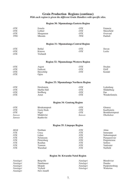## **Grain Production Regions (continue)**

*With each region is given the different Grain Handlers with specific silos.* 

#### **Region 30: Mpumalanga Eastern Region**

| OTK | Ermelo    | OTK | Estancia   |
|-----|-----------|-----|------------|
| OTK | Lothair   | OTK | Maizefield |
| OTK | Morgenzon | OTK | Overvaal   |
| TWK | Mkondo    | TWK | Panbult    |

#### **Region 31: Mpumalanga Central Region**

| OTK | Bethal    | OTK        | Devon  |
|-----|-----------|------------|--------|
| OTK | Kinross   | <i>OTK</i> | Leslie |
| OTK | Trichardt |            |        |

#### **Region 32: Mpumalanga Western Region**

| OTK | Argent    | OTK | Dryden |
|-----|-----------|-----|--------|
| OTK | Endicott  | OTK | Eloff  |
| OTK | Hawerklip | OTK | Kendal |
| OTK | Ogies     |     |        |

#### **Region 33: Mpumalanga Northern Region**

| OTK | Driefontein      | OTK | Lydenburg     |
|-----|------------------|-----|---------------|
| OTK | Marble Hall      | OTK | Middelburg    |
| OTK | <b>Stoffberg</b> | OTK | Pan           |
| OTK | Arnot            | OTK | Wonderfontein |

#### **Region 34: Gauteng Region**

| OTK           | <b>Blockomspruit</b> | OTK    | Glenroy                 |
|---------------|----------------------|--------|-------------------------|
| OTK           | Goeie Hoek           | OTK    | Kaalfontein             |
| OTK           | Nigel                | OTK    | <b>Bronkhorstspruit</b> |
| <b>Senwes</b> | Middelylei           | Senwes | Oberholzer              |
| <i>Senwes</i> | Raathsvlei           |        |                         |

#### **Region 35: Limpopo Region**

| MGK | Northam          | NTK        | Alma            |
|-----|------------------|------------|-----------------|
| NTK | Crecy            | NTK        | Immerpan        |
| NTK | Lehau            | NTK        | Naboomspruit    |
| NTK | <b>Nylstroom</b> | NTK        | Pienaarsrivier  |
| NTK | Pietersburg      | <b>NTK</b> | Potgietersrus   |
| NTK | Roedtan          | NTK        | <b>Settlers</b> |
| NTK | Tzaneen          | <b>NTK</b> | Vaalwater       |
| NTK | Warmbad          | <b>NTK</b> | Nutfield        |

#### **Region 36: Kwazulu-Natal Region**

| Natalagri | Bergyille  | <i>Natalagri</i> | <b>Bloedrivier</b> |
|-----------|------------|------------------|--------------------|
| Natalagri | Dannhauser | Natalagri        | Dundee             |
| Natalagri | Mizpah     | Natalagri        | Paulpietersburg    |
| Natalagri | Vryheid    | Natalagri        | Winterton          |
| Natalagri | New Amalfi |                  |                    |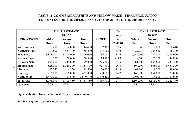## **TABLE 1: COMMERCIAL WHITE AND YELLOW MAIZE - FINAL PRODUCTION ESTIMATES FOR THE 2001/02 SEASON COMPARED TO THE 2000/01 SEASON**

|                      |             | <b>FINAL ESTIMATE</b><br>2001/02 |              |           | $\frac{6}{6}$<br>more |             | <b>FINAL ESTIMATE</b><br>2000/01 |              |
|----------------------|-------------|----------------------------------|--------------|-----------|-----------------------|-------------|----------------------------------|--------------|
| <b>PROVINCES</b>     | White       | <b>Yellow</b>                    | <b>Total</b> | SAGIS*    | than                  | White       | <b>Yellow</b>                    | <b>Total</b> |
|                      | <b>Tons</b> | <b>Tons</b>                      | <b>Tons</b>  |           | 2000/01               | <b>Tons</b> | <b>Tons</b>                      | <b>Tons</b>  |
| <b>Western Cape</b>  | 480         | 14,000                           | 14,480       | 2,300     | 67.6                  | 840         | 7,800                            | 8,640        |
| <b>Northern Cape</b> | 33,800      | 421,400                          | 455,200      | 407,600   | 43.0                  | 29,750      | 288,550                          | 318,300      |
| <b>Free State</b>    | 1,888,000   | 1,008,000                        | 2,896,000    | 2,715,000 | 11.6                  | 1,647,000   | 949,000                          | 2,596,000    |
| <b>Eastern Cape</b>  | 10,500      | 28,000                           | 38,500       | 18,800    | $-14.1$               | 19,600      | 25,200                           | 44,800       |
| Kwazulu-Natal        | 135,000     | 244,800                          | 379,800      | 276,700   | 53.6                  | 81,600      | 165,600                          | 247,200      |
| $\infty$ Mpumalanga  | 828,000     | 1,029,500                        | 1,857,500    | 1,925,300 | 26.6                  | 599,200     | 868,000                          | 1,467,200    |
| Limpopo              | 82,250      | 16,250                           | 98,500       | 130,200   | 11.9                  | 68,800      | 19,200                           | 88,000       |
| Gauteng              | 216,000     | 216,000                          | 432,000      | 500,600   | 34.2                  | 168,000     | 154,000                          | 322,000      |
| North-West           | 1,872,000   | 737,500                          | 2,609,500    | 2,460,400 | 22.3                  | 1,495,000   | 638,000                          | 2,133,000    |
| <b>Total RSA</b>     | 5,066,030   | 3,715,450                        | 8,781,480    | 8,436,900 | 21.5                  | 4,109,790   | 3,115,350                        | 7,225,140    |
| $%$ of crop          | 57,59       | 42,31                            |              |           |                       | 56.88       | 43.12                            |              |

**Figures obtained from the National Crop Estimates Committee**

**SAGIS\* progressive producer deliveries**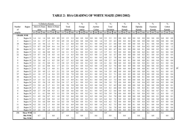# **TABLE 2: RSA GRADING OF WHITE MAIZE (2001/2002)**

|         |                   |      |              | % Defective Kernels |         |              |         |     | $\frac{0}{0}$  |     |      | $\frac{0}{0}$ |     |          | $\frac{0}{0}$ |      |     | $\frac{0}{0}$ |      |          | $\frac{0}{0}$  |     | $\frac{0}{0}$ |                |     |     | $\frac{0}{0}$ |     |         | $\frac{0}{0}$       |     |
|---------|-------------------|------|--------------|---------------------|---------|--------------|---------|-----|----------------|-----|------|---------------|-----|----------|---------------|------|-----|---------------|------|----------|----------------|-----|---------------|----------------|-----|-----|---------------|-----|---------|---------------------|-----|
| Number  | Region            |      | Above 6.35mm |                     |         | Below 6.35mm |         |     | Total          |     |      | Foreign       |     |          | Another       |      |     | Total         |      |          | Pinked         |     |               | Diplodia       |     |     | Fusarium      |     |         | Cobrot              |     |
| of      |                   |      | sieve        |                     |         | sieve        |         |     | defective      |     |      | matter        |     |          | Colour        |      |     | Deviation     |      |          | Kernels        |     |               | Kernels        |     |     | Kernels       |     |         | Kernels             |     |
| samples |                   | ave. | min.         | max.                | ave.    | min.         | max.    |     | ave. min. max. |     | ave. | min. max.     |     |          | ave. min.     | max. |     | ave. min.     | max. |          | ave. min. max. |     |               | ave. min. max. |     |     | ave. min.     |     |         | max. ave. min. max. |     |
|         | <b>GRADE: WM1</b> |      |              |                     |         |              |         |     |                |     |      |               |     |          |               |      |     |               |      |          |                |     |               |                |     |     |               |     |         |                     |     |
|         | Region 10         | 1.4  | 1.4          | 1.4                 | 0.9     | 0.9          | 0.9     | 2.3 | 2.3            | 2.3 | 0.0  | 0.0           | 0.0 | $0.0\,$  | 0.0           | 0.0  | 2.3 | 2.3           | 2.3  | 0.0      | 0.0            | 0.0 | 0.0           | 0.0            | 0.0 | 0.0 | 0.0           | 0.0 | $0.0\,$ | 0.0                 | 0.0 |
| 3       | Region 11         | 3.4  | 2.1          | 5.7                 | 1.5     | 0.7          | 2.2     | 4.9 | 3.8            | 6.3 | 0.0  | 0.0           | 0.0 | 0.6      | 0.0           | 1.6  | 5.5 | 3.9           | 6.3  | 0.0      | 0.0            | 0.0 | 0.0           | 0.0            | 0.0 | 0.0 | 0.0           | 0.0 | $0.0\,$ | 0.0                 | 0.0 |
| 18      | Region 12         | 2.9  | 1.4          | 4.6                 | 1.2     | 0.1          | 4.1     | 4.1 | 2.3            | 6.0 | 0.0  | 0.0           | 0.1 | 0.1      | 0.0           | 0.8  | 4.3 | 2.5           | 6.0  | 0.0      | 0.0            | 0.0 | 0.0           | 0.0            | 0.1 | 0.1 | 0.0           | 0.4 | 0.1     | 0.0                 | 0.4 |
| 7       | Region 13         | 2.5  | 0.7          | 5.9                 | 0.9     | 0.4          | 1.4     | 3.4 | 1.7            | 6.5 | 0.1  | 0.0           | 0.3 | 0.1      | 0.0           | 0.4  | 3.6 | 1.9           | 6.8  | 0.0      | 0.0            | 0.0 | 0.1           | 0.0            | 0.4 | 0.2 | 0.0           | 0.9 | 0.3     | 0.0                 | 1.2 |
| 26      | Region 14         | 3.1  | 0.9          | 6.1                 | 0.7     | 0.0          | 2.3     | 3.7 | 0.9            | 6.7 | 0.0  | 0.0           | 0.2 | 0.1      | 0.0           | 0.3  | 3.8 | 0.9           | 6.7  | 0.0      | 0.0            | 0.0 | 0.0           | 0.0            | 0.1 | 0.0 | 0.0           | 0.3 | 0.1     | 0.0                 | 0.3 |
| 21      | Region 15         | 2.6  | 1.2          | 4.6                 | 0.8     | 0.2          | 1.7     | 3.4 | 2.1            | 5.3 | 0.1  | 0.0           | 0.3 | 0.2      | 0.0           | 1.3  | 3.7 | 2.3           | 5.3  | 0.0      | 0.0            | 0.0 | 0.0           | 0.0            | 0.2 | 0.1 | 0.0           | 0.5 | 0.1     | 0.0                 | 0.8 |
| 22      | Region 16         | 3.5  | 0.7          | 5.4                 | 1.0     | 0.5          | 1.6     | 4.5 | 1.5            | 6.5 | 0.0  | 0.0           | 0.3 | 0.3      | 0.0           | 2.1  | 4.8 | 1.6           | 6.7  | 0.0      | 0.0            | 0.0 | 0.0           | 0.0            | 0.2 | 0.1 | 0.0           | 0.5 | 0.2     | 0.0                 | 0.5 |
| 9       | Region 17         | 3.5  | 1.6          | 5.4                 | 1.1     | 0.4          | 1.8     | 4.6 | 2.0            | 6.7 | 0.1  | 0.0           | 0.3 | $0.1\,$  | 0.0           | 0.3  | 4.8 | 2.3           | 7.0  | 0.0      | 0.0            | 0.0 | 0.1           | 0.0            | 0.2 | 0.2 | 0.0           | 0.4 | 0.2     | 0.0                 | 0.6 |
| 9       | Region 18         | 3.6  | 2.4          | 4.8                 |         | 0.5          | 2.8     | 4.7 | 3.7            | 6.2 | 0.0  | 0.0           | 0.0 | 0.3      | 0.0           | 0.9  | 5.0 | 3.7           | 6.3  | 0.0      | 0.0            | 0.1 | 0.0           | 0.0            | 0.0 | 0.1 | 0.0           | 0.4 | 0.1     | 0.0                 | 0.4 |
| 9       | Region 19         | 3.1  | 1.6          | 5.1                 | 0.8     | 0.1          | 1.3     | 3.8 | 2.5            | 5.3 | 0.0  | 0.0           | 0.1 | 0.2      | 0.0           | 1.0  | 4.1 | 2.6           | 5.8  | 0.0      | 0.0            | 0.0 | 0.0           | 0.0            | 0.4 | 0.1 | 0.0           | 0.3 | 0.1     | 0.0                 | 0.6 |
| 11      | Region 20         | 3.7  | 2.3          | 6.1                 | 0.8     | 0.4          | 1.7     | 4.5 | 3.1            | 6.9 | 0.1  | 0.0           | 0.2 | 0.2      | 0.0           | 1.0  | 4.8 | 3.2           | 7.0  | 0.0      | 0.0            | 0.5 | 0.0           | 0.0            | 0.2 | 0.0 | 0.0           | 0.2 | 0.1     | 0.0                 | 0.2 |
| 11      | Region 21         | 3.8  | 2.1          | 5.4                 | 1.3     | 0.0          | 3.1     | 5.1 | 2.9            | 6.9 | 0.0  | 0.0           | 0.1 | 0.1      | 0.0           | 0.4  | 5.2 | 2.9           | 7.2  | 0.0      | 0.0            | 0.0 | 0.0           | 0.0            | 0.0 | 0.1 | 0.0           | 0.7 | 0.1     | 0.0                 | 0.7 |
| 15      | Region 22         | 3.9  | 2.9          | 4.9                 | 1.3     | 0.3          | 2.1     | 5.2 | 3.9            | 6.8 | 0.0  | 0.0           | 0.3 | 0.1      | 0.0           | 0.6  | 5.4 | 3.9           | 6.8  | 0.0      | 0.0            | 0.0 | 0.0           | 0.0            | 0.0 | 0.1 | 0.0           | 0.3 | 0.1     | 0.0                 | 0.3 |
| 27      | Region 23         | 4.1  | 1.8          | 5.7                 | 1.4     | 0.4          | 2.5     | 5.5 | 3.0            | 7.0 | 0.0  | 0.0           | 0.2 | 0.1      | 0.0           | 0.5  | 5.6 | 3.3           | 7.1  | 0.0      | 0.0            | 0.2 | 0.0           | 0.0            | 0.3 | 0.0 | $_{0.0}$      | 0.4 | 0.1     | 0.0                 | 0.4 |
| 18      | Region 24         | 3.6  | 1.1          | 5.5                 | 1.2     | 0.4          | 2.3     | 4.8 | 2.3            | 6.7 | 0.0  | 0.0           | 0.3 | 0.1      | 0.0           | 0.3  | 4.9 | 2.5           | 6.7  | 0.0      | 0.0            | 0.0 | 0.0           | 0.0            | 0.1 | 0.0 | 0.0           | 0.4 | 0.0     | 0.0                 | 0.4 |
| 12      | Region 25         | 3.5  | 1.5          | 6.1                 | 1.2     | 0.0          | 3.1     | 4.6 | 1.5            | 6.9 | 0.1  | 0.0           | 0.3 | $_{0.1}$ | 0.0           | 0.4  | 4.8 | 1.5           | 7.3  | 0.0      | 0.0            | 0.0 | 0.0           | 0.0            | 0.1 | 0.4 | 0.0           | 3.4 | 0.4     | 0.0                 | 3.4 |
| 7       | Region 26         | 4.4  | 3.5          | 5.6                 | $1.0\,$ | 0.2          | 2.4     | 5.4 | 3.7            | 6.7 | 0.1  | 0.0           | 0.2 | 0.1      | 0.0           | 0.4  | 5.6 | 3.8           | 7.2  | $_{0.0}$ | 0.0            | 0.0 | 0.1           | 0.0            | 0.4 | 0.2 | 0.0           | 0.4 | 0.2     | 0.0                 | 0.8 |
| 5       | Region 27         | 3.1  | 2.0          | 4.1                 | 1.7     | 0.3          | 3.3     | 4.8 | 3.0            | 5.8 | 0.0  | 0.0           | 0.1 | 0.2      | 0.0           | 0.4  | 5.1 | 3.2           | 6.2  | $_{0.0}$ | 0.0            | 0.0 | 0.0           | 0.0            | 0.1 | 0.0 | 0.0           | 0.0 | $0.0\,$ | 0.0                 | 0.1 |
| 12      | Region 28         | 3.7  | 2.3          | 5.5                 | 1.5     | 0.0          | 2.8     | 5.2 | 4.2            | 6.2 | 0.0  | 0.0           | 0.2 | 0.2      | 0.0           | 0.4  | 5.5 | 4.3           | 6.6  | 0.0      | 0.0            | 0.0 | 0.1           | 0.0            | 0.3 | 0.1 | 0.0           | 0.4 | 0.2     | 0.0                 | 0.4 |
| 4       | Region 29         | 4.0  | 2.7          | 5.9                 | 0.8     | 0.3          | 1.1     | 4.8 | 3.0            | 6.6 | 0.0  | 0.0           | 0.1 | 0.1      | 0.0           | 0.5  | 4.9 | 3.2           | 6.6  | 0.0      | 0.0            | 0.0 | 0.1           | 0.1            | 0.2 | 0.2 | 0.0           | 0.7 | 0.3     | 0.1                 | 0.8 |
| 8       | Region 30         | 4.7  | 3.1          | 6.1                 | 0.8     | 0.5          | 1.3     | 5.5 | 3.9            | 6.8 | 0.1  | 0.0           | 0.2 | 0.1      | 0.0           | 0.2  | 5.6 | 3.9           | 7.0  | 0.0      | 0.0            | 0.0 | 0.1           | 0.0            | 0.4 | 0.2 | 0.0           | 1.2 | 0.3     | 0.0                 | 1.3 |
| 4       | Region 31         | 5.1  | 4.9          | 5.6                 | 0.7     | 0.3          | 1.0     | 5.8 | 5.2            | 6.6 | 0.0  | 0.0           | 0.1 | 0.2      | 0.0           | 0.4  | 6.1 | 5.4           | 7.0  | 0.0      | 0.0            | 0.0 | 0.0           | 0.0            | 0.0 | 0.0 | 0.0           | 0.1 | 0.0     | 0.0                 | 0.1 |
| 4       | Region 32         | 5.1  | 3.9          | 6.2                 | 0.8     | 0.4          | 1.4     | 5.9 | 4.3            | 6.8 | 0.0  | 0.0           | 0.2 | 0.2      | 0.0           | 0.5  | 6.2 | 4.4           | 7.2  | 0.0      | 0.0            | 0.0 | 0.0           | 0.0            | 0.2 | 0.0 | 0.0           | 0.0 | 0.0     | 0.0                 | 0.2 |
| 5       | Region 33         | 5.4  | 3.4          | 6.6                 | 0.9     | 0.4          | $\cdot$ | 6.2 | 3.8            | 7.0 | 0.0  | 0.0           | 0.1 | $_{0.1}$ | 0.0           | 0.4  | 6.4 | 4.2           | 7.2  | $_{0.0}$ | 0.0            | 0.0 | 0.1           | 0.0            | 0.4 | 0.2 | 0.0           | 0.7 | 0.3     | 0.0                 | 0.8 |
| 11      | Region 34         | 4.2  | 3.0          | 5.4                 | 1.7     | 0.4          | 3.0     | 5.9 | 4.1            | 6.9 | 0.0  | 0.0           | 0.2 | 0.3      | 0.0           | 1.6  | 6.3 | 4.2           | 7.5  | 0.0      | 0.0            | 0.0 | 0.1           | 0.0            | 0.2 | 0.1 | 0.0           | 0.4 | 0.1     | 0.0                 | 0.6 |
| 12      | Region 35         | 3.7  | 1.9          | 5.8                 | 1.3     | 0.2          | 2.9     | 5.0 | 2.6            | 6.9 | 0.0  | 0.0           | 0.1 | 0.1      | 0.0           | 0.3  | 5.1 | 2.6           | 7.0  | 0.0      | 0.0            | 0.0 | 0.0           | 0.0            | 0.0 | 0.1 | 0.0           | 0.4 | 0.1     | 0.0                 | 0.4 |
| 7       | Region 36         | 4.5  | 2.6          | 5.8                 | 1.6     | 1.0          | 2.4     | 6.2 | 4.8            | 6.9 | 0.0  | 0.0           | 0.2 | 0.1      | 0.0           | 0.4  | 6.3 | 4.8           | 7.3  | 0.0      | 0.0            | 0.0 | 0.0           | 0.0            | 0.2 | 0.1 | 0.0           | 0.3 | 0.1     | 0.0                 | 0.3 |
| 298     | Mean WM1          | 3.6  |              |                     | 1.1     |              |         | 4.7 |                |     | 0.0  |               |     | 0.2      |               |      | 4.9 |               |      | 0.0      |                |     | 0.0           |                |     | 0.1 |               |     | 0.1     |                     |     |
|         | Min WM1           |      | 0.7          |                     |         | 0.0          |         |     | 0.9            |     |      | 0.0           |     |          | 0.0           |      |     | 0.9           |      |          | 0.0            |     |               | 0.0            |     |     | 0.0           |     |         | 0.0                 |     |
|         | Max WM1           |      |              | 6.6                 |         |              | 4.1     |     |                | 7.0 |      |               | 0.3 |          |               | 2.1  |     |               | 7.5  |          |                | 0.5 |               |                | 0.4 |     |               | 3.4 |         |                     | 3.4 |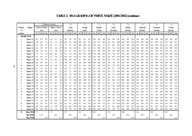# **TABLE 2: RSA GRADING OF WHITE MAIZE (2001/2002) (continue)**

|                |                  |      |              | %Defective Kernels |      |              |      |      | $\frac{0}{0}$ |      |         | $\frac{0}{0}$ |      |          | $\%$    |     |      | $\frac{0}{0}$ |      |         | $\frac{0}{0}$ |      |     | $\frac{0}{0}$ |      |      | $\frac{0}{0}$ |      |         | $\frac{0}{0}$ |      |
|----------------|------------------|------|--------------|--------------------|------|--------------|------|------|---------------|------|---------|---------------|------|----------|---------|-----|------|---------------|------|---------|---------------|------|-----|---------------|------|------|---------------|------|---------|---------------|------|
| Number         | Region           |      | Above 6.35mm |                    |      | Below 6.35mm |      |      | Total         |      |         | Foreign       |      |          | Another |     |      | Total         |      |         | Pinked        |      |     | Diplodia      |      |      | Fusarium      |      |         | Cobrot        |      |
| of             |                  |      | sieve        |                    |      | sieve        |      |      | defective     |      |         | matter        |      |          | Colour  |     |      | Deviation     |      |         | Kemels        |      |     | Kernels       |      |      | Kemels        |      |         | Kemels        |      |
| samples        |                  | ave. | min          | max.               | ave. | min.         | max. | ave. | min           | max. | ave.    | $\min$        | max. | ave min. |         | max | ave. | min.          | max. | ave.    | $\min$        | max. |     | ave. $\lim$   | max. | ave. | min.          | max. | ave.    | min.          | max. |
|                | <b>GRADE WMP</b> |      |              |                    |      |              |      |      |               |      |         |               |      |          |         |     |      |               |      |         |               |      |     |               |      |      |               |      |         |               |      |
|                | Region 10        | 8.3  | 8.3          | 8.3                | 1.2  | 1.2          | 1,2  | 9.5  | 9.5           | 9.5  | 0.1     | 0.1           | 0.1  | 0.0      | 0.0     | 0.0 | 9.6  | 9.6           | 9.6  | 0.0     | 0.0           | 0.0  | 0.0 | 0.0           | 0.0  | 0.0  | 0.0           | 0.0  | $0.0\,$ | 0.0           | 0.0  |
| 2              | Region 11        | 7.0  | 6.4          | 7.5                | 1.9  | 1.3          | 2.6  | 8.9  | 7.6           | 10.2 | $0.0\,$ | 0.0           | 0.1  | 0.4      | 0.3     | 0.6 | 9.4  | 8.3           | 10.4 | $0.0\,$ | 0.0           | 0.0  | 0.0 | 0.0           | 0.0  | 0.1  | 0.0           | 0.3  | 0.1     | 0.0           | 0.3  |
| $\overline{2}$ | Region 13        | 6.1  | 5.0          | 7.1                | 1.6  | 1.1          | 2.2  | 7.7  | 7.3           | 8.2  | $0.0\,$ | 0.0           | 0.1  | 0.9      | 0.8     | 1.1 | 8.7  | 8.4           | 9.0  | 0.0     | 0.0           | 0.0  | 0.1 | 0.0           | 0.2  | 0.6  | 0.4           | 0.8  | 0.7     | 0.5           | 0.8  |
| $\overline{2}$ | Region 14        | 6.1  | 2.9          | 9.3                | 3.2  | 1.8          | 4.7  | 9.3  | 7.6           | 11.0 | 0.1     | 0.0           | 0.1  | 0.1      | 0.0     | 0.3 | 9.5  | 7.6           | 11.4 | $0.0\,$ | 0.0           | 0.0  | 0.0 | $0.0\,$       | 0.0  | 0.2  | 0.0           | 0.4  | 0.2     | 0.0           | 0.4  |
| 3              | Region 16        | 4.9  | 2.8          | 8.1                | 1.4  | 1.0          | 2.0  | 6.3  | 4.1           | 10.1 | 0.3     | 0.1           | 0.4  | 0.3      | 0.0     | 0.5 | 6.9  | 5.0           | 10.5 | $0.0\,$ | 0.0           | 0.0  | 0.0 | 0.0           | 0.1  | 0.3  | 0.0           | 0.5  | 0.3     | 0.1           | 0.5  |
| $\overline{2}$ | Region 17        | 7.3  | 7.2          | 7.4                | 0.8  | 0.2          | 1.4  | 8.1  | 7.4           | 8.8  | 0.0     | 0.0           | 0.0  | 0.2      | 0.0     | 0.4 | 8.3  | 7.8           | 8.8  | $0.0\,$ | 0.0           | 0.0  | 0.0 | 0.0           | 0.0  | 0.0  | 0.0           | 0.0  | 0.0     | 0.0           | 0.0  |
| 7              | Region 18        | 8.1  | 6.8          | 9.7                | 1.2  | 1.0          | 1.5  | 9.4  | 8.3           | 11.0 | 0.1     | 0.0           | 0.4  | 0.2      | 0.0     | 0.3 | 9.6  | 8.5           | 11.0 | $0.0\,$ | 0.0           | 0.0  | 0.0 | 0.0           | 0.2  | 0.3  | 0.0           | 1.6  | 0.3     | 0.0           | 1.8  |
| 3              | Region 19        | 5.6  | 1.9          | 7.8                | 1.2  | 0.2          | 2.1  | 6.8  | 4.0           | 9.0  | 0.1     | 0.0           | 0.2  | 1.6      | 0.0     | 4.8 | 8.5  | 7.5           | 9.0  | $0.0\,$ | 0.0           | 0.0  | 0.2 | 0.0           | 0.3  | 1.4  | 0.0           | 4.2  | 1.5     | 0.0           | 4.3  |
|                | Region 20        | 6.2  | 6.2          | 6.2                | 1.7  | 1.7          | 1.7  | 7.8  | 7.8           | 7.8  | 0.0     | 0.0           | 0.0  | 0.0      | 0.0     | 0.0 | 7.8  | 7.8           | 7.8  | $0.0\,$ | 0.0           | 0.0  | 0.0 | 0.0           | 0.0  | 0.0  | 0.0           | 0.0  | 0.0     | 0.0           | 0.0  |
| 14             | Region 21        | 7.5  | 4.8          | 11.0               | 1.6  | 0.4          | 2.7  | 9.1  | 7.1           | 12.5 | 0.1     | 0.0           | 0.4  | 0.1      | 0.0     | 0.3 | 9.3  | 7.2           | 12.5 | $0.0\,$ | 0.0           | 0.0  | 0.0 | 0.0           | 0.1  | 0.0  | 0.0           | 0.5  | 0.1     | 0.0           | 0.6  |
| 16             | Region 22        | 6.7  | 5.1          | 9.2                | 1.7  | 0.9          | 3.3  | 8.4  | 7.1           | 11.7 | 0.1     | 0.0           | 0.4  | 0.1      | 0.0     | 1.0 | 8.6  | 7.1           | 11.9 | $0.0\,$ | 0.0           | 0.0  | 0.0 | 0.0           | 0.2  | 0.2  | 0.0           | 0.4  | 0.2     | 0.0           | 0.7  |
| 6              | Region 23        | 6.2  | 4.9          | 8.0                | 2.0  | 1.1          | 2.5  | 8.2  | 7.1           | 10.4 | 0.1     | 0.0           | 0.2  | 0.2      | 0.0     | 0.5 | 8.5  | 7.2           | 10.4 | $0.0\,$ | 0.0           | 0.0  | 0.0 | 0.0           | 0.0  | 0.1  | 0.0           | 0.5  | 0.1     | 0.0           | 0.5  |
| 9              | Region 24        | 6.8  | 2.4          | 11.5               | 2.8  | 0.7          | 6.7  | 9.6  | 7.3           | 12.9 | 0.1     | 0.0           | 0.5  | 0.2      | 0.0     | 1.4 | 9.9  | 7.3           | 14.8 | $0.0\,$ | 0.0           | 0.0  | 0.0 | 0.0           | 0.0  | 0.0  | 0.0           | 0.2  | 0.0     | 0.0           | 0.2  |
| 12             | Region 25        | 6.1  | 3.8          | 9.6                | 2.2  | 0.8          | 3.4  | 8.3  | 6.3           | 11.3 | 0.1     | 0.0           | 0.4  | 0.3      | 0.0     | 2.1 | 8.6  | 6.7           | 11.3 | $0.0\,$ | 0.0           | 0.0  | 0.0 | 0.0           | 0.0  | 0.1  | 0.0           | 0.4  | 0.1     | 0.0           | 0.4  |
| 8              | Region 26        | 6.5  | 5.4          | 8.3                | 2.5  | 1.2          | 3.8  | 9.0  | 7.5           | 11.0 | 0.0     | 0.0           | 0.2  | 0.5      | 0.0     | 1.1 | 9.5  | 8.0           | 11.9 | $0.0\,$ | 0.0           | 0.0  | 0.1 | 0.0           | 0.4  | 0.1  | 0.0           | 0.3  | 0.2     | 0.0           | 0.5  |
| 6              | Region 27        | 6.9  | 4.2          | 9.9                | 1.8  | 0.7          | 3.5  | 8.7  | 7.1           | 10.9 | 0.0     | 0.0           | 0.1  | 0.5      | 0.0     | 1.1 | 9.2  | 7.4           | 11.5 | $0.0\,$ | 0.0           | 0.0  | 0.0 | 0.0           | 0.2  | 0.1  | 0.0           | 0.4  | 0.1     | 0.0           | 0.5  |
| 5              | Region 28        | 6.5  | 3.1          | 7.6                | 1.1  | 0.3          | 2.1  | 7.6  | 5.2           | 8.7  | 0.1     | 0.0           | 0.4  | 0.7      | 0.2     | 2.1 | 8.4  | 5.9           | 10.8 | $0.0\,$ | 0.0           | 0.0  | 0.1 | 0.1           | 0.2  | 0.1  | 0.0           | 0.2  | 0.2     | 0.1           | 0.4  |
| 11             | Region 29        | 7.8  | 5.8          | 9.8                | 1.0  | 0.6          | 1.5  | 8.8  | 7.0           | 10.4 | 0.0     | 0.0           | 0.1  | 0.1      | 0.0     | 0.3 | 8.9  | 7.0           | 10.7 | 0.0     | 0.0           | 0.0  | 0.1 | 0.0           | 0.5  | 0.3  | 0.0           | 1.0  | 0.4     | 0.0           | 1.0  |
| 14             | Region 30        | 8.1  | 5.1          | 11.9               | 1.3  | 0.3          | 3.1  | 9.4  | 7.5           | 12.6 | 0.1     | 0.0           | 0.3  | 0.4      | 0.0     | 1.2 | 9.9  | 7.8           | 13.2 | $0.0\,$ | 0.0           | 0.0  | 0.2 | 0.0           | 1.3  | 0.1  | 0.0           | 0.6  | 0.4     | 0.0           | 1.4  |
| 4              | Region 31        | 8.4  | 6.4          | 10.1               | 1.0  | 0.5          | 1.6  | 9.4  | 8.0           | 10.6 | 0.0     | 0.0           | 0.1  | 0.5      | 0.1     | 0.9 | 9.9  | 8.4           | 11.6 | $0.0\,$ | 0.0           | 0.0  | 0.1 | 0.1           | 0.2  | 0.3  | 0.0           | 0.8  | 0.5     | 0.2           | 0.9  |
| 6              | Region 32        | 8.9  | 4.8          | 11.2               | 1.2  | 0.2          | 1.7  | 10.1 | 6.5           | 12.5 | 0.0     | 0.0           | 0.1  | 0.8      | 0.0     | 1.4 | 10.9 | 7.6           | 13.4 | $0.0\,$ | 0.0           | 0.0  | 0.1 | 0.0           | 0.6  | 0.4  | 0.0           | 0.9  | 0.5     | 0.0           | 1.4  |
| 5              | Region 33        | 7.1  | 5.1          | 8.9                | 1.4  | 0.4          | 2.1  | 8.5  | 7.2           | 10.4 | $0.1\,$ | 0.0           | 0.4  | 0.3      | 0.0     | 1.2 | 8.9  | 7.3           | 10.8 | $0.0\,$ | 0.0           | 0.0  | 0.2 | 0.0           | 0.7  | 0.2  | 0.0           | 0.8  | 0.5     | 0.0           | 0.8  |
| 12             | Region 34        | 6.3  | 3.8          | 8.1                | 1.8  | 0.3          | 3.8  | 8.2  | 6.2           | 10.6 | 0.1     | 0.0           | 0.2  | 0.9      | 0.0     | 5.2 | 9.1  | 7.4           | 12.8 | $0.0\,$ | 0.0           | 0.0  | 0.1 | 0.0           | 0.3  | 0.2  | 0.0           | 0.9  | 0.3     | 0.0           | 0.9  |
| 3              | Region 35        | 8.0  | 6.7          | 8.8                | 1.5  | 0.9          | 2.0  | 9.5  | 8.2           | 10.8 | 0.0     | 0.0           | 0.0  | 0.0      | 0.0     | 0.1 | 9.5  | 8.2           | 10.8 | 0.2     | 0.0           | 0.5  | 0.0 | 0.0           | 0.1  | 0.1  | 0.0           | 0.2  | 0.1     | 0.0           | 0.2  |
|                | Region 36        | 6.9  | 6.9          | 6.9                | 1.0  | 1.0          | 1.0  | 7.9  | 7.9           | 7.9  | 0.0     | 0.0           | 0.0  | 0.0      | 0.0     | 0.0 | 7.9  | 7.9           | 7.9  | 0.0     | 0.0           | 0.0  | 0.0 | 0.0           | 0.0  | 0.0  | 0.0           | 0.0  | 0.0     | 0.0           | 0.0  |
| 155            | Mean WMP         | 7.1  |              |                    | 1.7  |              |      | 8.7  |               |      | 0.1     |               |      | 0.4      |         |     | 9.2  |               |      | 0.0     |               |      | 0.1 |               |      | 0.2  |               |      | 0.3     |               |      |
|                | Mn WM2           |      | 1.9          |                    |      | 0.2          |      |      | 4.0           |      |         | 0.0           |      |          | 0.0     |     |      | 5.0           |      |         | 0.0           |      |     | 0.0           |      |      | 0.0           |      |         | 0.0           |      |
|                | Max WM2          |      |              | 11.9               |      |              | 6.7  |      |               | 12.9 |         |               | 0.5  |          |         | 5.2 |      |               | 14.8 |         |               | 0.5  |     |               | 1.3  |      |               | 4.2  |         |               | 4.3  |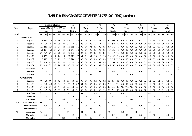# **TABLE 2: RSA GRADING OF WHITE MAIZE (2001/2002) (continue)**

|                |                  |      |              | %Defective Kernels |     |              |      |          | $\frac{0}{0}$                                           |        |         | $\frac{0}{0}$                  |              |         | $\frac{0}{0}$ |     |              | $\frac{0}{0}$  |                |         | $\frac{0}{0}$  |         |         | $\frac{0}{0}$ |         |     | $\frac{0}{0}$ |     |      | $\frac{0}{0}$ |     |
|----------------|------------------|------|--------------|--------------------|-----|--------------|------|----------|---------------------------------------------------------|--------|---------|--------------------------------|--------------|---------|---------------|-----|--------------|----------------|----------------|---------|----------------|---------|---------|---------------|---------|-----|---------------|-----|------|---------------|-----|
| Nunber         | Region           |      | Above 6.35mm |                    |     | Below 6.35mm |      |          | Total                                                   |        |         | Foreign                        |              |         | Another       |     |              | Total          |                |         | Pinked         |         |         | Diplodia      |         |     | Fusarium      |     |      | Cobrot        |     |
| $\sigma$       |                  |      | sieve        |                    |     | sieve        |      |          | defective                                               |        |         | matter                         |              |         | Colour        |     |              | Deviation      |                |         | Kemels         |         |         | Kemels        |         |     | Kemels        |     |      | Kemels        |     |
| samples        |                  | ave. |              | min. max ave.      |     | min. max     |      |          | $\alpha$ ave $\left  \right $ min. $\left  \right $ max |        |         | ave. $\left  \min \right $ max |              | ave.    | $min$ $max$   |     | ave. min. mx |                |                | ave.    | min. max       |         | ave.    | min. max      |         |     | ave min mx    |     | ave. | min. max.     |     |
|                | <b>GRADE WMB</b> |      |              |                    |     |              |      |          |                                                         |        |         |                                |              |         |               |     |              |                |                |         |                |         |         |               |         |     |               |     |      |               |     |
|                | Region 14        |      |              | 18.5 18.5 18.5     | 5.6 | 5.6          | 5.6  | 24.1     | 24.1                                                    | 24.1   | $0.0\,$ | $0.0\,$                        | 0.0          | 5.3     | 5.3           | 5.3 |              |                | 29.3 29.3 29.3 | $0.0\,$ | 0.0            | 0.0     | 0.7     | 0.7           | 0.7     | 1.0 | 1.0           | 1.0 | 1.7  | 1.7           | 1.7 |
|                | Region 16        | 2.8  | 2.8          | 2.8                | 0.5 | 0.5          | 0.5  | 3.3      | 3.3                                                     | 3.3    | 0.6     | 0.6                            | 0.6          | 1.1     | 1.1           | 1.1 | 5.0          | 5.0            | 5.0            | 0.0     | 0.0            | 0.0     | 0.0     | 0.0           | $0.0\,$ | 0.0 | 0.0           | 0.0 | 0.0  | 0.0           | 0.0 |
|                | Region 19        |      | 15.1 14.9    | 15.3               | 1.5 | 0.7          | 2.3  |          | 16.5 15.5                                               | 17.6   | 0.0     | 0.0                            | 0.1          | 0.3     | 0.2           | 0.4 | 16.9         | 16.0           | 17.8           | 0.0     | 0.0            | 0.0     | 0.3     | 0.2           | 0.4     | 0.4 | 0.2           | 0.6 | 0.7  | 0.4           | 0.9 |
|                | Region 27        |      | 11.4 11.4    | 11.4               | 2.7 | 2.7          | 2.7  | 14.1     | 14.1                                                    | - 14.1 | 0.0     | 0.0                            | 0.0          | 0.6     | 0.6           | 0.6 | 14.7         | 14.7           | 14.7           | 0.0     | 0.0            | 0.0     | 0.0     | 0.0           | 0.0     | 0.0 | 0.0           | 0.0 | 0.0  | 0.0           | 0.0 |
|                | Region 28        |      |              | 7.7                | 2.8 | 2.8          | 2.8  | 10.5     | 10.5                                                    | 10.5   | 0.6     | 0.6                            | 0.6          | 0.3     | 0.3           | 0.3 | 11.4         | 11.4           | -11.4          | 0.0     | 0.0            | 0.0     | 0.2     | 0.2           | 0.2     | 0.0 | 0.0           | 0.0 | 0.2  | 0.2           | 0.2 |
|                | Region 29        | 15.9 | 15.9         | 15.9               | 1.4 | 1.4          | 1.4  |          | 17.3 17.3                                               | 17.3   | 0.1     | 0.1                            | 0.1          | 1.6     | 1.6           | 1.6 |              | 19.0 19.0 19.0 |                | 0.0     | 0.0            | 0.0     | 0.0     | 0.0           | 0.0     | 0.0 | 0.0           | 0.0 | 0.0  | 0.0           | 0.0 |
|                | Region 32        | 19.7 | 19.7         | 19.7               | 1.2 | 1.2          | 1.2  |          | 21.0 21.0                                               | 21.0   | 0.0     | 0.0                            | 0.0          | 0.8     | 0.8           | 0.8 | 21.7         | 21.7           | 21.7           | 0.0     | 0.0            | 0.0     | 0.1     | 0.1           | 0.1     | 0.9 | 0.9           | 0.9 | 1.0  | 1.0           | 1.0 |
| 2              | Region 33        | 8.5  | 6.3          | 10.7               | 4.0 | 2.9          | 5.2  | 12.5     | 9.1                                                     | 15.9   | 0.3     | 0.0                            | 0.6          | 0.2     | 0.1           | 0.3 |              |                | 13.1 10.1 16.1 | 0.0     | 0.0            | 0.0     | 0.4     | 0.3           | 0.5     | 0.2 | 0.0           | 0.4 | 0.6  | 0.3           | 0.9 |
| $\overline{2}$ | Region 34        | 7.2  | 6.0          | 8.3                | 3.3 | 1.0          | 5.7  | 10.5 7.1 |                                                         | 14.0   | $0.0\,$ | $0.0\,$                        | $0.0\degree$ | 4.1     | 0.7           | 7.5 |              |                | 14.6 14.6 14.6 | $0.0\,$ | $0.0\,$        | $0.0\,$ | 0.1     | $0.0\,$       | 0.2     | 0.3 | $0.0\,$       | 0.5 | 0.4  | 0.0           | 0.7 |
| 12             | <b>Mean WMB</b>  | 11.5 |              |                    | 2.6 |              |      | 14.1     |                                                         |        | 0.2     |                                |              | 1.6     |               |     | 15.8         |                |                | 0.0     |                |         | 0.2     |               |         | 0.3 |               |     | 0.5  |               |     |
|                | Mn WMB           |      | 2.8          |                    |     | 0.5          |      |          | 3.3                                                     |        |         | 0.0                            |              |         | 0.1           |     |              | 5.0            |                |         | 0.0            |         |         | 0.0           |         |     | 0.0           |     |      | $0.0\,$       |     |
|                | Max WMB          |      |              | 19.7               |     |              | 5.7  |          |                                                         | 24.1   |         |                                | 0.6          |         |               | 7.5 |              |                | 29.3           |         |                | 0.0     |         |               | 0.7     |     |               | 1.0 |      |               | 1.7 |
|                | <b>GRADE COM</b> |      |              |                    |     |              |      |          |                                                         |        |         |                                |              |         |               |     |              |                |                |         |                |         |         |               |         |     |               |     |      |               |     |
|                | Region 13        | 4.0  | 4.0          | 4.0                | 4.3 | 4.3          | 4.3  | 8.3      | 8.3                                                     | 8.3    | 0.0     | 0.0                            | 0.0          | 0.2     | 0.2           | 0.2 | 8.5          | 8.5            | 8.5            | 0.0     | 0.0            | 0.0     | 0.2     | 0.2           | 0.2     | 0.2 | 0.2           | 0.2 | 0.4  | 0.4           | 0.4 |
|                | Region 14        | 15.1 | 3.8          | 26.5               | 2.7 | 0.5          | 4.8  | 17.8     | 4.3                                                     | 31.3   | 0.1     | 0.0                            | 0.3          | $0.0\,$ | $0.0\,$       | 0.0 | 17.9         | 4.3            | 31.5           | 0.0     | 0.0            | 0.0     | 0.2     | 0.0           | 0.5     | 0.1 | 0.0           | 0.3 | 0.4  | 0.3           | 0.5 |
|                | Region 26        | 4.3  | 4.3          | 4.3                | 0.1 | 0.1          | 0.1  | 4.4      | 4.4                                                     | 4.4    | 0.0     | 0.0                            | 0.0          | $0.0\,$ | 0.0           | 0.0 | 4.4          | 4.4            | 4.4            |         | 29.4 29.4 29.4 |         | 0.0     | 0.0           | 0.0     | 0.0 | 0.0           | 0.0 | 0.0  | 0.0           | 0.0 |
| 2              | Region 34        | 5.4  | 4.7          | 6.0                | 2.3 | 0.9          | 3.7  | 7.7      | 6.9                                                     | 8.4    | $0.0\,$ | $0.0\,$                        | $0.0\,$      | 0.9     | 0.4           | 1.3 | 8.6          | 7.3            | 9.8            | $0.0\,$ | $0.0\,$        | $0.0\,$ | $0.0\,$ | $0.0\,$       | $0.0\,$ | 0.1 | $0.0\,$       | 0.2 | 0.1  | 0.0           | 0.2 |
| 6              | <b>Mean COM</b>  | 8.2  |              |                    | 2.4 |              |      | 10.6     |                                                         |        | 0.1     |                                |              | 0.3     |               |     | 11.0         |                |                | 4.9     |                |         | 0.1     |               |         | 0.1 |               |     | 0.2  |               |     |
|                | <b>Mn COM</b>    |      | 3.8          |                    |     | 0.1          |      |          | 4.3                                                     |        |         | 0.0                            |              |         | 0.0           |     |              | 4.3            |                |         | 0.0            |         |         | 0.0           |         |     | 0.0           |     |      | $0.0\,$       |     |
|                | Max COM          |      |              | 26.5               |     |              | 4.8  |          |                                                         | 31.1   |         |                                | 0.3          |         |               | 1.3 |              |                | 31.5           |         |                | 29.4    |         |               | 0.5     |     |               | 0.3 |      |               | 0.5 |
| 471            | Mean white maize | 5.0  |              |                    | 1.4 |              |      | 6.4      |                                                         |        | $0.0\,$ |                                |              | 0.3     |               |     | 6.7          |                |                | 0.1     |                |         | 0.1     |               |         | 0.1 |               |     | 0.2  |               |     |
|                | Mn white maize   |      | 0.7          |                    |     | $0.0\,$      |      |          | 0.9                                                     |        |         | $0.0\,$                        |              |         | $0.0\,$       |     |              | 0.9            |                |         | $0.0\,$        |         |         | $0.0\,$       |         |     | $0.0\,$       |     |      | $0.0\,$       |     |
|                | Max white maize  |      |              | 26.5               |     |              | 6.7  |          |                                                         | 31.3   |         |                                | $0.6\,$      |         |               | 7.5 |              |                | 31.5           |         |                | 29.4    |         |               | 1.3     |     |               | 4.2 |      |               | 4.3 |
| 900            | Mean maize       | 5.6  |              |                    | 1.6 |              |      | 7.2      |                                                         |        | 0.1     |                                |              | 0.3     |               |     | 7.6          |                |                | 0.8     |                |         | $0.0\,$ |               |         | 0.1 |               |     | 0.1  |               |     |
|                | <b>Mn</b> maize  |      | 0.6          |                    |     | 0.0          |      |          | $0.0\,$                                                 |        |         | $0.0\,$                        |              |         | $0.0\,$       |     |              | 0.7            |                |         | $0.0\,$        |         |         | 0.0           |         |     | 0.0           |     |      | 0.0           |     |
|                | Max maize        |      |              | 26.5               |     |              | 17.2 |          |                                                         | 31.3   |         |                                | 0.9          |         |               | 7.5 |              |                | 31.5           |         |                | 42.4    |         |               | 1.3     |     |               | 4.2 |      |               | 4.3 |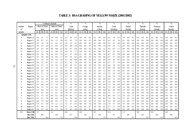# **TABLE 3: RSA GRADING OF YELLOW MAIZE (2001/2002)**

|         |                  |     |              | %Defective Kernels |      |              |      |      | $\frac{0}{0}$ |      |      | $\frac{0}{0}$ |          |         | $\frac{0}{0}$ |     |     | $\frac{0}{0}$ |      |      | $\frac{0}{0}$ |      |          | $\frac{0}{0}$ |          |      | $\frac{0}{0}$ |         |         | $\%$      |     |
|---------|------------------|-----|--------------|--------------------|------|--------------|------|------|---------------|------|------|---------------|----------|---------|---------------|-----|-----|---------------|------|------|---------------|------|----------|---------------|----------|------|---------------|---------|---------|-----------|-----|
| Number  | Region           |     | Above 6.35mm |                    |      | Below 6.35mm |      |      | Total         |      |      | Foreign       |          |         | Another       |     |     | Total         |      |      | Pinked        |      |          | Diplodia      |          |      | Fusarium      |         |         | Cobrot    |     |
| of      |                  |     | sieve        |                    |      | sieve        |      |      | defective     |      |      | matter        |          |         | Colour        |     |     | Deviation     |      |      | Kernels       |      |          | Kernels       |          |      | Kernels       |         |         | Kernels   |     |
| samples |                  |     | ave. min.    | max.               | ave. | min.         | max. | ave. | min.          | max. | ave. |               | min. max | ave.    | $min.$ $max.$ |     |     | ave. min.     | max. | ave. | min.          | max. |          | ave min.      | max.     | ave. | min.          | max.    | ave.    | min. max. |     |
|         | <b>GRADE YMI</b> |     |              |                    |      |              |      |      |               |      |      |               |          |         |               |     |     |               |      |      |               |      |          |               |          |      |               |         |         |           |     |
| 8       | Region 10        | 4.4 | 2.1          | 7.1                | 1.8  | 0.8          | 2.9  | 6.2  | 3.8           | 8.3  | 0.0  | 0.0           | 0.2      | 0.1     | 0.0           | 0.6 | 6.3 | 3.8           | 8.3  | 2.4  | 0.0           | 9.1  | 0.0      | 0.0           | 0.1      | 0.0  | 0.0           | 0.2     | $0.0\,$ | 0.0       | 0.2 |
| -5      | Region 11        | 3.8 | 2.7          | 5.1                | 2.4  | 1.5          | 3.8  | 6.2  | 4.2           | 7.5  | 0.0  | 0.0           | 0.1      | 0.0     | 0.0           | 0.1 | 6.3 | 4.3           | 7.6  | 0.1  | 0.0           | 0.4  | $_{0.0}$ | 0.0           | 0.0      | 0.0  | 0.0           | 0.0     | 0.0     | 0.0       | 0.0 |
| 12      | Region 12        | 3.9 | 1.0          | 7.6                | 1.1  | 0.1          | 2.7  | 5.0  | 2.3           | 8.1  | 0.0  | 0.0           | 0.2      | 0.1     | 0.0           | 0.8 | 5.2 | 2.3           | 8.8  | 0.2  | 0.0           | 0.5  | $_{0.0}$ | 0.0           | 0.2      | 0.0  | 0.0           | 0.2     | 0.0     | 0.0       | 0.2 |
| 6       | Region 13        | 3.4 | 1.5          | 6.5                | 1.2  | 0.3          | 2.1  | 4.6  | 2.8           | 6.8  | 0.0  | 0.0           | 0.1      | 0.4     | 0.0           | 1.0 | 5.0 | 2.9           | 7.2  | 0.3  | 0.0           | 1.6  | 0.0      | 0.0           | $_{0.0}$ | 0.0  | 0.0           | 0.0     | 0.0     | 0.0       | 0.0 |
| 20      | Region 14        | 3.6 | 0.7          | 5.8                | 0.6  | 0.0          | 2.3  | 4.2  | 0.7           | 6.4  | 0.0  | 0.0           | 0.2      | 0.2     | 0.0           | 1.2 | 4.5 | 0.7           | 7.1  | 0.9  | 0.0           | 6.4  | 0.0      | 0.0           | 0.0      | 0.0  | 0.0           | 0.2     | 0.0     | 0.0       | 0.2 |
| 17      | Region 15        | 3.3 | 1,2          | 6.6                | 1.2  | 0.6          | 2.2  | 4.5  | 2.3           | 7.7  | 0.0  | 0.0           | 0.2      | 0.1     | 0.0           | 0.7 | 4.7 | 2.3           | 8.1  | 1.3  | 0.0           | 6.3  | 0.0      | 0.0           | 0.2      | 0.0  | 0.0           | 0.2     | 0.0     | 0.0       | 0.2 |
| 16      | Region 16        | 4.5 | 2.0          | 7.8                | 1.6  | 0.5          | 2.9  | 6.1  | 3.1           | 9.0  | 0.1  | 0.0           | 0.2      | 0.6     | 0.0           | 1.9 | 6.7 | 4.2           | 9.0  | 0.8  | 0.0           | 3.9  | 0.0      | 0.0           | 0.1      | 0.0  | 0.0           | 0.2     | 0.0     | 0.0       | 0.2 |
| 8       | Region 17        | 5.5 | 3.8          | 6.8                | 1.0  | 0.5          | 1.7  | 6.5  | 5.4           | 8.3  | 0.0  | 0.0           | 0.2      | 0.2     | 0.0           | 0.6 | 6.7 | 5.7           | 8.4  | 0.3  | 0.0           | 1.0  | 0.0      | $_{0.0}$      | 0.1      | 0.0  | 0.0           | 0.0     | 0.0     | 0.0       | 0.1 |
| 4       | Region 18        | 5.3 | 2.8          | 7.4                | 1.0  | 0.5          | 1.8  | 6.3  | 4.6           | 8.0  | 0.0  | 0.0           | 0.2      | 0.1     | 0.0           | 0.4 | 6.4 | 4.6           | 8.3  | 0.5  | 0.0           | 1.3  | $_{0.0}$ | $_{0.0}$      | 0.0      | 0.0  | 0.0           | 0.0     | 0.0     | 0.0       | 0.0 |
| 6       | Region 19        | 4.4 | 2.2          | 6.1                | 1.7  | 0.2          | 3.2  | 6.1  | 2.6           | 7.9  | 0.0  | 0.0           | 0.1      | 0.0     | 0.0           | 0.2 | 6.1 | 2.7           | 7.9  | 0.2  | 0.0           | 0.9  | $_{0.0}$ | 0.0           | 0.1      | 0.0  | 0.0           | 0.0     | 0.0     | 0.0       | 0.1 |
|         | Region 20        | 5.2 | 2.5          | 7.1                | 1.0  | 0.5          | 1.3  | 6.2  | 3.0           | 8.1  | 0.0  | 0.0           | 0.2      | 0.2     | 0.0           | 0.5 | 6.4 | 3.0           | 8.5  | 0.4  | 0.0           | 0.9  | $_{0.0}$ | $_{0.0}$      | 0.1      | 0.0  | 0.0           | 0.0     | 0.0     | 0.0       | 0.1 |
| 3       | Region 21        | 6.0 | 5.1          | 6.5                | 1.7  | 1.4          | 2.0  | 7.7  | 6.9           | 8.4  | 0.0  | 0.0           | 0.1      | 0.3     | 0.0           | 0.7 | 8.0 | 6.9           | 8.6  | 0.4  | 0.0           | 1.1  | 0.0      | 0.0           | 0.0      | 0.0  | 0.0           | 0.0     | 0.0     | 0.0       | 0.0 |
| 9       | Region 22        | 5.3 | 4.2          | 7.8                | 1.3  | 0.4          | 2.0  | 6.6  | 5.5           | 8.3  | 0.0  | 0.0           | 0.2      | 0.3     | 0.0           | 1.5 | 6.9 | 5.5           | 8.6  | 0.3  | 0.0           | 2.1  | 0.0      | 0.0           | $_{0.0}$ | 0.0  | 0.0           | 0.0     | 0.0     | 0.0       | 0.0 |
| 19      | Region 23        | 5.2 | 3.1          | 7.4                | 1.7  | 0.3          | 2.9  | 6.9  | 5.0           | 8.6  | 0.1  | 0.0           | 0.3      | 0.2     | 0.0           | 1.5 | 7.2 | 5.0           | 9.0  | 1.2  | 0.0           | 4.9  | 0.0      | 0.0           | 0.5      | 0.0  | 0.0           | 0.0     | 0.0     | 0.0       | 0.5 |
| 20      | Region 24        | 3.8 | 1.4          | 7.3                | 1.4  | 0.2          | 3.3  | 5.2  | 3.1           | 7.9  | 0.1  | 0.0           | 0.3      | 0.3     | 0.0           | 1.1 | 5.6 | 3.4           | 7.9  | 1.6  | 0.0           | 8.8  | 0.0      | 0.0           | 0.1      | 0.0  | 0.0           | 0.0     | 0.0     | 0.0       | 0.1 |
| 14      | Region 25        | 4.8 | 2.0          | 6.9                | 1.9  | 0.4          | 3.9  | 6.7  | 3.4           | 8.3  | 0.0  | 0.0           | 0.2      | 0.1     | 0.0           | 0.6 | 6.9 | 3.5           | 8.6  | 0.8  | 0.0           | 4.1  | 0.0      | 0.0           | 0.0      | 0.1  | 0.0           | 0.4     | 0.1     | 0.0       | 0.4 |
| 6       | Region 26        | 5.5 | 3.1          | 7.1                | 1.2  | 0.3          | 2.0  | 6.6  | 3.5           | 8.3  | 0.1  | 0.0           | 0.2      | 0.3     | 0.0           | 0.7 | 7.0 | 4.0           | 8.9  | 1.4  | 0.0           | 6.0  | $_{0.0}$ | 0.0           | 0.0      | 0.0  | 0.0           | 0.0     | 0.0     | 0.0       | 0.0 |
| 2       | Region 27        | 5.5 | 4.6          | 6.4                | 1.7  | 1.0          | 2.4  | 7.2  | 5.6           | 8.8  | 0.0  | 0.0           | 0.0      | $0.0\,$ | 0.0           | 0.0 | 7.2 | 5.6           | 8.8  | 0.5  | 0.0           | 1.0  | $_{0.0}$ | $_{0.0}$      | $_{0.0}$ | 0.0  | 0.0           | 0.0     | 0.0     | 0.0       | 0.0 |
| 16      | Region 28        | 5.6 | 3.3          | 7.5                | 1.5  | 0.3          | 3.3  | 7.1  | 4.5           | 8.7  | 0.1  | 0.0           | 0.3      | 0.1     | 0.0           | 0.4 | 7.2 | 4.5           | 8.8  | 1.4  | 0.0           | 5.9  | 0.1      | 0.0           | $_{0.2}$ | 0.0  | 0.0           | 0.1     | 0.1     | 0.0       | 0.3 |
| 9       | Region 29        | 5.7 | 4.0          | 7.6                | 1.1  | 0.7          | 2.3  | 6.8  | 4.9           | 9.0  | 0.0  | 0.0           | 0.1      | 0.0     | 0.0           | 0.0 | 6.8 | 5.0           | 9.0  | 1.9  | 0.0           | 4.2  | 0.0      | 0.0           | 0.1      | 0.0  | 0.0           | 0.0     | 0.0     | 0.0       | 0.1 |
| 8       | Region 30        | 5.9 | 2.9          | 8.4                | 1.1  | 0.1          | 2.0  | 7.0  | 4.7           | 8.7  | 0.0  | 0.0           | 0.2      | 0.1     | 0.0           | 0.4 | 7.2 | 5.1           | 8.7  | 1.6  | 0.0           | 2.8  | 0.1      | $_{0.0}$      | 0.4      | 0.0  | 0.0           | 0.0     | 0.1     | 0.0       | 0.4 |
|         | Region 31        | 5.1 | 3.5          | 6.5                | 0.8  | 0.7          | 0.9  | 5.9  | 4.4           | 7.3  | 0.0  | 0.0           | 0.0      | 0.1     | 0.0           | 0.2 | 6.0 | 4.5           | 7.3  | 3.4  | 1.0           | 7.3  | 0.0      | 0.0           | 0.1      | 0.0  | 0.0           | 0.0     | 0.0     | 0.0       | 0.1 |
| 5       | Region 32        | 6.5 | 6.3          | 7.0                | 0.9  | 0.5          | 1.2  | 7.4  | 7.0           | 8.0  | 0.1  | 0.0           | 0.2      | 0.2     | 0.0           | 0.3 | 7.6 | 7.0           | 8.3  | 2.7  | 0.5           | 5.6  | 0.0      | 0.0           | 0.0      | 0.0  | 0.0           | 0.0     | 0.0     | 0.0       | 0.0 |
| 4       | Region 33        | 4.4 | 1.9          | 6.6                | 0.9  | 0.3          | 1.7  | 5.3  | 2.3           | 6.8  | 0.1  | 0.0           | 0.2      | 0.3     | 0.0           | 0.5 | 5.6 | 2.9           | 6.9  | 2.5  | 0.0           | 5.7  | 0.0      | 0.0           | 0.2      | 0.0  | 0.0           | 0.0     | 0.0     | 0.0       | 0.2 |
| 8       | Region 34        | 5.4 | 4.1          | 6.9                | 1.8  | 1.2          | 3.1  | 7.2  | 5.7           | 8.7  | 0.0  | 0.0           | 0.2      | 0.6     | 0.0           | 1.8 | 7.8 | 5.7           | 8.8  | 1.9  | 0.0           | 5.5  | $_{0.0}$ | 0.0           | 0.2      | 0.0  | 0.0           | 0.0     | 0.0     | 0.0       | 0.2 |
| 10      | Region 35        | 4.3 | 0.6          | 7.1                | 1.4  | 0.6          | 3.9  | 5.7  | 1.3           | 9.0  | 0.0  | 0.0           | 0.1      | $0.0\,$ | 0.0           | 0.2 | 5.7 | 1.3           | 9.0  | 2.0  | 0.0           | 6.5  | 0.0      | 0.0           | 0.2      | 0.0  | 0.0           | 0.0     | 0.0     | 0.0       | 0.2 |
| 5       | Region 36        | 5.4 | 5.1          | 6.2                | 2.0  | 1.2          | 2.6  | 7.5  | 6.3           | 8.8  | 0.0  | 0.0           | 0.1      | 0.1     | 0.0           | 0.3 | 7.6 | 6.5           | 8.8  | 1.8  | 0.0           | 4.4  | 0.0      | 0.0           | 0.0      | 0.0  | $0.0\,$       | 0.0     | 0.0     | 0.0       | 0.0 |
| 251     | Mean YMI         | 4.7 |              |                    | 1.4  |              |      | 6.0  |               |      | 0.0  |               |          | 0.2     |               |     | 6.3 |               |      | 1.2  |               |      | 0.0      |               |          | 0.0  |               |         | 0.0     |           |     |
|         | Mn YMI           |     | 0.6          |                    |      | 0.0          |      |      | 0.7           |      |      | 0.0           |          |         | 0.0           |     |     | 0.7           |      |      | $0.0\,$       |      |          | 0.0           |          |      | 0.0           |         |         | $0.0\,$   |     |
|         | Max YM1          |     |              | 8.4                |      |              | 3.9  |      |               | 9.0  |      |               | 0.3      |         |               | 1.9 |     |               | 9.0  |      |               | 9.1  |          |               | 0.5      |      |               | $0.4\,$ |         |           | 0.5 |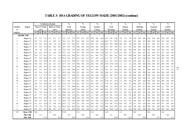# **TABLE 3: RSA GRADING OF YELLOW MAIZE (2001/2002) (continue)**

|                |                   |                     | % Defective Kernels | $\frac{0}{0}$        | $\frac{0}{0}$     | $\frac{0}{0}$     | $\frac{0}{0}$        | $\frac{0}{0}$         | $\frac{0}{0}$         | $\frac{0}{0}$     | $\frac{0}{0}$     |
|----------------|-------------------|---------------------|---------------------|----------------------|-------------------|-------------------|----------------------|-----------------------|-----------------------|-------------------|-------------------|
| Number         | Region            | Above 6.35mm        | Below 6.35mm        | Total                | Foreign           | Another           | Total                | Pinked                | Diplodia              | Fusarium          | Cobrot            |
| of             |                   | sieve               | sieve               | defective            | matter            | Colour            | Deviation            | Kernels               | Kernels               | Kernels           | Kernels           |
| samples        |                   | ave. min. max.      | ave. min.<br>max.   | ave. min. max.       | min. max.<br>ave. | ave. min. max.    | ave. min. max.       | ave.<br>min. max.     | ave. min. max.        | ave. min.<br>max  | min. max.<br>ave. |
|                | <b>GRADE: YM2</b> |                     |                     |                      |                   |                   |                      |                       |                       |                   |                   |
|                | Region 10         | 3.5<br>3.5<br>3.5   | 2.1<br>2.1<br>2.1   | 5.5<br>5.5<br>5.5    | 0.5<br>0.5<br>0.5 | 0.0<br>0.0<br>0.0 | 6.0<br>6.0<br>6.0    | 7.9<br>7.9<br>7.9     | 0.0<br>0.0<br>0.0     | 0.0<br>0.0<br>0.0 | 0.0<br>0.0<br>0.0 |
| 2              | Region 12         | 9.2<br>8.3<br>7.4   | 0.6<br>1.1<br>1.5   | 8.1<br>9.4<br>10.7   | 0.1<br>0.0<br>0.1 | 0.8<br>0.0<br>1.6 | 10.2<br>9.7<br>10.7  | 0.0<br>0.1<br>0.2     | 0.2<br>0.0<br>0.3     | 0.0<br>0.0<br>0.0 | 0.2<br>0.3<br>0.0 |
| $\overline{2}$ | Region 13         | 6.9<br>8.6<br>7.8   | 2.6<br>2.0<br>1.4   | 9.5<br>10.1<br>9.8   | 0.0<br>0.3<br>0.1 | 0.4<br>0.3<br>0.4 | 9.9<br>10.3<br>10.6  | 0.0<br>0.8<br>1.6     | 0.0<br>0.1<br>0.0     | 0.1<br>0.0<br>0.2 | 0.2<br>0.1<br>0.1 |
|                | Region 14         | 9.4<br>9.4<br>9.4   | 0.5<br>0.5<br>0.5   | 9.9<br>9.9<br>9.9    | 0.0<br>0.0<br>0.0 | 0.0<br>0.0<br>0.0 | 9.9<br>9.9<br>9.9    | 0.1<br>0.1<br>0.1     | 0.0<br>0.0<br>0.0     | 0.0<br>0.0<br>0.0 | 0.0<br>0.0<br>0.0 |
|                | Region 15         | 7.8<br>7.8<br>7.8   | 1.6<br>1.6<br>1.6   | 9.4<br>9.4<br>9.4    | 0.0<br>0.0<br>0.0 | 0.0<br>0.0<br>0.0 | 9.4<br>9.4<br>9.4    | 0.0<br>0.0<br>0.0     | 0.0<br>0.0<br>0.0     | 0.0<br>0.0<br>0.0 | 0.0<br>0.0<br>0.0 |
| 7              | Region 16         | 6.2<br>2.4<br>9.4   | 0.6<br>3.8<br>2.1   | 8.3<br>2.9<br>11.6   | 0.0<br>0.1<br>0.4 | 2.4<br>0.9<br>0.0 | 5.1<br>11.9<br>9.4   | 0.0<br>0.3<br>1.4     | 0.0<br>0.5<br>0.1     | 0.1<br>0.0<br>0.3 | 0.2<br>0.6<br>0.0 |
| 3              | Region 17         | 7.5<br>11.6<br>16.1 | 2.4<br>1.7<br>3.4   | 9.2<br>19.5<br>14.0  | 0.1<br>0.0<br>0.1 | 0.1<br>0.0<br>0.1 | 0.0<br>0.2<br>0.1    | 14.1<br>9.4<br>19.9   | 0.0<br>0.0<br>0.0     | 0.0<br>0.0<br>0.0 | 0.0<br>0.0<br>0.0 |
| 10             | Region 18         | 8.7<br>4.8<br>10.9  | 1.8<br>0.6<br>3.8   | 10.5<br>8.6<br>12.5  | 0.0<br>0.3<br>0.1 | 0.7<br>0.0<br>1.6 | 9.2<br>11.2<br>13.7  | 0.5<br>0.0<br>1.4     | 0.0<br>0.0<br>0.0     | 0.0<br>0.0<br>0.0 | 0.0<br>0.0<br>0.0 |
| 4              | Region 19         | 5.6<br>8.8<br>14.4  | 2.2<br>0.5<br>3.6   | 14.9<br>9.1<br>11.0  | 0.0<br>0.1<br>0.2 | 0.2<br>0.0<br>0.6 | 9.2<br>11.3<br>15.3  | 0.0<br>0.2<br>0.1     | 0.0<br>0.1<br>0.0     | 0.1<br>0.1<br>0.0 | 0.2<br>0.1<br>0.0 |
| -1             | Region 20         | 9.4<br>9.4<br>9.4   | 4.3<br>4.3<br>4.3   | 13.7<br>13.7<br>13.7 | 0.0<br>0.0<br>0.0 | 0.0<br>0.0<br>0.0 | 13.8<br>13.8<br>13.8 | 1.2<br>1.2<br>1.2     | 0.0<br>0.0<br>0.0     | 0.0<br>0.0<br>0.0 | 0.0<br>0.0<br>0.0 |
| 16             | Region 21         | 9.5<br>14.7<br>6.6  | 2.2<br>0.5<br>3.8   | 9.2<br>11.8<br>17.5  | 0.0<br>0.0<br>0.3 | 2.9<br>0.4<br>0.0 | 12.3<br>9.2<br>17.9  | 0.3<br>0.0<br>1.2     | 0.8<br>0.0<br>$0.1\,$ | 0.1<br>0.0<br>2.3 | 0.2<br>0.0<br>2.3 |
| 7              | Region 22         | 8.7<br>3.5<br>14.7  | 2.8<br>0.5<br>4.3   | 6.0<br>19.0<br>11.5  | 0.1<br>0.0<br>0.2 | 0.7<br>0.0<br>2.9 | 12.2<br>9.2<br>19.1  | 0.2<br>0.0<br>0.5     | 0.0<br>0.1<br>0.0     | 0.0<br>0.0<br>0.3 | 0.3<br>0.1<br>0.0 |
| 5              | Region 23         | 5.4<br>8.1<br>11.8  | 2.3<br>1.1<br>3.7   | 8.9<br>12.9<br>10.5  | 0.0<br>0.2<br>0.1 | 0.8<br>0.3<br>0.0 | 10.8<br>9.1<br>13.0  | 0.0<br>2.9<br>$1.2\,$ | 0.0<br>0.0<br>0.0     | 0.0<br>0.0<br>0.0 | 0.0<br>0.0<br>0.0 |
| 15             | Region 24         | 1.2<br>9.3<br>17.3  | 2.7<br>0.6<br>9.4   | 5.7<br>18.6<br>12.0  | 0.0<br>0.1<br>0.4 | 0.0<br>2.9<br>0.6 | 8.6<br>12.7<br>18.7  | 0.0<br>8.8<br>1.6     | 0.0<br>0.3<br>0.0     | 0.0<br>0.0<br>0.0 | 0.3<br>0.0<br>0.0 |
| 10             | Region 25         | 2.8<br>13.3<br>7.2  | 3.3<br>0.8<br>99    | 3.7<br>10.5<br>16.5  | 0.1<br>0.0<br>0.4 | 3.9<br>0.7<br>0.0 | 7.6<br>11.3<br>17.2  | 0.5<br>0.0<br>2.0     | 0.0<br>0.0<br>0.0     | 0.2<br>0.0<br>0.8 | 0.8<br>0.2<br>0.0 |
| 10             | Region 26         | 7.2<br>12.6<br>9.7  | 1.9<br>0.6<br>3.3   | 11.7<br>9.0<br>15.5  | 0.0<br>0.2<br>0.1 | 0.0<br>0.7<br>0.1 | 11.8<br>9.1<br>15.5  | 1.2<br>0.0<br>5.8     | 0.0<br>0.0<br>0.0     | 0.0<br>0.0<br>0.0 | 0.0<br>0.0<br>0.0 |
| 9              | Region 27         | 3.5<br>14.3<br>8.6  | 0.7<br>2.8<br>4.7   | 8.2<br>17.5<br>11.4  | 0.1<br>0.0<br>0.3 | 0.4<br>0.0<br>1.7 | 11.9<br>8.3<br>18.0  | 0.0<br>3.5<br>1.5     | 0.0<br>0.1<br>0.0     | 0.0<br>0.0<br>0.0 | 0.0<br>0.1<br>0.0 |
| 3              | Region 28         | 3.1<br>8.4<br>5.9   | 2.8<br>1.7<br>4.3   | 7.4<br>8.7<br>10.0   | 0.0<br>0.1<br>0.2 | 0.1<br>0.0<br>0.4 | 7.4<br>8.9<br>10.2   | 2.2<br>1.4<br>0.7     | 0.0<br>0.1<br>0.1     | 0.0<br>0.0<br>0.0 | 0.1<br>0.1<br>0.0 |
| 7              | Region 29         | 7.7<br>10.2<br>14.9 | 1.9<br>2.8<br>1.0   | 9.5<br>12.0<br>16.0  | 0.0<br>0.2<br>0.0 | 0.0<br>0.8<br>0.1 | 9.5<br>12.2<br>17.0  | 3.7<br>0.3<br>11.4    | 0.0<br>0.2<br>0.1     | 0.0<br>0.0<br>0.0 | 0.2<br>0.1<br>0.0 |
| 14             | Region 30         | 5.4<br>13.6<br>8.1  | 2.5<br>0.4<br>5.1   | 18.7<br>10.6<br>6.4  | 0.1<br>0.0<br>0.5 | 0.3<br>0.0<br>1.6 | 11.0<br>6.8<br>18.7  | 2.5<br>0.0<br>9.3     | 0.2<br>0.0<br>0.0     | 0.0<br>0.1<br>0.0 | 0.2<br>0.0<br>0.0 |
| 4              | Region 31         | 7.7<br>9.9<br>8.7   | 1.9<br>1.7<br>2.0   | 10.6<br>9.6<br>11.9  | 0.2<br>0.1<br>0.0 | 3.0<br>1.3<br>0.0 | 11.9<br>9.6<br>13.8  | 2.7<br>0.0<br>5.4     | 0.0<br>0.1<br>$0.0\,$ | 0.0<br>0.0<br>0.0 | 0.0<br>0.0<br>0.1 |
| 5              | Region 32         | 8.3<br>13.8<br>10.9 | 0.9<br>1.4<br>1.8   | 12.3<br>10.1<br>14.6 | 0.0<br>0.0<br>0.0 | 0.5<br>0.0<br>2.1 | 12.9<br>10.1<br>15.2 | 3.2<br>0.3<br>8.5     | 0.0<br>0.2<br>$0.0\,$ | 0.0<br>0.0<br>0.1 | 0.2<br>0.1<br>0.0 |
| 5              | Region 33         | 4.7<br>8.9<br>6.9   | 3.4<br>7.3<br>1.4   | 7.8<br>10.3<br>12.0  | 0.0<br>0.0<br>0.0 | 0.5<br>0.0<br>2.5 | 9.4<br>10.9<br>12.0  | 0.2<br>4.2<br>1.4     | 0.0<br>0.1<br>$0.0\,$ | 0.0<br>0.0<br>0.0 | 0.0<br>0.1<br>0.0 |
| 10             | Region 34         | 6.3<br>12.4<br>8.1  | 2.7<br>0.9<br>4.4   | 7.2<br>10.7<br>15.4  | 0.0<br>0.5<br>0.1 | 2.2<br>0.0<br>0.6 | 9.8<br>11.4<br>15.5  | 0.8<br>0.0<br>1.9     | 0.0<br>0.4<br>0.1     | 0.0<br>0.0<br>0.0 | 0.4<br>0.1<br>0.0 |
|                | Region 35         | 7.8<br>7.8<br>7.8   | 2.4<br>2.4<br>2.4   | 10.2<br>10.2<br>10.2 | 0.0<br>0.0<br>0.0 | 0.0<br>0.0<br>0.0 | 10.2<br>10.2<br>10.2 | 0.4<br>0.4<br>0.4     | 0.0<br>0.0<br>0.0     | 0.0<br>0.0<br>0.0 | 0.0<br>0.0<br>0.0 |
| 2              | Region 36         | 9.5<br>8.7<br>9.1   | 0.5<br>0.7<br>0.6   | 9.2<br>9.7<br>10.2   | 0.0<br>0.0<br>0.0 | 0.5<br>1.5<br>2.4 | 11.2<br>10.8<br>11.6 | 2.1<br>2.6<br>1.6     | 0.0<br>0.0<br>0.0     | 0.0<br>0.0<br>0.0 | 0.0<br>0.0<br>0.0 |
| 155            | Mean YM2          | 8.6                 | 2.4                 | 11.0                 | 0.1               | 0.5               | 11.5                 | 1.3                   | 0.0                   | 0.0               | 0.1               |
|                | Min YM2           | 1.2                 | 0.4                 | 2.9                  | 0.0               | 0.0               | 5.1                  | 0.0                   | 0.0                   | 0.0               | 0.0               |
|                | Max YM2           | 17.3                | 9.9                 | 19.5                 | 0.5               | 3.9               | 19.9                 | 11.4                  | 0.8                   | 2.3               | 2.3               |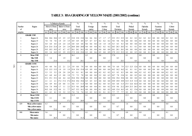|                |                   |                   |      | %Defective Kernels |                   |      | $\frac{0}{0}$  |                |     | $\frac{0}{0}$ |     |     | $\frac{0}{0}$ |       |      | $\frac{0}{0}$  |           |             | $\frac{0}{0}$  |         |     | $\frac{0}{0}$  |         |          | $\frac{0}{0}$ |     |     | $\frac{0}{0}$  |         |
|----------------|-------------------|-------------------|------|--------------------|-------------------|------|----------------|----------------|-----|---------------|-----|-----|---------------|-------|------|----------------|-----------|-------------|----------------|---------|-----|----------------|---------|----------|---------------|-----|-----|----------------|---------|
| Number         | Region            | Above 6.35mm      |      |                    | Below 6.35mm      |      | Total          |                |     | Foreign       |     |     | Another       |       |      | Total          |           |             | Pinked         |         |     | Diplodia       |         |          | Fusarium      |     |     | Cobrot         |         |
| of             |                   | sieve             |      |                    | sieve             |      | defective      |                |     | matter        |     |     | Colour        |       |      | Deviation      |           |             | Kernels        |         |     | Kernels        |         |          | Kernels       |     |     | Kernels        |         |
| samples        |                   | min. max.<br>ave. |      |                    | ave min. max.     | ave. | min.           | max            |     | ave. min. max |     |     | ave. min. max |       |      | ave. min. max  |           |             | ave. min. max. |         |     | ave. min. max. |         | ave.     | min. max.     |     |     | ave. min. max. |         |
|                | <b>GRADE YMB</b>  |                   |      |                    |                   |      |                |                |     |               |     |     |               |       |      |                |           |             |                |         |     |                |         |          |               |     |     |                |         |
|                | Region 14         | 10.6<br>-10.6     | 10.6 | 2.5                | 2.5<br>2.5        | 13.0 | 13.0           | 13.0           | 0.6 | 0.6           | 0.6 | 1.7 | 1.7           | 1.7   | 15.3 | 15.3           | 15.3      | 0.2         | 0.2            | 0.2     | 0.2 | 0.2            | 0.2     | $0.0\,$  | 0.0           | 0.0 | 0.2 | 0.2            | 0.2     |
|                | Region 19         | 7.0<br>7.0        | 7.0  | 1.9                | 1.9<br>1.9        | 8.9  | 8.9            | 8.9            | 0.7 | 0.7           | 0.7 | 0.2 | 0.2           | 0.2   | 9.8  | 9.8            | 9.8       | 0.0         | 0.0            | $0.0\,$ | 0.0 | 0.0            | 0.0     | 0.0      | 0.0           | 0.0 | 0.0 | 0.0            | 0.0     |
|                | Region 21         | 4.4<br>4.4        | 4.4  | 2.4                | 2.4<br>2.4        | 6.8  | 6.8            | 6.8            | 0.6 | 0.6           | 0.6 | 1.0 | 1.0           | 1.0   | 8.3  | 8.3            | 8.3       | 0.0         | 0.0            | $0.0\,$ | 0.0 | 0.0            | 0.0     | 0.0      | 0.0           | 0.0 | 0.0 | 0.0            | 0.0     |
|                | Region 26         | 21.6<br>21.6      | 21.6 | 2.4                | 2.4<br>2.4        | 24.0 | 24.0           | 24.0           | 0.0 | 0.0           | 0.0 | 0.2 | 0.2           | 0.2   | 24.3 |                | 24.3 24.3 | 0.1         | 0.1            | 0.1     | 0.0 | 0.0            | 0.0     | 0.0      | 0.0           | 0.0 | 0.0 | 0.0            | 0.0     |
|                | Region 28         | 19.5<br>19.5      | 19.5 | 4.7                | 47<br>4.7         |      | 24.1 24.1 24.1 |                | 0.0 | 0.0           | 0.0 | 0.0 | 0.0           | 0.0   | 24.1 | 24.1 24.1      |           | 0.0         | 0.0            | 0.0     | 0.0 | 0 <sub>0</sub> | 0.0     | 0.0      | 0.0           | 0.0 | 0.0 | 0.0            | 0.0     |
| 3              | Region 34         | 8.9<br>3.4        | 14.2 | 8.3                | 2.9<br>13.2       |      |                | 17.2 12.0 23.0 | 0.3 | 0.0           | 0.6 | 0.5 | $0.0\,$       | 0.9   |      | 17.9 13.5 23.3 |           | 0.2         | $0.0\,$        | 0.5     | 0.0 | 0.0            | 0.1     | 0.0      | $0.0\,$       | 0.0 | 0.0 | 0.0            | 0.1     |
| 8              | <b>Mean YMB</b>   | 11.2              |      | 4.8                |                   | 16.1 |                |                | 0.3 |               |     | 0.6 |               |       | 17.0 |                |           | 0.1         |                |         | 0.0 |                |         | 0.0      |               |     | 0.0 |                |         |
|                | Min YMB           | 3.4               |      |                    | 1.9               |      | 6.8            |                |     | 0.0           |     |     | 0.0           |       |      | 8.3            |           |             | 0.0            |         |     | 0.0            |         |          | 0.0           |     |     | 0.0            |         |
|                | Max YMB           |                   | 21.6 |                    | 13.2              |      |                | 24.1           |     |               | 0.7 |     |               | 1.7   |      |                | 24.3      |             |                | 0.5     |     |                | 0.2     |          |               | 0.0 |     |                | $0.2\,$ |
|                | <b>GRADE COM</b>  |                   |      |                    |                   |      |                |                |     |               |     |     |               |       |      |                |           |             |                |         |     |                |         |          |               |     |     |                |         |
| 2              | Region 10         | 4.8<br>4.0        | 5.6  | 2.2                | 2.1<br>2.3        | 3.9  | 0.0            | 7.9            | 0.0 | 0.0           | 0.0 | 0.0 | 0.0           | 0.0   | 7.0  | 6.0            | 7.9       | 12.5        | 12.5           | 12.6    | 0.0 | 0.0            | 0.0     | $_{0.0}$ | 0.0           | 0.0 | 0.0 | 0.0            | 0.0     |
|                | Region 16         | 13.5<br>13.5      | 13.5 | 1.9                | 1.9<br>1.9        | 15.4 | 15.4           | 15.4           | 0.9 | 0.9           | 0.9 | 0.0 | 0.0           | 0.0   | 16.2 | 16.2           | 16.2      | 0.1         | 0.1            | 0.1     | 0.0 | 0.0            | 0.0     | 0.0      | 0.0           | 0.0 | 0.0 | 0.0            | $0.0\,$ |
|                | Region 19         | 5.3<br>5.3        | 5.3  | 2.8                | 2.8<br>2.8        | 8.1  | 8.1            | 8.1            | 0.0 | 0.0           | 0.0 | 0.2 | 0.2           | 0.2   | 8.3  | 8.3            | 8.3       | 0.0         | 0.0            | $0.0\,$ | 0.2 | 0.2            | 0.2     | 0.0      | 0.0           | 0.0 | 0.2 | 0.2            | 0.2     |
|                | Region 20         | 6.0<br>6.2        | 6.4  | 1.3                | 0.8<br>1.8        | 7.5  | 7.2            | 7.8            | 0.0 | 0.0           | 0.0 | 3.2 | 0.0           | 6.3   | 10.7 | 7.8            | 13.6      | 0.1         | 0.0            | 0.2     | 0.0 | 0.0            | 0.0     | 0.0      | 0.0           | 0.0 | 0.0 | 0.0            | 0.0     |
|                | Region 22         | 15.1<br>15.1      | 15.1 | 4.4                | 4.4<br>4.4        |      | 19.4 19.4      | 19.4           | 0.0 | 0.0           | 0.0 | 0.0 | 0.0           | 0.0   |      | 19.4 19.4 19.4 |           | 0.0         | 0.0            | 0.0     | 0.0 | 0.0            | 0.0     | 0.0      | 0.0           | 0.0 | 0.0 | 0.0            | 0.0     |
|                | Region 27         | 2.1<br>2.1        | 2.1  |                    | 17.2 17.2<br>17.2 |      | 19.4 19.4      | 19.4           | 0.5 | 0.5           | 0.5 | 0.0 | 0.0           | 0.0   | 19.9 | 19.9           | 19.9      | 31.9 31.9   |                | 31.9    | 0.0 | 0.0            | 0.0     | 0.0      | 0.0           | 0.0 | 0.0 | 0.0            | 0.0     |
|                | Region 30         | 4.9<br>6.6        | 8.4  | 2.0                | 0.8<br>3.1        | 8.6  | 5.7            | 11.5           | 0.0 | 0.0           | 0.0 | 0.2 | 0.0           | 0.3   | 8.8  | 6.0            |           | $11.5$ 27.5 | 12.6           | 42.4    | 0.0 | 0.0            | 0.0     | 0.0      | 0.0           | 0.0 | 0.0 | 0.0            | 0.0     |
| $\overline{2}$ | Region 33         | 13.6<br>7.4       | 19.8 | 1.7                | 2.2<br>1.1        | 15.3 | 9.6            | 20.9           | 0.0 | 0.0           | 0.0 | 0.1 | 0.0           | 0.2   | 15.4 | 9.6            |           | $21.2$ 24.9 | 23.3           | 26.5    | 0.0 | 0.0            | 0.0     | 0.0      | 0.0           | 0.0 | 0.0 | 0.0            | 0.0     |
| $\overline{2}$ | Region 34         | 10.3<br>8.4       | 12.2 | 4.4                | 7.7<br>1.1        | 14.7 | 13.3           | 16.1           | 0.0 | 0.0           | 0.0 | 0.1 | 0.0           | 0.2   | 14.9 | 13.4           | 16.3      | 6.9         | 0.2            | 13.6    | 0.0 | 0.0            | 0.0     | 0.0      | 0.0           | 0.0 | 0.0 | 0.0            | 0.0     |
|                | Region 36         | 4.1<br>4.1        | 4.1  | 3.2                | 3.2<br>3.2        | 7.4  | 7.4            | 7.4            | 0.2 | 0.2           | 0.2 | 0.1 | 0.1           | 0.1   | 7.7  | 7.7            | 7.7       | 8.2         | 8.2            | 8.2     | 0.0 | 0.0            | 0.0     | $0.0\,$  | 0.0           | 0.0 | 0.0 | 0.0            | 0.0     |
| 15             | <b>Mean COM</b>   | 8.2               |      | 3.5                |                   | 11.3 |                |                | 0.1 |               |     | 0.5 |               |       | 12.3 |                |           | 12.3        |                |         | 0.0 |                |         | 0.0      |               |     | 0.0 |                |         |
|                | Min COM           | 2.1               |      |                    | 0.8               |      | $0.0\,$        |                |     | 0.0           |     |     | 0.0           |       |      | 6.0            |           |             | 0.0            |         |     | 0.0            |         |          | 0.0           |     |     | 0.0            |         |
|                | Max COM           |                   | 19.8 |                    | 17.2              |      |                | 20.9           |     |               | 0.9 |     |               | 6.3   |      |                | 21.2      |             |                | 42.4    |     |                | 0.2     |          |               | 0.0 |     |                | $0.2\,$ |
| 429            | Mean yellow maize | 6.3               |      | 1.9                |                   | 8.2  |                |                | 0.1 |               |     | 0.3 |               |       | 8.6  |                |           | 1.6         |                |         | 0.0 |                |         | 0.0      |               |     | 0.0 |                |         |
|                | Min yellow maize  | 0.6               |      |                    | 0.0               |      | 0.0            |                |     | 0.0           |     |     | 0.0           |       |      | 0.7            |           |             | 0.0            |         |     | 0.0            |         |          | 0.0           |     |     | 0.0            |         |
|                | Max yellow maize  |                   | 21.6 |                    | 17.2              |      |                | 24.1           |     |               | 0.9 |     |               | 6.3   |      |                | 24.3      |             |                | 42.4    |     |                | $0.8\,$ |          |               | 2.3 |     |                | 2.3     |
| 900            | Mean maize        | 5.6               |      | 1.6                |                   | 7.2  |                |                | 0.1 |               |     | 0.3 |               |       | 7.6  |                |           | 0.8         |                |         | 0.0 |                |         | 0.1      |               |     | 0.1 |                |         |
|                | Min maize         | 0.6               |      |                    | 0.0               |      | 0.0            |                |     | 0.0           |     |     | 0.0           |       |      | 0.7            |           |             | 0.0            |         |     | 0.0            |         |          | 0.0           |     |     | 0.0            |         |
|                | Max maize         |                   | 26.5 |                    | 17.2              |      |                | 31.3           |     |               | 0.9 |     |               | $7.5$ |      |                | 31.5      |             |                | 42.4    |     |                | 1.3     |          |               | 4.2 |     |                | 4.3     |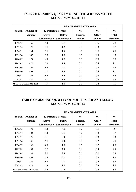| <b>TABLE 4: GRADING QUALITY OF SOUTH AFRICAN WHITE</b> |
|--------------------------------------------------------|
| <b>MAIZE 1992/93-2001/02</b>                           |

|         |                            |              |                     | <b>RSA GRADING AVERAGES</b> |               |               |
|---------|----------------------------|--------------|---------------------|-----------------------------|---------------|---------------|
| Season  | Number of                  |              | % Defective kernels | $\frac{0}{0}$               | $\frac{0}{0}$ | $\frac{0}{0}$ |
|         | samples                    | Above        | <b>Below</b>        | Foreign                     | <b>Other</b>  | <b>Total</b>  |
|         |                            | 6.35mm sieve | 6.35mm sieve        | matter                      | colour        | deviation     |
| 1992/93 | 165                        | 4.4          | 2.8                 | 0.1                         | 0.5           | 7.8           |
| 1993/94 | 178                        | 5.0          | 1.3                 | 0.1                         | 0.3           | 6.7           |
| 1994/95 | 164                        | 5.1          | 1.9                 | 0.0                         | 0.5           | 7.5           |
| 1995/96 | 142                        | 6.3          | 1.9                 | 0.0                         | 0.3           | 8.5           |
| 1996/97 | 178                        | 4.7          | 1.5                 | 0.0                         | 0.5           | 6.7           |
| 1997/98 | 470                        | 5.9          | 1.8                 | 0.1                         | 0.4           | 8.1           |
| 1998/99 | 256                        | 3.4          | 2.0                 | 0.1                         | 0.2           | 5.6           |
| 1999/00 | 493                        | 6.0          | 1.7                 | 0.0                         | 0.4           | 8.1           |
| 2000/01 | 522                        | 3.6          | 1.5                 | 0.1                         | 0.3           | 5.5           |
| 2001/02 | 471                        | 5.0          | 1.4                 | 0.0                         | 0.3           | 6.7           |
|         | Mean white maize 1992-2001 | 4.9          | 1.8                 | 0.1                         | 0.4           | 7.1           |

# **TABLE 5: GRADING QUALITY OF SOUTH AFRICAN YELLOW MAIZE 1992/93-2001/02**

|         |                             |              |                     | <b>RSA GRADING AVERAGES</b> |               |               |
|---------|-----------------------------|--------------|---------------------|-----------------------------|---------------|---------------|
| Season  | Number of                   |              | % Defective kernels | $\frac{0}{0}$               | $\frac{0}{0}$ | $\frac{0}{0}$ |
|         | samples                     | Above        | <b>Below</b>        | Foreign                     | Other         | <b>Total</b>  |
|         |                             | 6.35mm sieve | 6.35mm sieve        | matter                      | colour        | deviation     |
| 1992/93 | 172                         | 6.4          | 4.2                 | 0.0                         | 0.1           | 10.7          |
| 1993/94 | 183                         | 6.4          | 2.0                 | 0.0                         | 0.3           | 8.7           |
| 1994/95 | 175                         | 5.6          | 2.4                 | 0.1                         | 0.3           | 8.3           |
| 1995/96 | 151                         | 6.8          | 2.4                 | 0.1                         | 0.2           | 9.5           |
| 1996/97 | 166                         | 4.9          | 1.9                 | 0.0                         | 0.2           | 7.0           |
| 1997/98 | 267                         | 6.0          | 2.4                 | 0.1                         | 0.4           | 8.9           |
| 1998/99 | 189                         | 2.6          | 2.7                 | 0.0                         | 0.1           | 5.5           |
| 1999/00 | 407                         | 6.5          | 2.1                 | 0.0                         | 0.2           | 8.8           |
| 2000/01 | 378                         | 3.7          | 2.1                 | 0.1                         | 0.4           | 6.2           |
| 2001/02 | 429                         | 6.3          | 1.9                 | 0.1                         | 0.3           | 8.6           |
|         | Mean yellow maize 1992-2001 | 5.5          | 2.4                 | 0.1                         | 0.3           | 8.2           |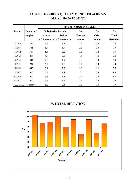|         |                         |       |                           | <b>RSA GRADING AVERAGES</b> |               |               |
|---------|-------------------------|-------|---------------------------|-----------------------------|---------------|---------------|
| Season  | Number of               |       | % Defective kernels       | $\frac{0}{0}$               | $\frac{0}{0}$ | $\frac{0}{0}$ |
|         | samples                 | Above | <b>Below</b>              | Foreign                     | Other         | <b>Total</b>  |
|         |                         |       | 6.35mm sieve 6.35mm sieve | matter                      | colour        | deviation     |
| 1992/93 | 337                     | 5.4   | 3.5                       | 0.1                         | 0.3           | 9.3           |
| 1993/94 | 361                     | 5.7   | 1.7                       | 0.1                         | 0.3           | 7.7           |
| 1994/95 | 339                     | 5.4   | 2.2                       | 0.1                         | 0.4           | 7.9           |
| 1995/96 | 293                     | 6.6   | 2.2                       | 0.1                         | 0.2           | 9.0           |
| 1996/97 | 344                     | 4.8   | 1.7                       | 0.0                         | 0.4           | 6.9           |
| 1997/98 | 737                     | 5.9   | 2.0                       | 0.1                         | 0.4           | 8.4           |
| 1998/99 | 445                     | 3.1   | 2.3                       | 0.0                         | 0.1           | 5.5           |
| 1999/00 | 900                     | 6.2   | 1.8                       | $\overline{0}$              | 0.3           | 8.4           |
| 2000/01 | 900                     | 3.6   | 1.8                       | 0.1                         | 0.3           | 5.8           |
| 2001/02 | 900                     | 5.6   | 1.6                       | 0.1                         | 0.3           | 7.6           |
|         | Mean maize 1992-2001/02 | 5.2   | 2.1                       | 0.1                         | 0.3           | 7.7           |

## **TABLE 6: GRADING QUALITY OF SOUTH AFRICAN MAIZE 1992/93-2001/02**

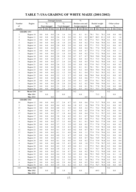# **TABLE 7: USA GRADING OF WHITE MAIZE (2001/2002)**

|                          |                        |                | Damaged kernels |                |            |               |            |            | $\overline{\frac{0}{0}}$ |            |              |               |              |            |                |                    |
|--------------------------|------------------------|----------------|-----------------|----------------|------------|---------------|------------|------------|--------------------------|------------|--------------|---------------|--------------|------------|----------------|--------------------|
| Number                   | Region                 |                | $\frac{0}{0}$   |                |            | $\frac{0}{0}$ |            |            | Broken corn and          |            |              | Bushel weight |              |            | Other colour   |                    |
| of                       |                        |                | Heat damaged    |                |            | Total damaged |            |            | foreign material         |            |              | kg/hl         |              |            | $\frac{0}{0}$  |                    |
| samples                  |                        | ave.           | min.            | max.           | ave.       | min.          | max.       | ave.       | min.                     | max.       | ave.         | min.          | max.         | ave.       | min.           | max.               |
|                          | <b>GRADE: US1</b>      |                |                 |                |            |               |            |            |                          |            |              |               |              |            |                |                    |
| $\mathbf{1}$             | Region 10              | 0.0            | 0.0             | 0.0            | 1.6        | 1.6           | 1.6        | 0.1        | 0.1                      | 0.1        | 78.1         | 78.1          | 78.1         | 0.0        | 0.0            | 0.0                |
| $\sqrt{2}$               | Region 11              | 0.0            | 0.0             | 0.0            | 2.6        | 2.4           | 2.8        | 0.1        | 0.1                      | 0.2        | 80.7         | 80.3          | 81.1         | 0.9        | 0.1            | 1.6                |
| $\,$ $\,$                | Region 12              | 0.0            | 0.0             | 0.0            | 2.4        | 1.6           | 2.9        | 0.1        | 0.0                      | 0.3        | 77.2         | 76.3          | 78.8         | 0.1        | 0.0            | 0.4                |
| 5                        | Region 13              | 0.0            | 0.0             | 0.0            | 1.8        | 1.0           | 2.8        | 0.1        | 0.0                      | 0.2        | 77.4         | 76.6          | 78.8         | 0.1        | 0.0            | 0.4                |
| 12                       | Region 14              | 0.0            | 0.0             | 0.0            | 2.0        | 0.9           | 2.9        | 0.1        | 0.0                      | 0.5        | 77.1         | 75.5          | 79.2         | 0.1        | 0.0            | 0.3                |
| 12                       | Region 15              | 0.0            | 0.0             | 0.0            | 2.1        | 1.4           | 3.0        | 0.1        | 0.0                      | 0.4        | 78.1         | 77.4          | 78.9         | 0.3        | 0.0            | 1.3                |
| $\overline{4}$           | Region 16<br>Region 17 | 0.0            | 0.0<br>0.0      | 0.0<br>0.0     | 1.7<br>2.5 | 0.0<br>1.8    | 2.9        | 0.3<br>0.1 | 0.0<br>0.0               | 0.7<br>0.2 | 77.5<br>77.6 | 77.2<br>77.2  | 77.8<br>78.0 | 0.3<br>0.1 | 0.0<br>0.0     | 1.1<br>0.3         |
| 3<br>$\mathbf{1}$        |                        | 0.0<br>0.0     | 0.0             | 0.0            | 2.8        | 2.8           | 3.0<br>2.8 | 0.7        | 0.7                      | 0.7        | 78.0         | 78.0          | 78.0         | 0.4        | 0.4            | 0.4                |
| 5                        | Region 18<br>Region 19 | 0.0            | 0.0             | 0.0            | 2.5        | 1.7           | 3.0        | 0.1        | 0.0                      | 0.3        | 75.3         | 73.5          | 76.6         | 0.1        | 0.0            | 0.2                |
| $\overline{4}$           | Region 20              | 0.0            | 0.0             | 0.0            | 2.7        | 2.4           | 2.8        | 0.2        | 0.0                      | 0.5        | 77.0         | 76.2          | 78.0         | 0.4        | 0.2            | 1.0                |
| 3                        | Region 21              | 0.0            | 0.0             | 0.0            | 2.6        | 2.2           | 2.8        | 0.1        | 0.0                      | 0.2        | 77.0         | 76.3          | 77.9         | 0.1        | 0.0            | 0.3                |
| $\mathbf{1}$             | Region 22              | 0.0            | 0.0             | 0.0            | 3.0        | 3.0           | 3.0        | 0.1        | 0.1                      | 0.1        | 78.1         | 78.1          | 78.1         | 0.0        | 0.0            | 0.0                |
| $\mathfrak{Z}$           | Region 23              | 0.0            | 0.0             | 0.0            | 2.2        | 1.8           | 2.8        | 0.3        | 0.2                      | 0.4        | 78.8         | 78.4          | 79.4         | 0.2        | 0.1            | 0.2                |
| 6                        | Region 24              | 0.0            | 0.0             | 0.0            | 2.2        | 1.2           | 3.0        | 0.2        | 0.1                      | 0.4        | 77.3         | 76.3          | 78.5         | 0.2        | 0.1            | 0.3                |
| 5                        | Region 25              | 0.0            | 0.0             | 0.0            | 2.2        | 1.5           | 2.7        | 0.3        | 0.0                      | 0.6        | 78.0         | 76.6          | 81.0         | 0.1        | 0.0            | 0.2                |
| $\sqrt{2}$               | Region 27              | 0.0            | 0.0             | 0.0            | 2.6        | 2.2           | 3.0        | 0.5        | 0.4                      | 0.6        | 77.7         | 77.4          | 78.0         | 0.3        | 0.1            | 0.4                |
| $\overline{4}$           | Region 28              | 0.0            | 0.0             | 0.0            | 2.8        | 2.4           | 3.0        | 0.5        | 0.1                      | 0.9        | 77.4         | 76.1          | 78.5         | 0.2        | 0.1            | 0.3                |
| $\mathbf{1}$             | Region 29              | 0.0            | 0.0             | 0.0            | 2.8        | 2.8           | 2.8        | 0.2        | 0.2                      | 0.2        | 79.0         | 79.0          | 79.0         | 0.1        | 0.1            | 0.1                |
| $\overline{2}$           | Region 35              | 0.0            | 0.0             | 0.0            | 2.1        | 2.0           | 2.3        | 0.1        | 0.0                      | 0.1        | 78.1         | 77.8          | 78.3         | 0.0        | 0.0            | $0.0\,$            |
| $\mathbf{1}$             | Region 36              | 0.0            | 0.0             | $0.0\,$        | 2.9        | 2.9           | 2.9        | 0.5        | 0.5                      | 0.5        | 75.7         | 75.7          | 75.7         | 0.0        | 0.0            | $0.0\,$            |
| 85                       | Mean US1               | 0.0            |                 |                | 2.3        |               |            | 0.2        |                          |            | 77.5         |               |              | 0.2        |                |                    |
|                          | Min US1                |                | $0.0\,$         |                |            | $0.0\,$       |            |            | 0.0                      |            |              | 73.5          |              |            | 0.0            |                    |
|                          | Max US1                |                |                 | 0.0            |            |               | 3.0        |            |                          | 0.9        |              |               | 81.1         |            |                | 1.6                |
|                          | <b>GRADE: US2</b>      |                |                 |                |            |               |            |            |                          |            |              |               |              |            |                |                    |
| 10                       | Region 12              | 0.0            | $0.0\,$         | $0.0\,$        | 3.7        | 2.4           | 4.7        | 0.3        | 0.0                      | 0.6        | 77.0         | 71.7          | 78.8         | 0.1        | 0.0            | $0.8\,$            |
| $\overline{c}$           | Region 13              | 0.0            | 0.0             | $0.0\,$        | 4.4        | 4.2           | 4.6        | $1.0\,$    | 0.5                      | 1.6        | 78.0         | 77.9          | 78.1         | 0.1        | 0.0            | 0.2                |
| 15                       | Region 14              | $0.0\,$        | 0.0             | 0.0            | 4.0        | 3.1           | 5.0        | 0.3        | 0.0                      | 2.2        | 77.1         | 72.2          | 79.4         | 0.0        | 0.0            | 0.2                |
| 9                        | Region 15              | 0.0            | 0.0             | 0.0            | 3.6        | 3.1           | 4.7        | 0.2        | 0.0                      | 0.5        | 77.9         | 77.0          | 78.7         | 0.1        | 0.0            | 0.5                |
| 17                       | Region 16              | 0.0            | 0.0             | 0.0            | 3.7        | 1.8           | 4.6        | 0.2        | 0.0                      | 0.4        | 77.0         | 71.1          | 79.7         | 0.2        | 0.0            | 0.6                |
| $\overline{4}$           | Region 17              | 0.0            | 0.0             | 0.0            | 3.8        | 3.4           | 4.2        | 0.3        | 0.1                      | 0.7        | 76.8         | 75.8          | 77.8         | 0.1        | 0.0            | 0.2                |
| $\tau$                   | Region 18              | 0.0            | 0.0             | 0.0            | 3.8        | 3.3           | 4.8        | 0.2        | 0.0                      | 0.4        | 77.3         | 76.2          | 79.4         | 0.4        | 0.0            | 0.9                |
| 3                        | Region 19              | $0.0\,$        | $0.0\,$         | $0.0\,$        | 3.7        | 3.3           | 4.0        | 0.1        | $0.1\,$                  | 0.1        | 76.9         | 76.3          | 77.9         | 0.6        | $0.0\,$        | $1.0\,$            |
| $\overline{4}$           | Region 20              | $0.0\,$        | $0.0\,$         | $0.0\,$        | 3.7        | 3.3           | 3.9        | 0.2        | $0.0\,$                  | 0.3        | 77.3         | 77.0          | 77.6         | 0.1        | $0.0\,$        | 0.2                |
| 5                        | Region 21              | $0.0\,$        | $0.0\,$         | $0.0\,$        | 3.9        | 3.3           | 4.5        | 0.3        | 0.2                      | 0.6        | 77.1         | 75.9          | 78.3         | 0.0        | $0.0\,$        | $0.2\,$            |
| $12$                     | Region 22              | $0.0\,$        | $0.0\,$         | 0.0            | 4.1        | 3.5           | 4.8        | 0.2        | $0.0\,$                  | 0.7        | 78.7         | 77.0          | 80.1         | 0.1        | $0.0\,$        | $0.6\,$            |
| 17                       | Region 23              | $0.0\,$        | $0.0\,$         | 0.0            | 4.1        | 3.1           | 4.8        | 0.4        | $0.0\,$                  | 1.1        | 77.9         | 75.4          | 79.6         | 0.1        | $0.0\,$        | 0.5                |
| 9                        | Region 24              | $0.0\,$        | $0.0\,$         | 0.0            | 4.0        | 3.1           | 4.7        | 0.5        | $0.0\,$                  | 2.4        | 78.6         | 77.2          | 79.6         | 0.1        | $0.0\,$        | $0.6\,$            |
| 6                        | Region 25              | $0.0\,$        | $0.0\,$         | 0.0            | 4.3        | 3.3           | 5.0        | 0.3        | $0.0\,$                  | 0.7        | 76.6         | 74.9          | 78.5         | 0.1        | $0.0\,$        | 0.2                |
| 6                        | Region 26              | $0.0\,$        | $0.0\,$         | 0.0            | 4.1        | 3.6           | 4.8        | 0.1        | $0.0\,$                  | 0.3        | 77.4         | 75.9          | 78.4         | 0.1        | $0.0\,$        | 0.4                |
| $\overline{\mathcal{L}}$ | Region 27              | 0.0            | $0.0\,$         | 0.0            | 4.0        | 3.5           | 4.5        | 0.5        | $0.0\,$                  | 1.0        | 77.5         | 77.0          | 78.7         | 0.2        | $0.0\,$        | 0.4                |
| $\boldsymbol{7}$         | Region 28              | $0.0\,$        | $0.0\,$         | 0.0            | 4.2        | 3.3           | 4.9        | 0.4        | $0.1\,$                  | 1.3        | 77.5         | 76.3          | 80.1         | 0.3        | $0.0\,$        | 0.4                |
| $\overline{c}$           | Region 29              | $0.0\,$        | $0.0\,$         | 0.0            | 3.9        | 3.2           | 4.7        | 0.1        | 0.1                      | 0.2        | 77.7         | 76.7          | 78.7         | 0.2        | $0.0\,$        | 0.5                |
| $\overline{\mathcal{L}}$ | Region 30              | 0.0            | $0.0\,$         | 0.0            | 4.1        | 3.6           | 4.7        | 0.1        | 0.0                      | 0.2        | 78.4         | 77.2          | 79.0         | 0.0        | $0.0\,$        | $0.1\,$            |
| $\sqrt{2}$               | Region 32              | $0.0\,$        | $0.0\,$         | 0.0            | 4.4        | 3.9           | 5.0        | 0.3        | $0.0\,$                  | 0.6        | 79.3         | 78.9          | 79.7         | 0.6        | 0.1            | $1\,.0$            |
| $\,1\,$<br>11            | Region 33              | $0.0\,$        | $0.0\,$         | 0.0            | 3.4        | 3.4           | 3.4<br>5.0 | 0.1        | 0.1                      | 0.1        | 77.2         | 77.2          | 77.2         | 0.4        | 0.4            | 0.4                |
|                          | Region 34              | $0.0\,$        | $0.0\,$         | 0.0            | 4.2<br>4.0 | 3.1<br>2.9    |            | 0.5        | 0.0                      | 1.6        | 78.2         | 77.4<br>69.5  | 79.0<br>78.9 | 0.3        | $0.0\,$        | $1.6\,$            |
| 6<br>$\sqrt{2}$          | Region 35<br>Region 36 | $0.0\,$<br>0.0 | $0.0\,$<br>0.0  | $0.0\,$<br>0.0 | 3.9        | 3.6           | 4.6<br>4.2 | 0.2<br>0.3 | 0.0<br>0.3               | 0.5<br>0.4 | 75.0         | 76.7          | 78.0         | 0.0<br>0.0 | $0.0\,$<br>0.0 | $0.2\,$<br>$0.0\,$ |
|                          |                        |                |                 |                | 4.0        |               |            | 0.3        |                          |            | 77.4<br>77.5 |               |              |            |                |                    |
| 165                      | Mean US2<br>Min US2    | $0.0\,$        | $0.0\,$         |                |            | $1.8\,$       |            |            | $0.0\,$                  |            |              | 69.5          |              | $0.2\,$    | $0.0\,$        |                    |
|                          | Max US2                |                |                 | $0.0\,$        |            |               | 5.0        |            |                          | $2.4\,$    |              |               | 80.1         |            |                | 1.6                |
|                          |                        |                |                 |                |            |               |            |            |                          |            |              |               |              |            |                |                    |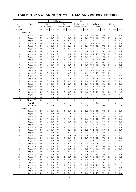# **TABLE 7: USA GRADING OF WHITE MAIZE (2001/2002) (continue)**

|                         |                        |            | Damaged kernels |            |            |               |            |            | $\frac{0}{0}$    |            |              |               |              |            |               |            |
|-------------------------|------------------------|------------|-----------------|------------|------------|---------------|------------|------------|------------------|------------|--------------|---------------|--------------|------------|---------------|------------|
| Number                  | Region                 |            | $\frac{0}{0}$   |            |            | $\frac{0}{0}$ |            |            | Broken corn and  |            |              | Bushel weight |              |            | Other colour  |            |
| of                      |                        |            | Heat damaged    |            |            | Total damaged |            |            | foreign material |            |              | kg/hl         |              |            | $\frac{0}{0}$ |            |
| samples                 |                        | ave.       | min.            | max.       | ave.       | min.          | max.       | ave.       | min.             | max.       | ave.         | min.          | max.         | ave.       | min           | max.       |
|                         | <b>GRADE: US3</b>      |            |                 |            |            |               |            |            |                  |            |              |               |              |            |               |            |
| $\overline{\mathbf{c}}$ | Region 11              | 0.0        | 0.0             | 0.0        | 6.3        | 5.8           | 6.7        | 0.2        | 0.1              | 0.4        | 78.3         | 77.5          | 79.0         | 0.3        | 0.0           | 0.6        |
| $\sqrt{2}$              | Region 13              | 0.0        | 0.0             | 0.0        | 5.7        | 5.4           | 6.0        | 0.4        | 0.2              | 0.5        | 77.5         | 77.4          | 77.6         | 0.7        | 0.2           | 1.1        |
| 1                       | Region 14              | 0.0        | 0.0             | 0.0        | 6.5        | 6.5           | 6.5        | 0.1        | 0.1              | 0.1        | 77.1         | 77.1          | 77.1         | 0.3        | 0.3           | 0.3        |
| 3                       | Region 16              | 0.0        | 0.0             | 0.0        | 5.3        | 5.1           | 5.6        | 0.1        | 0.0              | 0.2        | 76.9         | 76.6          | 77.5         | 0.3        | 0.2           | 0.6        |
| $\mathfrak{2}$          | Region 17              | 0.0        | 0.0             | 0.0        | 5.4        | 5.3           | 5.6        | 0.4        | 0.3              | 0.6        | 77.7         | 77.6          | 77.8         | 0.0        | 0.0           | 0.0        |
| 1                       | Region 18              | 0.0        | 0.0             | 0.0        | 5.1        | 5.1           | 5.1        | 0.1        | 0.1              | 0.1        | 76.5         | 76.5          | 76.5         | 0.1        | 0.1           | 0.1        |
| 1                       | Region 19              | 0.0        | 0.0             | 0.0        | 5.2        | 5.2           | 5.2        | 0.0        | 0.0              | 0.0        | 79.2         | 79.2          | 79.2         | 0.0        | 0.0           | 0.0        |
| 4                       | Region 20              | 0.0        | 0.0             | 0.0        | 6.1        | 5.6           | 6.5        | 0.2        | 0.1              | 0.3        | 76.9         | 75.0          | 77.8         | 0.1        | 0.0           | 0.4        |
| 8                       | Region 21              | 0.0        | 0.0             | 0.0        | 5.9        | 5.3           | 7.0        | 0.2        | 0.1              | 0.4        | 76.9         | 75.6          | 78.5         | 0.1        | 0.0           | 0.4        |
| 13                      | Region 22              | 0.0        | 0.0             | 0.0        | 6.1        | 5.1           | 7.0        | 0.4        | 0.1              | 1.3        | 77.7         | 75.0          | 79.6         | 0.1        | 0.0           | 0.3        |
| 12                      | Region 23              | 0.0        | 0.0             | 0.0        | 5.9        | 5.5           | 6.9        | 0.3        | 0.0              | 0.9        | 78.2         | 77.5          | 80.1         | 0.1        | 0.0           | 0.5        |
| 8                       | Region 24              | 0.0        | 0.0             | 0.0        | 5.9        | 5.2           | 6.7        | 0.4        | 0.1              | 1.0        | 77.5         | 75.9          | 78.3         | 0.0        | 0.0           | 0.2        |
| 9                       | Region 25              | 0.0        | 0.0             | 0.0        | 6.1        | 5.4           | 7.0        | 0.3        | 0.0              | 0.7        | 75.7         | 73.2          | 78.4         | 0.1        | 0.0           | 0.4        |
| 8                       | Region 26              | 0.0        | 0.0             | 0.0        | 6.3        | 5.6           | 6.9        | 0.5        | 0.1              | 1.2        | 76.9         | 74.0          | 79.7         | 0.4        | 0.0           | $1.1\,$    |
| $\mathfrak{2}$          | Region 27              | 0.0        | 0.0             | 0.0        | 6.1        | 5.6           | 6.7        | 0.6        | 0.4              | 0.9        | 75.6         | 75.3          | 75.9         | 0.7        | 0.4           | 1.1        |
| $\overline{\mathbf{c}}$ | Region 28              | 0.0<br>0.0 | 0.0<br>0.0      | 0.0<br>0.0 | 5.4<br>6.5 | 5.2<br>6.0    | 5.6<br>7.0 | 0.0<br>0.2 | 0.0<br>0.2       | 0.0<br>0.3 | 76.6<br>78.7 | 75.9<br>78.7  | 77.2<br>78.8 | 0.2<br>0.0 | 0.0<br>0.0    | 0.4<br>0.0 |
| 4<br>5                  | Region 29              | 0.0        | 0.0             | 0.0        | 5.6        | 5.2           | 6.2        | 0.2        | 0.1              | 0.3        | 77.1         | 75.4          | 78.4         | 0.1        | 0.0           | 0.2        |
| 5                       | Region 30<br>Region 31 | 0.0        | 0.0             | 0.0        | 5.6        | 5.1           | 6.9        | 0.2        | 0.1              | 0.3        | 79.0         | 77.8          | 80.6         | 0.2        | 0.0           | 0.4        |
| 3                       | Region 32              | 0.0        | 0.0             | 0.0        | 5.7        | 5.3           | 6.3        | 0.2        | 0.0              | 0.4        | 78.4         | 78.0          | 78.9         | 0.2        | 0.0           | 0.5        |
| 6                       | Region 33              | 0.0        | 0.0             | 0.0        | 6.1        | 5.5           | 6.7        | 0.4        | 0.1              | 1.4        | 77.8         | 76.1          | 79.2         | 0.1        | 0.0           | 0.3        |
| 7                       | Region 34              | 0.0        | 0.0             | 0.0        | 6.0        | 5.2           | 6.7        | 0.5        | 0.1              | 1.2        | 76.5         | 70.3          | 78.4         | 0.5        | 0.0           | 1.5        |
| 4                       | Region 35              | 0.0        | 0.0             | 0.0        | 4.6        | 3.0           | 5.8        | 0.3        | 0.2              | 0.5        | 70.9         | 68.1          | 77.9         | 0.0        | 0.0           | 0.1        |
| 4                       | Region 36              | 0.0        | 0.0             | 0.0        | 5.6        | 5.2           | 6.1        | 0.2        | 0.1              | 0.3        | 75.5         | 73.1          | 77.5         | 0.1        | 0.0           | 0.4        |
| 116                     | Mean US3               | 0.0        |                 |            | 5.9        |               |            | 0.3        |                  |            | 77.1         |               |              | 0.2        |               |            |
|                         | Min US3                |            | 0.0             |            |            | 3.0           |            |            | 0.0              |            |              | 68.1          |              |            | 0.0           |            |
|                         | Max US3                |            |                 | 0.0        |            |               | 7.0        |            |                  | 1.4        |              |               | 80.6         |            |               | 1.5        |
|                         | <b>GRADE: US4</b>      |            |                 |            |            |               |            |            |                  |            |              |               |              |            |               |            |
| 1                       | Region 10              | 0.0        | 0.0             | 0.0        | 8.5        | 8.5           | 8.5        | 0.2        | 0.2              | 0.2        | 75.0         | 75.0          | 75.0         | 0.0        | 0.0           | $0.0\,$    |
| 1                       | Region 11              | 0.0        | 0.0             | 0.0        | 7.9        | 7.9           | 7.9        | 0.6        | 0.6              | 0.6        | 78.3         | 78.3          | 78.3         | 0.3        | 0.3           | 0.3        |
| 1                       | Region 13              | 0.0        | 0.0             | 0.0        | 7.5        | 7.5           | 7.5        | 0.2        | 0.2              | 0.2        | 75.4         | 75.4          | 75.4         | 0.8        | 0.8           | 0.8        |
| 1                       | Region 14              | 0.0        | 0.0             | 0.0        | 9.9        | 9.9           | 9.9        | 0.2        | 0.2              | 0.2        | 77.9         | 77.9          | 77.9         | 0.3        | 0.3           | 0.3        |
| 1                       | Region 16              | $0.0\,$    | $0.0\,$         | $0.0\,$    | 9.0        | $9.0\,$       | $9.0\,$    | 0.3        | 0.3              | 0.3        | 75.7         | 75.7          | 75.7         | 0.4        | 0.4           | 0.4        |
| $\overline{c}$          | Region 17              | 0.0        | 0.0             | 0.0        | 7.5        | 7.2           | 7.8        | 0.2        | 0.0              | 0.3        | 77.1         | 76.8          | 77.4         | 0.2        | 0.0           | 0.4        |
| 6                       | Region 18              | $0.0\,$    | $0.0\,$         | 0.0        | 8.2        | 7.1           | 9.1        | 0.3        | 0.1              | 0.7        | 77.3         | 76.3          | 77.9         | $0.2\,$    | $0.0\,$       | $0.3\,$    |
| $\overline{c}$          | Region 19              | 0.0        | 0.0             | 0.0        | 7.7        | 7.4           | 8.1        | 0.2        | 0.2              | 0.2        | 76.2         | 75.7          | 76.7         | 0.0        | $0.0\,$       | 0.0        |
| 6                       | Region 21              | 0.0        | 0.0             | 0.0        | 7.7        | 7.2           | $8.8\,$    | 0.4        | 0.1              | 0.7        | 77.1         | 76.6          | 77.8         | 0.1        | 0.0           | 0.3        |
| 5                       | Region 22              | 0.0        | 0.0             | 0.0        | 8.6        | 7.3           | 9.6        | 0.4        | 0.2              | 0.9        | 77.6         | 76.8          | 78.8         | 0.1        | $0.0\,$       | 0.2        |
| $\mathbf{1}$            | Region 23              | 0.0        | 0.0             | 0.0        | 8.5        | 8.5           | 8.5        | 0.7        | 0.7              | 0.7        | 77.5         | 77.5          | 77.5         | 0.0        | $0.0\,$       | $\rm 0.0$  |
| 3                       | Region 24              | 0.0        | 0.0             | 0.0        | 8.9        | 8.3           | 9.7        | 0.8        | 0.2              | 2.1        | 76.4         | 75.0          | 77.5         | 0.1        | $0.0\,$       | 0.3        |
| 3                       | Region 25              | 0.0        | 0.0             | 0.0        | 9.1        | 7.9           | 9.8        | 0.3        | 0.1              | 0.4        | 74.2         | 71.4          | 77.1         | 0.4        | $0.0\,$       | 1.1        |
| $\overline{c}$          | Region 26              | 0.0        | 0.0             | 0.0        | 8.3        | 7.8           | 8.8        | 0.9        | 0.3              | 1.4        | 77.0         | 75.9          | 78.0         | 0.4        | 0.1           | $0.8\,$    |
| $\overline{c}$          | Region 27              | 0.0        | 0.0             | 0.0        | 8.1        | 7.3           | 8.9        | 0.1        | 0.0              | $0.2\,$    | 76.8         | 75.9          | 77.6         | 0.2        | $0.0\,$       | 0.4        |
| 5                       | Region 28              | 0.0        | 0.0             | 0.0        | 7.6        | 7.2<br>7.3    | 8.3<br>9.9 | 0.3        | 0.0              | 0.9        | 76.1         | 74.5          | 77.2         | 0.7        | 0.2           | 2.1        |
| $\,$ $\,$               | Region 29              | 0.0        | 0.0             | 0.0        | 8.5        | 7.1           | 9.7        | 0.3        | 0.1              | 0.6        | 78.5         | 77.9          | 79.0         | 0.1        | $0.0\,$       | 0.3        |
| 11<br>$\sqrt{2}$        | Region 30<br>Region 31 | 0.0<br>0.0 | 0.0<br>0.0      | 0.0<br>0.0 | 8.2<br>8.6 | 7.5           | 9.8        | 0.2<br>0.1 | 0.0<br>0.1       | 1.0<br>0.2 | 78.0<br>78.4 | 75.7<br>77.9  | 79.4<br>78.8 | 0.5<br>0.3 | 0.0<br>0.1    | 1.2<br>0.5 |
| 3                       | Region 32              | $0.0\,$    | 0.0             | 0.0        | 9.1        | 8.7           | 9.4        | 0.3        | 0.0              | 0.4        | 78.1         | 77.1          | 79.2         | 0.8        | 0.0           | 1.4        |
| 4                       | Region 33              | 0.0        | 0.0             | 0.0        | 7.9        | 7.1           | 9.4        | 0.3        | 0.0              | 0.5        | 76.9         | 74.7          | 78.5         | 0.4        | 0.0           | 1.2        |
| 7                       | Region 34              | $0.0\,$    | 0.0             | 0.0        | 7.8        | 7.2           | 8.7        | 0.5        | 0.0              | 2.4        | 78.3         | 75.3          | 79.8         | 0.9        | 0.0           | 5.2        |
| 3                       | Region 35              | $0.0\,$    | 0.0             | 0.0        | 8.6        | 7.3           | 9.6        | 0.1        | 0.0              | 0.2        | 74.1         | 73.6          | 74.4         | 0.0        | 0.0           | 0.1        |
| 1                       | Region 36              | $0.0\,$    | 0.0             | 0.0        | 7.1        | 7.1           | 7.1        | 0.2        | $0.2\,$          | $0.2\,$    | 75.4         | 75.4          | 75.4         | 0.0        | 0.0           | $0.0\,$    |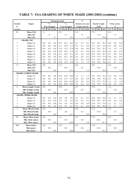# **TABLE 7: USA GRADING OF WHITE MAIZE (2001/2002) (continue)**

|                |                            |          | Damaged kernels  |                  |      |               |      | $\overline{\frac{0}{0}}$ |                  |      |      |                      |      |      |                  |      |
|----------------|----------------------------|----------|------------------|------------------|------|---------------|------|--------------------------|------------------|------|------|----------------------|------|------|------------------|------|
| Number         | Region                     |          | $\frac{0}{0}$    |                  |      | $\frac{0}{0}$ |      |                          | Broken corn and  |      |      | <b>Bushel</b> weight |      |      | Other colour     |      |
| of             |                            |          | Heat damaged     |                  |      | Total damaged |      |                          | foreign material |      |      | kg/hl                |      |      | $\frac{0}{0}$    |      |
| samples        |                            | ave.     | min.             | max.             | ave. | min.          | max. | ave.                     | min.             | max. | ave. | min.                 | max. | ave. | min              | max. |
| 81             | Mean US4                   | $\Omega$ |                  |                  | 8.2  |               |      | 0.3                      |                  |      | 77.2 |                      |      | 0.3  |                  |      |
|                | Min US4                    |          | $\boldsymbol{0}$ |                  |      | 7.1           |      |                          | $\boldsymbol{0}$ |      |      | 71.4                 |      |      | $\boldsymbol{0}$ |      |
|                | Max US4                    |          |                  | $\boldsymbol{0}$ |      |               | 9.9  |                          |                  | 2.4  |      |                      | 79.8 |      |                  | 5.2  |
|                | <b>GRADE: US5</b>          |          |                  |                  |      |               |      |                          |                  |      |      |                      |      |      |                  |      |
| $\mathbf{1}$   | Region 18                  | 0.0      | 0.0              | 0.0              | 10.1 | 10.1          | 10.1 | 0.1                      | 0.1              | 0.1  | 76.1 | 76.1                 | 76.1 | 0.0  | 0.0              | 0.0  |
| 3              | Region 21                  | 0.0      | 0.0              | 0.0              | 11.1 | 10.9          | 11.3 | 0.2                      | 0.1              | 0.4  | 77.1 | 76.3                 | 77.8 | 0.1  | 0.0              | 0.2  |
| 1              | Region 24                  | 0.0      | 0.0              | 0.0              | 11.8 | 11.8          | 11.8 | 0.6                      | 0.6              | 0.6  | 76.3 | 76.3                 | 76.3 | 1.4  | 1.4              | 1.4  |
| 2              | Region 27                  | 0.0      | 0.0              | 0.0              | 10.9 | 10.2          | 11.6 | 0.3                      | 0.1              | 0.6  | 76.2 | 75.6                 | 76.8 | 0.6  | 0.6              | 0.7  |
| $\overline{2}$ | Region 30                  | 0.0      | 0.0              | 0.0              | 11.2 | 10.3          | 12.1 | 0.3                      | 0.2              | 0.4  | 76.7 | 76.6                 | 76.7 | 0.2  | 0.0              | 0.4  |
| 1              | Region 31                  | 0.0      | 0.0              | 0.0              | 10.1 | 10.1          | 10.1 | 0.2                      | 0.2              | 0.2  | 77.9 | 77.9                 | 77.9 | 0.9  | 0.9              | 0.9  |
| $\overline{2}$ | Region 32                  | 0.0      | 0.0              | 0.0              | 11.2 | 11.2          | 11.2 | 0.3                      | 0.2              | 0.4  | 77.7 | 76.5                 | 78.9 | 0.7  | 0.5              | 0.9  |
| $\mathbf{1}$   | Region 33                  | 0.0      | 0.0              | 0.0              | 12.0 | 12.0          | 12.0 | 1.5                      | 1.5              | 1.5  | 74.4 | 74.4                 | 74.4 | 0.1  | 0.1              | 0.1  |
| 13             | Mean US5                   | 0.0      |                  |                  | 11.1 |               |      | 0.4                      |                  |      | 76.7 |                      |      | 0.4  |                  |      |
|                | Min US5                    |          | 0.0              |                  |      | 10.1          |      |                          | 0.1              |      |      | 74.4                 |      |      | 0.0              |      |
|                | Max US5                    |          |                  | 0.0              |      |               | 12.1 |                          |                  | 1.5  |      |                      | 78.9 |      |                  | 1.4  |
|                | <b>GRADE: SAMPLE GRADE</b> |          |                  |                  |      |               |      |                          |                  |      |      |                      |      |      |                  |      |
| $\overline{2}$ | Region 14                  | 0.0      | 0.0              | 0.0              | 23.9 | 19.8          | 28.0 | 1.3                      | 1.3              | 1.3  | 74.1 | 74.0                 | 74.1 | 2.6  | 0.0              | 5.3  |
| $\overline{2}$ | Region 19                  | 0.0      | 0.0              | 0.0              | 15.6 | 15.5          | 15.7 | 0.6                      | 0.2              | 0.9  | 76.2 | 73.0                 | 79.4 | 0.3  | 0.2              | 0.4  |
| $\mathbf{1}$   | Region 29                  | 0.0      | 0.0              | 0.0              | 16.6 | 16.6          | 16.6 | 0.2                      | 0.2              | 0.2  | 77.8 | 77.8                 | 77.8 | 1.6  | 1.6              | 1.6  |
| 1              | Region 32                  | 0.0      | 0.0              | 0.0              | 20.0 | 20.0          | 20.0 | 0.2                      | 0.2              | 0.2  | 75.0 | 75.0                 | 75.0 | 0.8  | 0.8              | 0.8  |
| 6              | Mean Sample Grade          | 0.0      |                  |                  | 19.3 |               |      | 0.7                      |                  |      | 75.6 |                      |      | 1.4  |                  |      |
|                | Min Sample Grade           |          | 0.0              |                  |      | 15.5          |      |                          | 0.2              |      |      | 73.0                 |      |      | 0.0              |      |
|                | <b>Max Sample Grade</b>    |          |                  | 0.0              |      |               | 28.0 |                          |                  | 1.3  |      |                      | 79.4 |      |                  | 5.3  |
|                | <b>GRADE: MIXED GRADE</b>  |          |                  |                  |      |               |      |                          |                  |      |      |                      |      |      |                  |      |
| $\mathbf{1}$   | Region 16                  | 0.0      | 0.0              | 0.0              | 4.0  | 4.0           | 4.0  | 0.1                      | 0.1              | 0.1  | 76.6 | 76.6                 | 76.6 | 2.1  | 2.1              | 2.1  |
| $\mathbf{1}$   | Region 19                  | 0.0      | 0.0              | 0.0              | 2.4  | 2.4           | 2.4  | 0.3                      | 0.3              | 0.3  | 78.5 | 78.5                 | 78.5 | 4.8  | 4.8              | 4.8  |
| 1              | Region 25                  | 0.0      | 0.0              | 0.0              | 4.4  | 4.4           | 4.4  | 0.9                      | 0.9              | 0.9  | 75.4 | 75.4                 | 75.4 | 2.1  | 2.1              | 2.1  |
| $\overline{c}$ | Region 34                  | 0.0      | 0.0              | 0.0              | 5.4  | 4.7           | 6.1  | 0.3                      | 0.1              | 0.4  | 78.5 | 78.1                 | 78.8 | 5.1  | 2.7              | 7.5  |
| 5              | <b>Mean Mixed Grade</b>    | 0.0      |                  |                  | 4.3  |               |      | 0.4                      |                  |      | 77.5 |                      |      | 3.8  |                  |      |
|                | Min Mixed Grade            |          | 0.0              |                  |      | 2.4           |      |                          | 0.1              |      |      | 75.4                 |      |      | 2.1              |      |
|                | <b>Max Mixed Grade</b>     |          |                  | 0.0              |      |               | 6.1  |                          |                  | 0.9  |      |                      | 78.8 |      |                  | 7.5  |
| 471            | Mean white maize           | 0.0      |                  |                  | 5.3  |               |      | 0.3                      |                  |      | 77.3 |                      |      | 0.3  |                  |      |
|                | Min white maize            |          | 0.0              |                  |      | 0.0           |      |                          | 0.0              |      |      | 68.1                 |      |      | 0.0              |      |
|                | Max white maize            |          |                  | 0.0              |      |               | 28.0 |                          |                  | 2.4  |      |                      | 81.1 |      |                  | 7.5  |
| 900            | Mean maize                 | 0.0      |                  |                  | 6.0  |               |      | 0.3                      |                  |      | 77.0 |                      |      | 0.3  |                  |      |
|                | Min maize                  |          | 0.0              |                  |      | 0.0           |      |                          | 0.0              |      |      | 63.3                 |      |      | 0.0              |      |
|                | Max maize                  |          |                  | 0.0              |      |               | 28.0 |                          |                  | 4.2  |      |                      | 81.1 |      |                  | 7.5  |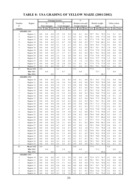# **TABLE 8: USA GRADING OF YELLOW MAIZE (2001/2002)**

|                         |                   |         | Damaged kernels |         |      |               |         | $\frac{0}{0}$ |                  |         |      |               |      |         |              |         |
|-------------------------|-------------------|---------|-----------------|---------|------|---------------|---------|---------------|------------------|---------|------|---------------|------|---------|--------------|---------|
| Number                  | Region            |         | $\frac{0}{0}$   |         |      | $\frac{0}{0}$ |         |               | Broken corn and  |         |      | Bushel weight |      |         | Other colour |         |
| of                      |                   |         | Heat damaged    |         |      | Total damaged |         |               | foreign material |         |      | kg/hl         |      |         | $\%$         |         |
| samples                 |                   | ave.    | min.            | max.    | ave. | min.          | max.    | ave.          | min.             | max.    | ave. | min.          | max. | ave.    | min.         | max.    |
|                         | <b>GRADE: US1</b> |         |                 |         |      |               |         |               |                  |         |      |               |      |         |              |         |
| $\overline{\mathbf{c}}$ | Region 11         | 0.0     | 0.0             | 0.0     | 2.9  | 2.9           | 2.9     | 0.4           | 0.1              | 0.6     | 78.7 | 78.1          | 79.3 | 0.1     | 0.1          | 0.1     |
| 5                       | Region 12         | 0.0     | 0.0             | 0.0     | 2.1  | 1.2           | 2.5     | 0.3           | 0.2              | 0.4     | 76.1 | 75.0          | 77.2 | 0.0     | 0.0          | $0.0\,$ |
| 3                       | Region 13         | 0.0     | 0.0             | 0.0     | 2.3  | 1.8           | 3.0     | 0.2           | 0.1              | 0.2     | 77.5 | 77.0          | 78.1 | 0.3     | 0.0          | $0.5\,$ |
| 9                       | Region 14         | 0.0     | 0.0             | 0.0     | 2.1  | 0.7           | 3.0     | 0.0           | 0.0              | 0.2     | 77.7 | 76.0          | 80.1 | 0.1     | 0.0          | 0.5     |
| 6                       | Region 15         | 0.0     | 0.0             | 0.0     | 2.1  | 1.4           | 2.7     | 0.2           | 0.1              | 0.4     | 76.8 | 76.5          | 77.2 | 0.1     | 0.0          | 0.3     |
| 5                       | Region 16         | 0.0     | 0.0             | 0.0     | 2.5  | 2.3           | 2.8     | 0.3           | 0.2              | 0.9     | 78.3 | 76.1          | 79.7 | 1.0     | 0.0          | 2.4     |
| $\mathbf{1}$            | Region 18         | 0.0     | 0.0             | 0.0     | 3.0  | 3.0           | 3.0     | 0.2           | 0.2              | 0.2     | 75.9 | 75.9          | 75.9 | 0.0     | 0.0          | 0.0     |
| 1                       | Region 20         | 0.0     | 0.0             | 0.0     | 2.7  | 2.7           | 2.7     | 0.2           | 0.2              | 0.2     | 78.3 | 78.3          | 78.3 | 0.0     | 0.0          | 0.0     |
| 7                       | Region 24         | 0.0     | 0.0             | 0.0     | 2.2  | 1.6           | 2.8     | 0.4           | 0.1              | 0.5     | 77.8 | 75.8          | 79.7 | 0.2     | 0.0          | 1.1     |
| 3                       | Region 25         | 0.0     | 0.0             | 0.0     | 2.8  | 2.5           | 2.9     | 0.2           | 0.0              | 0.4     | 75.6 | 72.7          | 77.0 | 1.3     | 0.0          | 3.9     |
| 1                       | Region 27         | 0.0     | 0.0             | 0.0     | 2.8  | 2.8           | 2.8     | 1.6           | 1.6              | 1.6     | 76.2 | 76.2          | 76.2 | 0.0     | 0.0          | $0.0\,$ |
| 1                       | Region 33         | 0.0     | 0.0             | 0.0     | 2.0  | 2.0           | 2.0     | 0.1           | 0.1              | 0.1     | 77.9 | 77.9          | 77.9 | 0.5     | 0.5          | 0.5     |
| 3                       | Region 35         | 0.0     | 0.0             | 0.0     | 0.9  | 0.7           | 1.1     | 0.1           | 0.0              | 0.2     | 78.5 | 78.1          | 78.8 | 0.1     | 0.0          | $0.2\,$ |
| 47                      | Mean US1          | 0.0     |                 |         | 2.2  |               |         | 0.2           |                  |         | 77.4 |               |      | 0.3     |              |         |
|                         | Min US1           |         | 0.0             |         |      | 0.7           |         |               | 0.0              |         |      | 72.7          |      |         | 0.0          |         |
|                         | Max US1           |         |                 | 0.0     |      |               | 3.0     |               |                  | 1.6     |      |               | 80.1 |         |              | 3.9     |
|                         | <b>GRADE: US2</b> |         |                 |         |      |               |         |               |                  |         |      |               |      |         |              |         |
| 5                       | Region 10         | 0.0     | 0.0             | 0.0     | 4.3  | 3.6           | 4.9     | 0.4           | 0.1              | 0.8     | 76.7 | 76.3          | 77.2 | 0.1     | 0.0          | $0.6\,$ |
| $\mathbf{1}$            | Region 11         | 0.0     | 0.0             | 0.0     | 3.6  | 3.6           | 3.6     | 0.8           | $\rm 0.8$        | 0.8     | 78.9 | 78.9          | 78.9 | 0.0     | 0.0          | $0.0\,$ |
| $\overline{\mathbf{c}}$ | Region 12         | 0.0     | 0.0             | 0.0     | 3.5  | 3.5           | 3.5     | 0.0           | 0.0              | 0.0     | 78.3 | 78.1          | 78.4 | 0.0     | 0.0          | $0.0\,$ |
| $\overline{\mathbf{c}}$ | Region 13         | 0.0     | 0.0             | 0.0     | 4.2  | 4.1           | 4.3     | 0.3           | 0.3              | 0.4     | 74.5 | 74.0          | 75.0 | 0.5     | 0.1          | $1.0\,$ |
| 3                       | Region 14         | 0.0     | 0.0             | 0.0     | 4.4  | 4.1           | 4.6     | 0.3           | 0.1              | 0.5     | 76.5 | 75.6          | 78.0 | 0.1     | 0.0          | 0.3     |
| $\boldsymbol{7}$        | Region 15         | 0.0     | 0.0             | 0.0     | 3.5  | 3.2           | 3.9     | 0.2           | $0.0\,$          | 0.3     | 76.4 | 74.8          | 77.8 | 0.3     | 0.0          | $1\,.0$ |
| 6                       | Region 16         | 0.0     | 0.0             | 0.0     | 4.0  | 3.3           | 4.9     | 0.4           | 0.0              | 1.0     | 77.8 | 76.6          | 78.9 | 1.4     | 0.1          | 2.5     |
| $\mathbf{2}$            | Region 17         | 0.0     | 0.0             | 0.0     | 4.4  | 4.2           | 4.6     | 0.3           | $0.2\,$          | 0.4     | 78.0 | 77.5          | 78.4 | 0.1     | 0.0          | 0.3     |
| $\mathbf{1}$            | Region 18         | 0.0     | 0.0             | 0.0     | 4.2  | 4.2           | 4.2     | 0.2           | 0.2              | 0.2     | 76.1 | 76.1          | 76.1 | 0.0     | 0.0          | $0.0\,$ |
| 3                       | Region 19         | 0.0     | 0.0             | 0.0     | 4.0  | 2.4           | 4.9     | 0.3           | 0.0              | 0.8     | 75.3 | 71.3          | 77.4 | 0.1     | 0.0          | 0.2     |
| 1                       | Region 20         | 0.0     | 0.0             | 0.0     | 3.6  | 3.6           | 3.6     | 0.3           | 0.3              | 0.3     | 77.2 | 77.2          | 77.2 | 0.5     | 0.5          | 0.5     |
| $\mathbf{1}$            | Region 21         | 0.0     | 0.0             | 0.0     | 4.7  | 4.7           | 4.7     | 1.0           | 1.0              | 1.0     | 75.8 | 75.8          | 75.8 | 1.0     | 1.0          | 1.0     |
| $\overline{4}$          | Region 22         | 0.0     | 0.0             | 0.0     | 4.6  | 3.9           | 5.0     | 0.5           | 0.2              | 0.8     | 78.3 | 77.4          | 79.0 | 0.7     | 0.0          | 2.9     |
| 6                       | Region 23         | 0.0     | 0.0             | 0.0     | 4.0  | 3.3           | 4.5     | 0.4           | 0.2              | 0.8     | 78.0 | 76.8          | 80.3 | 0.3     | 0.0          | 1.5     |
| 12                      | Region 24         | 0.0     | 0.0             | 0.0     | 4.2  | 3.1           | 5.0     | 0.3           | 0.1              | 1.5     | 78.2 | 75.7          | 80.6 | 0.5     | 0.0          | 2.9     |
| $\tau$                  | Region 25         | 0.0     | 0.0             | 0.0     | 4.3  | 3.8           | 5.0     | 0.8           | 0.1              | 1.7     | 75.7 | 73.5          | 77.2 | 0.2     | 0.0          | 0.6     |
| $\overline{\mathbf{c}}$ | Region 26         | $0.0\,$ | 0.0             | 0.0     | 3.9  | 3.1           | 4.6     | $0.1\,$       | $0.1\,$          | 0.2     | 80.0 | 79.6          | 80.3 | $0.4\,$ | 0.2          | 0.7     |
| $\boldsymbol{2}$        | Region 27         | $0.0\,$ | $0.0\,$         | $0.0\,$ | 4.7  | 4.7           | 4.8     | $0.7\,$       | $0.0\,$          | 1.3     | 78.3 | 78.0          | 78.5 | $0.6\,$ | $0.0\,$      | 1.3     |
| 5                       | Region 28         | $0.0\,$ | 0.0             | 0.0     | 4.2  | 3.6           | 4.7     | $0.5\,$       | $0.2\,$          | 1.0     | 77.2 | 74.1          | 78.4 | 1.0     | $0.0\,$      | 4.1     |
| 3                       | Region 29         | $0.0\,$ | 0.0             | 0.0     | 4.6  | 4.3           | 4.8     | $0.2\,$       | $0.2\,$          | 0.2     | 79.0 | 78.5          | 79.8 | $0.0\,$ | $0.0\,$      | $0.0\,$ |
| $\overline{\mathbf{c}}$ | Region 30         | 0.0     | 0.0             | 0.0     | 4.1  | 3.3           | 4.9     | $0.2\,$       | $0.1\,$          | 0.2     | 78.0 | 76.2          | 79.8 | 0.3     | 0.3          | $0.4\,$ |
| $\boldsymbol{2}$        | Region 31         | $0.0\,$ | 0.0             | 0.0     | 4.1  | 3.7           | 4.5     | $0.2\,$       | $0.1\,$          | 0.3     | 78.9 | 78.8          | 79.0 | 0.1     | $0.0\,$      | $0.1\,$ |
| $\mathbf{1}$            | Region 33         | 0.0     | 0.0             | 0.0     | 3.8  | 3.8           | 3.8     | $0.7\,$       | 0.7              | 0.7     | 78.1 | 78.1          | 78.1 | 0.5     | 0.5          | $0.5\,$ |
| $\mathbf{1}$            | Region 34         | 0.0     | 0.0             | 0.0     | 4.3  | 4.3           | 4.3     | $0.2\,$       | $0.2\,$          | 0.2     | 78.5 | 78.5          | 78.5 | 0.0     | 0.0          | $0.0\,$ |
| $\mathbf{1}$            | Region 36         | 0.0     | 0.0             | 0.0     | 4.5  | 4.5           | 4.5     | 0.9           | 0.9              | 0.9     | 76.3 | 76.3          | 76.3 | 0.1     | 0.1          | 0.1     |
| 82                      | Mean US2          | 0.0     |                 |         | 4.1  |               |         | 0.4           |                  |         | 77.4 |               |      | 0.4     |              |         |
|                         | Min US2           |         | $0.0\,$         |         |      | 2.4           |         |               | $0.0\,$          |         |      | 71.3          |      |         | $\rm 0.0$    |         |
|                         | Max US2           |         |                 | $0.0\,$ |      |               | 5.0     |               |                  | 1.7     |      |               | 80.6 |         |              | 4.1     |
|                         | <b>GRADE: US3</b> |         |                 |         |      |               |         |               |                  |         |      |               |      |         |              |         |
| 5                       | Region 10         | 0.0     | 0.0             | 0.0     | 4.5  | 2.2           | 5.8     | 0.2           | 0.0              | 0.5     | 72.9 | 67.5          | 76.7 | 0.1     | $0.0\,$      | $0.2\,$ |
| $\overline{c}$          | Region 11         | 0.0     | 0.0             | 0.0     | 5.3  | 5.3           | 5.4     | 0.3           | $0.2\,$          | 0.5     | 78.1 | 78.1          | 78.1 | $0.0\,$ | 0.0          | $0.0\,$ |
| $\mathfrak{Z}$          | Region 12         | 0.0     | 0.0             | 0.0     | 5.5  | 5.1           | 6.4     | $0.2\,$       | $0.0\,$          | 0.4     | 77.8 | 76.5          | 78.8 | 0.1     | 0.0          | $0.2\,$ |
| $\mathbf{1}$            | Region 13         | 0.0     | 0.0             | 0.0     | 6.6  | 6.6           | 6.6     | $0.0\,$       | $0.0\,$          | 0.0     | 76.7 | 76.7          | 76.7 | 0.3     | 0.3          | 0.3     |
| $\,$ $\,$               | Region 14         | 0.0     | 0.0             | 0.0     | 5.5  | 5.2           | 5.8     | 0.1           | $0.0\,$          | 0.2     | 76.9 | 75.6          | 77.5 | 0.3     | 0.0          | $1.2\,$ |
| 3                       | Region 15         | 0.0     | 0.0             | 0.0     | 6.7  | 6.4           | $7.0\,$ | 0.2           | 0.1              | 0.3     | 76.6 | 75.6          | 77.5 | 0.1     | $0.0\,$      | $0.3\,$ |
| 6                       | Region 16         | $0.0\,$ | 0.0             | 0.0     | 6.3  | 5.8           | $7.0\,$ | 0.5           | 0.1              | $1.8\,$ | 77.3 | 76.1          | 79.4 | 0.2     | 0.0          | $0.6\,$ |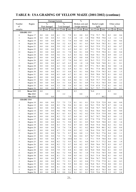# **TABLE 8: USA GRADING OF YELLOW MAIZE (2001/2002) (continue)**

|                          |                        |                | Damaged kernels |                |                |               |            |            | $\overline{\frac{0}{0}}$ |                |              |               |              |                |                |                |
|--------------------------|------------------------|----------------|-----------------|----------------|----------------|---------------|------------|------------|--------------------------|----------------|--------------|---------------|--------------|----------------|----------------|----------------|
| Number                   | Region                 |                | $\frac{0}{0}$   |                |                | $\frac{0}{0}$ |            |            | Broken corn and          |                |              | Bushel weight |              |                | Other colour   |                |
| of                       |                        |                | Heat damaged    |                |                | Total damaged |            |            | foreign material         |                |              | kg/hl         |              |                | $\frac{0}{0}$  |                |
| samples                  |                        | ave.           | min.            | max.           | ave.           | min.          | max.       | ave.       | min.                     | max.           | ave.         | min.          | max.         | ave.           | min.           | max.           |
|                          | <b>GRADE: US3</b>      |                |                 |                |                |               |            |            |                          |                |              |               |              |                |                |                |
| 6                        | Region 17              | 0.0            | 0.0             | 0.0            | 6.1            | 5.1           | 7.0        | 0.1        | 0.0                      | 0.2            | 77.0         | 75.7          | 78.1         | 0.2            | 0.0            | 0.6            |
| $\mathbf{1}$             | Region 18              | 0.0            | 0.0             | 0.0            | 5.3            | 5.3           | 5.3        | 1.0        | 1.0                      | 1.0            | 79.0         | 79.0          | 79.0         | 1.4            | 1.4            | 1.4            |
| 6                        | Region 19              | 0.0            | 0.0             | 0.0            | 5.9            | 5.1           | 7.0        | 0.4        | 0.0                      | 0.8            | 75.7         | 71.6          | 77.2         | 0.1            | 0.0            | 0.6            |
| 4                        | Region 20              | 0.0            | 0.0             | 0.0            | 5.8            | 5.2           | 6.5        | 0.2        | 0.1                      | 0.3            | 76.9         | 74.4          | 78.5         | 0.1            | 0.0            | 0.3            |
| $\overline{c}$           | Region 21              | 0.0            | 0.0             | 0.0            | 5.9            | 5.2           | 6.7        | 0.4        | 0.3                      | 0.5            | 76.5         | 75.9          | 77.1         | 0.3            | 0.0            | 0.7            |
| 5                        | Region 22              | 0.0            | 0.0             | 0.0            | 5.5            | 5.1           | 6.2        | 0.4        | 0.1                      | 0.7            | 76.5         | 75.4          | 77.6         | 0.3            | 0.0            | 1.5            |
| 12                       | Region 23              | 0.0            | 0.0             | 0.0            | 6.0            | 5.1           | 7.0        | 0.4        | 0.1                      | 0.8            | 77.1         | 75.9          | 79.4         | 0.1            | 0.0            | 0.4            |
| 3                        | Region 24              | $0.0\,$        | 0.0             | 0.0            | 5.6            | 5.1           | 6.3        | 0.3        | 0.2                      | 0.4            | 76.0         | 74.1          | 78.1         | 0.9            | 0.0            | 2.3            |
| 6                        | Region 25              | 0.0            | 0.0             | 0.0            | 6.4            | 5.6           | 6.9        | 0.3        | 0.0                      | 0.8            | 75.0         | 72.2          | 77.2         | 0.1            | 0.0            | 0.3            |
| $\mathfrak{Z}$           | Region 26              | $0.0\,$        | 0.0             | 0.0            | 6.5            | 5.7           | 7.0        | 0.4        | 0.3                      | 0.5            | 76.5         | 75.2          | 77.5         | 0.1            | 0.0            | 0.3            |
| $\mathbf{1}$             | Region 27              | 0.0            | 0.0             | 0.0            | 6.5            | 6.5           | 6.5        | 1.0        | 1.0                      | 1.0            | 74.8         | 74.8          | 74.8         | 0.1            | 0.1            | 0.1            |
| 10                       | Region 28              | 0.0            | 0.0             | 0.0            | 6.2            | 5.2           | 6.8        | 0.3        | 0.0                      | 0.7            | 77.1         | 76.3          | 80.1         | 0.6            | 0.0            | 1.6            |
| $\overline{4}$           | Region 29              | 0.0            | 0.0             | 0.0            | 6.0            | 5.2           | 6.9        | 0.2        | 0.1                      | 0.4            | 79.1         | 77.4          | 80.2         | 0.0            | 0.0            | 0.0            |
| 7                        | Region 30              | 0.0            | 0.0             | 0.0            | 6.1            | 5.3           | 6.8        | 0.3        | 0.1                      | 0.6            | 78.6         | 77.9          | 79.3         | 0.3            | 0.0            | 1.5            |
| $\sqrt{2}$               | Region 31              | 0.0            | 0.0             | 0.0            | 6.3            | 6.0           | 6.7        | 0.1        | 0.1                      | 0.1            | 78.9         | 78.0          | 79.7         | 0.1            | 0.0            | 0.2            |
| 4                        | Region 32              | 0.0            | 0.0             | 0.0            | 6.6            | 6.5           | 6.8        | 0.2        | 0.1                      | 0.2            | 77.9         | 77.2          | 78.5         | 0.1            | 0.0            | 0.3            |
| 4                        | Region 33              | 0.0            | 0.0             | 0.0            | 6.1            | 5.6           | 6.6        | 0.6        | 0.1                      | 1.8            | 76.9         | 75.7          | 77.9         | 0.6            | 0.0            | 2.5            |
| 7                        | Region 34              | 0.0            | 0.0             | 0.0            | 5.9            | 5.1           | 6.8        | 0.5        | 0.1                      | 0.9            | 77.4         | 75.3          | 78.5         | 0.9            | 0.0            | 2.2            |
| 3                        | Region 35              | 0.0            | 0.0             | 0.0            | 5.3            | 5.0           | 5.6        | 0.5        | 0.1                      | 0.9            | 73.9         | 67.8          | 77.4<br>77.2 | 0.1            | 0.0            | 0.2            |
| 5                        | Region 36              | 0.0            | 0.0             | 0.0            | 5.7<br>5.9     | 5.3           | 6.5        | 0.4        | 0.2                      | 0.6            | 76.7         | 75.7          |              | 0.1            | 0.0            | 0.3            |
| 123                      | Mean US3<br>Min US3    | 0.0            | 0.0             |                |                | 2.2           |            | 0.3        | 0.0                      |                | 76.8         | 67.5          |              | 0.3            | 0.0            |                |
|                          | Max US3                |                |                 | 0.0            |                |               | 7.0        |            |                          | 1.8            |              |               | 80.2         |                |                | 2.5            |
|                          | <b>GRADE: US4</b>      |                |                 |                |                |               |            |            |                          |                |              |               |              |                |                |                |
| $\mathbf{1}$             | Region 10              | 0.0            | 0.0             | 0.0            | 7.5            | 7.5           | 7.5        | 0.1        | 0.1                      | 0.1            | 72.9         | 72.9          | 72.9         | 0.0            | 0.0            | 0.0            |
| 4                        | Region 12              | 0.0            | 0.0             | 0.0            | 8.2            | 7.6           | 9.6        | 0.1        | 0.1                      | 0.2            | 76.3         | 75.9          | 76.7         | 0.7            | 0.0            | 1.6            |
| $\overline{c}$           | Region 13              | 0.0            | 0.0             | 0.0            | 8.6            | 7.9           | 9.3        | 0.3        | 0.3                      | 0.4            | 74.8         | 74.7          | 74.9         | 0.4            | 0.3            | 0.4            |
| $\mathbf{1}$             | Region 14              | 0.0            | 0.0             | 0.0            | 9.6            | 9.6           | 9.6        | 0.2        | 0.2                      | 0.2            | 76.6         | 76.6          | 76.6         | 0.0            | 0.0            | $0.0\,$        |
| $\mathbf{1}$             | Region 15              | 0.0            | 0.0             | 0.0            | 8.3            | 8.3           | 8.3        | 0.2        | 0.2                      | 0.2            | 75.9         | 75.9          | 75.9         | 0.0            | 0.0            | $0.0\,$        |
| 6                        | Region 16              | 0.0            | 0.0             | 0.0            | 8.2            | 7.2           | 9.7        | 0.4        | 0.1                      | 0.7            | 76.7         | 74.7          | 79.0         | 0.3            | $0.0\,$        | 1.2            |
| $\mathbf{1}$             | Region 17              | 0.0            | 0.0             | 0.0            | 8.0            | 8.0           | 8.0        | 0.3        | 0.3                      | 0.3            | 77.8         | 77.8          | 77.8         | 0.2            | 0.2            | 0.2            |
| 8                        | Region 18              | 0.0            | 0.0             | $0.0\,$        | 8.4            | 7.1           | 9.8        | 0.3        | 0.1                      | 0.5            | 76.9         | 74.9          | 78.0         | 0.5            | $0.0\,$        | 1.6            |
| $\overline{c}$           | Region 19              | $0.0\,$        | $0.0\,$         | 0.0            | 8.3            | 7.3           | 9.2        | 0.7        | 0.5                      | 0.9            | 76.0         | 75.4          | 76.6         | $0.2\,$        | $0.2\,$        | $0.2\,$        |
| $\overline{c}$           | Region 20              | $0.0\,$        | $0.0\,$         | $0.0\,$        | 7.4            | 7.4           | 7.4        | 0.1        | 0.1                      | 0.2            | 80.0         | 79.9          | 80.1         | 0.2            | $0.0\,$        | $0.4\,$        |
| 12                       | Region 21              | 0.0            | 0.0             | 0.0            | 8.7            | 7.1           | 9.9        | 0.5        | 0.2                      | 1.0            | 76.4         | 75.0          | 79.7         | 0.4            | 0.0            | 2.9            |
| 5                        | Region 22              | $0.0\,$        | $0.0\,$         | 0.0            | 7.8            | 7.1           | 8.7        | 0.4        | $0.0\,$                  | 1.1            | 76.9         | 76.2          | 77.6         | 0.4            | $0.0\,$        | 1.1            |
| $\overline{\mathcal{L}}$ | Region 23              | $0.0\,$        | 0.0             | 0.0            | 7.4            | 7.1           | 7.8        | 0.6        | 0.4                      | 0.7            | 76.7         | 75.8          | 77.4         | 0.3            | 0.2            | $0.4\,$        |
| 7                        | Region 24              | $0.0\,$        | $0.0\,$         | $0.0\,$        | 8.7            | 7.4           | 10.0       | 0.4        | 0.1                      | 1.3            | 77.1         | 75.9          | 78.8         | 0.4            | $0.0\,$        | 1.2            |
| 5                        | Region 25              | $0.0\,$        | 0.0             | 0.0            | 8.2            | 7.2           | 9.5        | 0.2        | 0.1                      | 0.4            | 74.9         | 71.7          | 77.2         | 0.4            | 0.0            | 1.9            |
| 6                        | Region 26              | $0.0\,$        | 0.0             | 0.0            | 8.2            | 7.2           | 9.7        | 0.4        | 0.2                      | 0.7            | 78.0         | 76.6          | 79.7         | 0.3            | 0.0            | 0.7            |
| $\overline{\mathcal{L}}$ | Region 27              | $0.0\,$        | $0.0\,$         | $0.0\,$        | 7.9            | 7.2           | 8.7        | 0.3        | 0.1                      | 0.5            | 76.7         | 76.3          | 77.2         | 0.5            | $0.0\,$        | 1.7            |
| $\overline{\mathcal{L}}$ | Region 28              | $0.0\,$        | $0.0\,$         | 0.0            | 7.9            | 7.5           | 8.8        | 0.1        | 0.0                      | 0.3            | 76.0         | 74.8          | 76.6         | 0.1            | $0.0\,$        | $0.3\,$        |
| 6                        | Region 29              | $0.0\,$        | $0.0\,$         | $0.0\,$        | 8.6            | 7.2           | 9.8        | 0.4        | 0.1                      | 1.0            | 77.0         | 75.6          | 78.5         | $0.0\,$        | $0.0\,$        | $0.0\,$        |
| 13                       | Region 30              | $0.0\,$        | 0.0             | 0.0            | 8.1            | 7.1           | 9.0        | 0.5        | 0.1                      | 2.3            | 76.5         | 71.4          | 78.4         | 0.1            | $0.0\,$        | 0.3            |
| 3                        | Region 31              | $0.0\,$        | 0.0             | 0.0            | 8.7            | 8.2           | 9.4        | 0.3        | 0.1                      | 0.6            | 78.6         | 76.7          | 79.9         | 1.6            | $0.0\,$        | 3.0            |
| $\sqrt{2}$               | Region 32              | $0.0\,$        | 0.0             | 0.0            | 8.2            | 7.3           | 9.1        | 0.3        | 0.2                      | 0.4            | 77.5         | 77.0          | 77.9         | 0.1            | $0.0\,$        | 0.3            |
| $\overline{\mathcal{A}}$ | Region 33              | $0.0\,$        | 0.0             | 0.0            | 8.6            | 7.8           | 9.5        | 0.4        | 0.2                      | 0.4            | 76.8         | 76.3          | 77.4         | 0.0            | $0.0\,$        | $0.1\,$        |
| 12                       | Region 34              | $0.0\,$        | $0.0\,$         | $0.0\,$        | 8.1            | 3.8           | 9.8        | 1.1        | 0.1                      | 4.2            | 77.0         | 74.9          | 79.0         | 0.5            | 0.0            | 2.1            |
| 5<br>$\overline{c}$      | Region 35<br>Region 36 | $0.0\,$<br>0.0 | $0.0\,$<br>0.0  | $0.0\,$<br>0.0 | $7.1\,$<br>9.2 | 5.8<br>8.8    | 8.2<br>9.6 | 0.4<br>0.1 | 0.3<br>0.1               | $0.5\,$<br>0.1 | 68.4<br>72.9 | 63.3<br>72.6  | 78.5<br>73.2 | $0.0\,$<br>1.5 | $0.0\,$<br>0.5 | $0.0\,$<br>2.4 |
|                          |                        |                |                 |                |                |               |            |            |                          |                |              |               |              |                |                |                |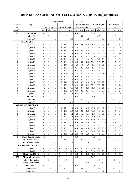# **TABLE 8: USA GRADING OF YELLOW MAIZE (2001/2002) (continue)**

|                |                           |      | Damaged kernels |         |      |               |      |      | $\frac{0}{0}$    |      |      |               |      |      |                  |           |
|----------------|---------------------------|------|-----------------|---------|------|---------------|------|------|------------------|------|------|---------------|------|------|------------------|-----------|
| Number         | Region                    |      | $\frac{0}{0}$   |         |      | $\frac{0}{0}$ |      |      | Broken corn and  |      |      | Bushel weight |      |      | Other colour     |           |
| of             |                           |      | Heat damaged    |         |      | Total damaged |      |      | foreign material |      |      | kg/hl         |      |      | $\frac{0}{0}$    |           |
| samples        |                           | ave. | min.            | max.    | ave. | min.          | max. | ave. | min.             | max. | ave. | min.          | max. | ave. | min              | max.      |
| 122            | Mean US4                  | 0.0  |                 |         | 8.2  |               |      | 0.4  |                  |      | 76.3 |               |      | 0.3  |                  |           |
|                | Min US4                   |      | 0.0             |         |      | 3.8           |      |      | 0.0              |      |      | 63.3          |      |      | 0.0              |           |
|                | Max US4                   |      |                 | 0.0     |      |               | 10.0 |      |                  | 4.2  |      |               | 80.1 |      |                  | 3.0       |
|                | <b>GRADE: US 5</b>        |      |                 |         |      |               |      |      |                  |      |      |               |      |      |                  |           |
| 1              | Region 14                 | 0.0  | 0.0             | 0.0     | 11.5 | 11.5          | 11.5 | 0.8  | 0.8              | 0.8  | 76.7 | 76.7          | 76.7 | 1.7  | 1.7              | 1.7       |
| 1              | Region 16                 | 0.0  | 0.0             | 0.0     | 14.3 | 14.3          | 14.3 | 1.2  | 1.2              | 1.2  | 73.6 | 73.6          | 73.6 | 0.0  | 0.0              | $0.0\,$   |
| 1              | Region 17                 | 0.0  | 0.0             | 0.0     | 11.3 | 11.3          | 11.3 | 0.4  | 0.4              | 0.4  | 75.7 | 75.7          | 75.7 | 0.0  | 0.0              | 0.0       |
| 3              | Region 18                 | 0.0  | 0.0             | 0.0     | 10.9 | 10.2          | 11.4 | 0.5  | 0.3              | 0.9  | 76.3 | 75.7          | 77.0 | 0.5  | 0.0              | 1.0       |
| 1              | Region 19                 | 0.0  | 0.0             | 0.0     | 14.7 | 14.7          | 14.7 | 0.2  | 0.2              | 0.2  | 77.6 | 77.6          | 77.6 | 0.2  | 0.2              | 0.2       |
| 1              | Region 20                 | 0.0  | 0.0             | 0.0     | 10.1 | 10.1          | 10.1 | 1.3  | 1.3              | 1.3  | 76.1 | 76.1          | 76.1 | 0.0  | 0.0              | 0.0       |
| 4              | Region 21                 | 0.0  | 0.0             | 0.0     | 11.5 | 10.2          | 12.8 | 0.4  | 0.2              | 0.8  | 75.1 | 74.3          | 75.6 | 0.3  | 0.2              | 0.4       |
| 1              | Region 22                 | 0.0  | 0.0             | 0.0     | 14.0 | 14.0          | 14.0 | 1.0  | 1.0              | 1.0  | 76.1 | 76.1          | 76.1 | 0.0  | 0.0              | 0.0       |
| $\overline{c}$ | Region 23                 | 0.0  | 0.0             | 0.0     | 11.2 | 10.5          | 11.9 | 0.5  | 0.3              | 0.8  | 76.1 | 74.8          | 77.4 | 0.4  | 0.0              | $0.8\,$   |
| 4              | Region 24                 | 0.0  | 0.0             | 0.0     | 11.9 | 10.4          | 13.0 | 0.6  | 0.1              | 1.3  | 75.2 | 74.1          | 77.1 | 0.2  | 0.0              | 0.5       |
| 3              | Region 25                 | 0.0  | 0.0             | 0.0     | 11.8 | 10.6          | 14.2 | 1.0  | 0.3              | 2.5  | 74.1 | 71.4          | 78.9 | 0.1  | 0.0              | 0.2       |
| 5              | Region 26                 | 0.0  | 0.0             | 0.0     | 12.2 | 10.7          | 13.6 | 0.5  | 0.2              | 0.8  | 76.2 | 75.7          | 77.2 | 0.0  | 0.0              | 0.0       |
| 3              | Region 27                 | 0.0  | 0.0             | 0.0     | 10.7 | 10.2          | 11.5 | 0.6  | 0.5              | 0.7  | 76.2 | 74.8          | 77.2 | 0.4  | 0.0              | $0.8\,$   |
| $\overline{c}$ | Region 29                 | 0.0  | 0.0             | 0.0     | 11.7 | 11.0          | 12.5 | 0.4  | 0.3              | 0.4  | 76.6 | 75.7          | 77.4 | 0.1  | 0.0              | 0.2       |
| $\overline{2}$ | Region 30                 | 0.0  | 0.0             | 0.0     | 13.8 | 13.0          | 14.7 | 0.6  | 0.2              | 0.9  | 77.1 | 77.0          | 77.2 | 0.8  | 0.0              | 1.6       |
| $\mathbf{1}$   | Region 31                 | 0.0  | 0.0             | 0.0     | 10.6 | 10.6          | 10.6 | 0.4  | 0.4              | 0.4  | 76.8 | 76.8          | 76.8 | 0.5  | 0.5              | 0.5       |
| 4              | Region 32                 | 0.0  | 0.0             | 0.0     | 11.9 | 10.2          | 13.9 | 0.3  | 0.2              | 0.5  | 77.3 | 75.7          | 78.4 | 0.7  | 0.0              | 2.1       |
| $\overline{2}$ | Region 35                 | 0.0  | 0.0             | 0.0     | 12.9 | 12.3          | 13.4 | 0.3  | 0.2              | 0.3  | 75.4 | 74.0          | 76.8 | 0.0  | 0.0              | 0.0       |
| 41             | Mean US5                  | 0.0  |                 |         | 11.9 |               |      | 0.6  |                  |      | 76.0 |               |      | 0.3  |                  |           |
|                | Min US5                   |      | 0.0             |         |      | 10.1          |      |      | 0.1              |      |      | 71.4          |      |      | 0.0              |           |
|                | Max US5                   |      |                 | 0.0     |      |               | 14.7 |      |                  | 2.5  |      |               | 78.9 |      |                  | 2.1       |
|                | <b>GRADE SAMPLE GRADE</b> |      |                 |         |      |               |      |      |                  |      |      |               |      |      |                  |           |
| 1              | Region 17                 | 0.0  | 0.0             | 0.0     | 17.9 | 17.9          | 17.9 | 0.5  | 0.5              | 0.5  | 67.6 | 67.6          | 67.6 | 0.0  | 0.0              | 0.0       |
| 1              | Region 21                 | 0.0  | 0.0             | 0.0     | 15.3 | 15.3          | 15.3 | 0.8  | 0.8              | 0.8  | 73.8 | 73.8          | 73.8 | 0.4  | 0.4              | 0.4       |
| 2              | Region 22                 | 0.0  | 0.0             | 0.0     | 15.8 | 15.4          | 16.2 | 1.4  | 1.3              | 1.6  | 75.8 | 75.7          | 75.8 | 0.1  | 0.0              | 0.1       |
| $\overline{c}$ | Region 24                 | 0.0  | 0.0             | 0.0     | 17.3 | 17.2          | 17.4 | 0.2  | 0.1              | 0.3  | 76.9 | 76.6          | 77.1 | 0.1  | 0.0              | 0.2       |
| 1              | Region 26                 | 0.0  | 0.0             | 0.0     | 22.6 | 22.6          | 22.6 | 0.2  | 0.2              | 0.2  | 69.9 | 69.9          | 69.9 | 0.2  | 0.2              | 0.2       |
| 1              | Region 27                 | 0.0  | $0.0\,$         | 0.0     | 15.1 | 15.1          | 15.1 | 0.6  | 0.6              | 0.6  | 74.0 | 74.0          | 74.0 | 0.3  | 0.3              | 0.3       |
| $\mathbf{1}$   | Region 28                 | 0.0  | 0.0             | 0.0     | 20.5 | 20.5          | 20.5 | 1.4  | 1.4              | 1.4  | 75.3 | 75.3          | 75.3 | 0.0  | 0.0              | 0.0       |
| $\mathbf{1}$   | Region 29                 | 0.0  | 0.0             | 0.0     | 15.2 | 15.2          | 15.2 | 0.4  | 0.4              | 0.4  | 75.8 | 75.8          | 75.8 | 0.8  | $\rm 0.8$        | $\rm 0.8$ |
| $\mathbf{1}$   | Region 33                 | 0.0  | 0.0             | 0.0     | 20.2 | 20.2          | 20.2 | 0.1  | 0.1              | 0.1  | 74.8 | 74.8          | 74.8 | 0.2  | 0.2              | 0.2       |
| $\mathbf{1}$   | Region 34                 | 0.0  | $0.0\,$         | 0.0     | 15.2 | 15.2          | 15.2 | 3.0  | 3.0              | 3.0  | 73.5 | 73.5          | 73.5 | 0.0  | 0.0              | $0.0\,$   |
| 12             | <b>Mean Sample Grade</b>  | 0.0  |                 |         | 17.3 |               |      | 0.9  |                  |      | 74.2 |               |      | 0.2  |                  |           |
|                | Min Sample Grade          |      | 0.0             |         |      | 15.1          |      |      | 0.1              |      |      | 67.6          |      |      | 0.0              |           |
|                | <b>Max Sample Grade</b>   |      |                 | $0.0\,$ |      |               | 22.6 |      |                  | 3.0  |      |               | 77.1 |      |                  | 0.8       |
|                | <b>GRADE: MIXED GRADE</b> |      |                 |         |      |               |      |      |                  |      |      |               |      |      |                  |           |
| 1              | Region 15                 | 0.0  | 0.0             | 0.0     | 1.7  | 1.7           | 1.7  | 0.2  | 0.2              | 0.2  | 76.6 | 76.6          | 76.6 | 6.3  | 6.3              | 6.3       |
| $\mathbf{1}$   | Region 20                 | 0.0  | 0.0             | 0.0     | 6.8  | 6.8           | 6.8  | 0.1  | 0.1              | 0.1  | 75.8 | 75.8          | 75.8 | 6.3  | 6.3              | 6.3       |
| $\mathbf{2}$   | Mean Mixed Grade          | 0.0  | 0.0             | $0.0\,$ | 4.3  | 1.7           | 6.8  | 0.2  | 0.1              | 0.2  | 76.2 | 75.8          | 76.6 | 6.3  | 6.3              | 6.3       |
| 429            | Mean yellow maize         | 0.0  |                 |         | 6.7  |               |      | 0.4  |                  |      | 76.7 |               |      | 0.4  |                  |           |
|                | Min yellow maize          |      | 0.0             |         |      | 0.7           |      |      | $\boldsymbol{0}$ |      |      | 63.3          |      |      | $\boldsymbol{0}$ |           |
|                | Max yellow maize          |      |                 | 0.0     |      |               | 22.6 |      |                  | 4.2  |      |               | 80.6 |      |                  | 6.3       |
| 900            | Mean maize                | 0.0  |                 |         | 6.0  |               |      | 0.3  |                  |      | 77.0 |               |      | 0.3  |                  |           |
|                | Min maize                 |      | $0.0\,$         |         |      | $0.0\,$       |      |      | $0.0\,$          |      |      | 63.3          |      |      | $0.0\,$          |           |
|                | Max maize                 |      |                 | $0.0\,$ |      |               | 28.0 |      |                  | 4.2  |      |               | 81.1 |      |                  | 7.5       |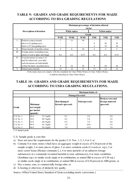## **TABLE 9: GRADES AND GRADE REQUIREMENTS FOR MAIZE ACCORDING TO RSA GRADING REGULATIONS**

|              |                                                                       |                          |                 | Maximum percentage of deviation allowed | (m/m)          |                     |            |
|--------------|-----------------------------------------------------------------------|--------------------------|-----------------|-----------------------------------------|----------------|---------------------|------------|
|              | Description of deviation                                              |                          | White maize     |                                         |                | <b>Yellow maize</b> |            |
|              |                                                                       |                          |                 | Grade                                   |                |                     |            |
|              |                                                                       | WM1                      | WM <sub>2</sub> | WM3                                     | YM1            | <b>YM2</b>          | <b>YM3</b> |
|              | Defective maize kernels                                               | 7                        | 13              | 30                                      |                |                     |            |
|              | above 6,35 grading sieve                                              | $\overline{\phantom{0}}$ |                 |                                         | 9              | 20                  | 30         |
|              | below 6,35 mm grading sieve                                           | $\overline{\phantom{a}}$ |                 |                                         | 4              | 10                  | 30         |
| $\mathbf{I}$ | Maize kernels of another colour                                       | 3                        | 6               | 10                                      | $\overline{c}$ | 5                   | 5.         |
| Ш            | Foreign matter (excluding stone,<br>pieces of coal or glass and dung) | 0,3                      | 0,5             | 0.75                                    | 0,3            | 0,5                 | 0.75       |
| IV           | Total deviations in terms I, II                                       |                          |                 |                                         |                |                     |            |
|              | and III collectively, provided                                        |                          |                 |                                         |                |                     |            |
|              | such deviations are individually                                      |                          |                 |                                         |                |                     |            |
|              | within the limits specified above                                     | 8                        | 16              | 30                                      | 9              | 20                  | 30         |
| V            | Pinked maize kernels                                                  | 12                       | 12              | 12                                      | 12             | 12                  | 12         |

If the maize does not comply with the standards for Class White M aize or Class Yellow M aize it shall be classified as Class Other M aize.

## **TABLE 10: GRADES AND GRADE REQUIREMENTS FOR MAIZE ACCORDING TO USDA GRADING REGULATIONS.**

|                   |                                                         |              |                                          | <b>Maximum limits of -</b> |                                                         |
|-------------------|---------------------------------------------------------|--------------|------------------------------------------|----------------------------|---------------------------------------------------------|
|                   |                                                         |              |                                          | Damaged kernels            |                                                         |
| Grade             | <b>Minimum</b><br>test weight<br>per bushel<br>(pounds) |              | <b>Heat damaged</b><br>Kernels (percent) | Total (percent)            | <b>Broken corn and</b><br>foreign material<br>(percent) |
| <b>U.S. No. 1</b> | 56.0                                                    | 72.1 kg/hl   | 0.1                                      | 3.0                        | 2.0                                                     |
| <b>U.S. No. 2</b> | 54.0                                                    | $69.5$ kg/hl | 0.2                                      | 5.0                        | 3.0                                                     |
| <b>U.S. No. 3</b> | 52.0                                                    | $66.9$ kg/hl | 0.5                                      | 7.0                        | 4.0                                                     |
| <b>U.S. No. 4</b> | 49.0                                                    | $63.1$ kg/hl | 1.0                                      | 10.0                       | 5.0                                                     |
| <b>U.S. No. 5</b> | 46.0                                                    | 59.2 kg/hl   | 3.0                                      | 15.0                       | 7.0                                                     |

U.S. Sample grade

U.S. Sample grade is corn that:

- a) Does not meet the requirements for the grades U.S. Nos. 1, 2, 3, 4 or 5; or
- more castor beans (Ricinus communis L.), 4 or more particles of an unknown foreign or similar seeds singly or in combination, or animal filth in excess of 0.20 percent in 1000 grams; or substance(s) or a commonly reconized harmful or toxic substance(s), 8 or more cockleburs (Xanthium ssp.) or similar seeds singly or in combination, or animal filth in excess of 0.20 ssp.) b) Contains 8 or more stones which have an aggregate weight in excess of 0.20 percent of the sample weight, 2 or more pieces of glass, 3 or more crotalaria seeds (*Crotalaria* ssp.), 2 or
- c) Has a musty, sour, or commercially foreign odor; or
- d) Is heating or otherwise of distinctly low quality.

Source: Offical United States Standard of Grain (excluding metric conversions.)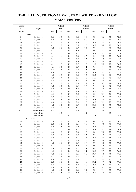# **MAIZE 2001/2002 TABLE 13: NUTRITIONAL VALUES OF WHITE AND YELLOW**

| Number      |               |         | $%$ (db)                                                                                       |         |         | $%$ (db)           |          |      | $%$ (db) |          |
|-------------|---------------|---------|------------------------------------------------------------------------------------------------|---------|---------|--------------------|----------|------|----------|----------|
| of          | Region        |         | $\operatorname*{Fat}% \nolimits_{\mathbb{Z}}\left( \mathbb{Z}^{\Sigma\left( 1\right) }\right)$ |         |         | Protein            |          |      | Starch   |          |
| samples     |               | ave.    | min.                                                                                           | max.    | ave.    | min.               | max.     | ave. | min.     | max.     |
|             | <b>WHITE</b>  |         |                                                                                                |         |         |                    |          |      |          |          |
| 2           | Region 10     | 3.6     | 3.5                                                                                            | 3.6     | 9.2     | 9.0                | 9.3      | 72.6 | 72.4     | 72.8     |
| 5           | Region 11     | $4.0\,$ | $3.8\,$                                                                                        | 4.3     | 9.4     | 9.0                | 9.7      | 75.3 | 73.5     | 76.6     |
| $1\,8$      | Region 12     | 4.1     | 3.5                                                                                            | 4.7     | 9.0     | $\boldsymbol{8.0}$ | 10.4     | 74.5 | 70.2     | 76.1     |
| 10          | Region 13     | 4.1     | $3.8\,$                                                                                        | 4.3     | 9.5     | 9.0                | 10.8     | 74.8 | 73.5     | 76.6     |
| 31          | Region 14     | 4.2     | 3.7                                                                                            | 4.5     | 8.9     | 7.6                | 9.7      | 75.4 | 73.4     | 78.0     |
| $2\sqrt{1}$ | Region 15     | 4.1     | 3.7                                                                                            | 4.4     | 8.9     | 8.2                | 9.9      | 74.7 | 73.3     | 76.6     |
| 26          | Region 16     | 4.1     | 3.5                                                                                            | 4.6     | 9.2     | $8.6\,$            | 10.4     | 75.1 | 73.5     | 77.4     |
| 11          | Region 17     | 4.1     | 3.4                                                                                            | 4.5     | $8.8\,$ | 8.3                | 9.4      | 75.2 | 73.6     | 76.4     |
| 16          | Region 18     | 4.1     | 3.2                                                                                            | 4.8     | 8.7     | 8.1                | 9.4      | 75.5 | 73.2     | 77.3     |
| 14          | Region 19     | 4.1     | 3.5                                                                                            | 4.9     | 8.9     | 7.6                | 10.0     | 75.0 | 73.3     | 77.3     |
| 12          | Region 20     | 4.1     | 3.5                                                                                            | 4.7     | 8.7     | $7.8\,$            | 11.0     | 75.2 | 73.4     | 76.7     |
| 25          | Region 21     | 4.1     | 3.6                                                                                            | 4.8     | 8.9     | 8.1                | 9.6      | 75.4 | 73.3     | 77.6     |
| 31          | Region 22     | 4.3     | 3.8                                                                                            | 4.8     | 9.2     | 8.1                | 9.9      | 76.2 | 74.5     | 78.2     |
| 33          | Region 23     | 4.3     | 3.7                                                                                            | 5.0     | 9.5     | 8.4                | 10.4     | 75.3 | 70.3     | 77.6     |
| $2\,7$      | Region 24     | 4.2     | 3.3                                                                                            | 4.9     | 9.0     | 7.3                | 10.2     | 75.5 | 69.0     | 77.5     |
| 24          | Region 25     | 4.0     | 3.4                                                                                            | 4.6     | 8.5     | 6.7                | 11.5     | 75.2 | 72.9     | 76.7     |
| 16          | Region 26     | 4.3     | 4.0                                                                                            | 4.8     | 8.7     | 7.3                | 9.6      | 75.8 | 74.7     | 77.6     |
| 12          | Region 27     | 4.2     | 3.8                                                                                            | 5.1     | 8.3     | 7.7                | 9.3      | 76.3 | 74.4     | 78.3     |
| $1\,8$      | Region 28     | 4.2     | 3.6                                                                                            | 4.5     | 8.5     | 7.4                | 9.4      | 75.3 | 72.1     | 77.3     |
| 16          | Region 29     | 4.4     | 3.6                                                                                            | 4.9     | 8.6     | 7.9                | 9.7      | 75.8 | 71.8     | 78.1     |
| $2\sqrt{2}$ | Region 30     | 4.2     | 3.7                                                                                            | 4.8     | 8.6     | 7.2                | $10.0\,$ | 75.7 | 71.6     | 77.7     |
| $\,8\,$     | Region 31     | 4.2     | 3.9                                                                                            | 4.7     | 8.5     | 7.8                | 9.2      | 76.1 | 74.9     | 77.4     |
| $1\,1$      | Region 32     | 4.4     | $4.0\,$                                                                                        | 4.7     | 9.1     | $8.6\,$            | 9.7      | 75.6 | 74.9     | 76.9     |
| 12          | Region 33     | 4.4     | $3.8\,$                                                                                        | 4.9     | 9.0     | 7.9                | 10.3     | 74.8 | 62.3     | 77.3     |
| $2\,7$      | Region 34     | 4.3     | 3.6                                                                                            | $5.0\,$ | 8.9     | $7.8\,$            | 10.6     | 75.5 | 72.8     | 77.7     |
| 15          | Region 35     | 4.2     | 3.7                                                                                            | 4.8     | 9.9     | 8.3                | 10.6     | 75.8 | 73.4     | $78.0\,$ |
| $\,$ 8 $\,$ | Region 36     | 3.7     | 3.4                                                                                            | 4.1     | $8.1\,$ | 7.7                | 9.0      | 73.4 | 71.9     | 75.6     |
| 471         | Mean white    | 4.2     |                                                                                                |         | 8.9     |                    |          | 75.4 |          |          |
|             | Min white     |         | 3.2                                                                                            |         |         | 6.7                |          |      | 62.3     |          |
|             | Max white     |         |                                                                                                | 5.1     |         |                    | 11.5     |      |          | 78.3     |
|             | <b>YELLOW</b> |         |                                                                                                |         |         |                    |          |      |          |          |
| $1\,1$      | Region 10     | 3.3     | $3.0\,$                                                                                        | 3.7     | $7.8\,$ | 7.2                | $8.8\,$  | 74.7 | 73.2     | 76.2     |
| 5           | Region 11     | 3.8     | 3.5                                                                                            | 4.1     | 9.1     | $8.8\,$            | 9.6      | 77.0 | 76.0     | 77.5     |
| 14          | Region 12     | 4.2     | $3.8\,$                                                                                        | 4.6     | 9.0     | 7.9                | 10.3     | 75.3 | 73.1     | 77.1     |
| $\,8\,$     | Region 13     | 4.2     | 3.5                                                                                            | 4.6     | 9.7     | $8.2\,$            | 10.8     | 74.5 | 73.0     | 76.3     |
| $2\sqrt{2}$ | Region 14     | 4.3     | 3.9                                                                                            | 4.7     | $8.8\,$ | $7.8\,$            | 9.8      | 75.8 | 73.6     | 77.4     |
| $1\,8$      | Region 15     | $4.0\,$ | 3.5                                                                                            | 4.6     | $8.8\,$ | $8\,.1$            | 9.6      | 75.8 | 74.8     | 77.1     |
| $24\,$      | Region 16     | $4.0\,$ | $3.0\,$                                                                                        | 4.8     | 9.1     | 8.3                | 10.6     | 75.4 | 73.1     | 78.2     |
| $1\,1$      | Region 17     | 4.2     | 3.7                                                                                            | $5.1\,$ | 8.9     | $7.8\,$            | $9.8\,$  | 75.4 | 74.0     | 77.2     |
| 14          | Region 18     | 4.2     | 3.9                                                                                            | 4.7     | 8.9     | 8.4                | 9.7      | 76.0 | 74.8     | 77.5     |
| 12          | Region 19     | 4.1     | 3.7                                                                                            | $5.0\,$ | 8.9     | $7.8\,$            | 9.9      | 75.8 | 73.1     | 77.4     |
| $1\,0$      | Region 20     | 3.9     | 3.3                                                                                            | 4.4     | 8.7     | $8\,.1$            | 9.9      | 74.8 | 73.3     | 76.7     |
| $20\,$      | Region 21     | 4.2     | 3.6                                                                                            | 4.6     | 9.0     | 7.1                | 10.0     | 75.7 | 73.3     | 76.9     |
| $17\,$      | Region 22     | 4.4     | 3.7                                                                                            | $5.1\,$ | 9.6     | 8.9                | 10.7     | 76.0 | 74.7     | 77.6     |
| 24          | Region 23     | 4.1     | 3.6                                                                                            | 4.6     | 9.3     | 8.7                | 9.8      | 76.2 | 74.3     | 77.8     |
| $3\,5$      | Region 24     | 4.3     | 3.2                                                                                            | 5.3     | 8.9     | 7.3                | 11.6     | 75.9 | 70.8     | 77.8     |
| 24          | Region 25     | 3.8     | 3.3                                                                                            | 4.6     | 8.1     | 6.8                | 10.2     | 75.7 | 72.9     | 77.6     |
| 17          | Region 26     | 4.3     | 3.9                                                                                            | 4.8     | $8.8\,$ | $\boldsymbol{8.0}$ | 10.1     | 75.6 | 73.5     | 76.6     |
| 12          | Region 27     | 4.3     | $3.8\,$                                                                                        | 4.8     | 8.7     | $7.6\,$            | $9.8\,$  | 76.2 | 74.7     | 77.9     |
| $20\,$      | Region 28     | 4.2     | 3.1                                                                                            | 4.8     | 8.6     | 7.2                | 9.3      | 75.4 | 73.0     | 77.6     |
| 16          | Region 29     | 4.5     | 3.5                                                                                            | $5.5\,$ | 8.9     | 7.6                | 10.6     | 75.9 | 74.8     | 77.4     |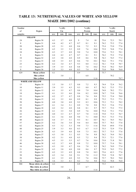# **TABLE 13: NUTRITIONAL VALUES OF WHITE AND YELLOW MAIZE 2001/2002 (continue)**

| Number      |                        | $%$ (db)   |            |            | $%$ (db)   |            |                 | $%$ (db)     |              |              |
|-------------|------------------------|------------|------------|------------|------------|------------|-----------------|--------------|--------------|--------------|
| of          | Region                 |            | Fat        |            |            | Protein    |                 |              | Starch       |              |
| samples     |                        | ave.       | min.       | max.       | ave.       | min.       | max.            | ave.         | min.         | max.         |
|             | <b>YELLOW</b>          |            |            |            |            |            |                 |              |              |              |
| 24          | Region 30              | 4.3        | 3.7        | 4.8        | 9          | 7.4        | $10\,$          | 75.6         | 72.3         | 78.1         |
| $\,$ 8 $\,$ | Region 31              | 4.4        | 4.2        | 4.7        | 8.7        | 8.1        | 9.1             | 76.2         | 75.2         | 77.4         |
| $20\,$      | Region 28              | 4.2        | 3.1        | 4.8        | 8.6        | 7.2        | 9.3             | 75.4         | 73.0         | 77.6         |
| 16          | Region 29              | 4.5        | 3.5        | 5.5        | 8.9        | 7.6        | 10.6            | 75.9         | 74.8         | 77.4         |
| 24          | Region 30              | 4.3        | 3.7        | 4.8        | 9.0        | 7.4        | $10.0\,$        | 75.6         | 72.3         | 78.1         |
| $\,$ 8 $\,$ | Region 31              | 4.4        | 4.2        | 4.7        | 8.7        | 8.1        | 9.1             | 76.2         | 75.2         | 77.4         |
| $10\,$      | Region 32              | 4.3        | 3.8        | 4.8        | 8.9        | 8.6        | 9.0             | 76.3         | 74.5         | 77.2         |
| 11          | Region 33              | 4.0        | 3.5        | 4.5        | 8.6        | 7.8        | 10.1            | 76.6         | 75.1         | 77.6         |
| 23          | Region 34              | 4.2        | 3.4        | 4.7        | 9.3        | $8.0\,$    | 11.2            | 76.1         | 73.8         | 78.7         |
| 11          | Region 35              | 3.9        | 3.5        | 4.4        | 8.8        | 7.6        | 10.2            | 75.4         | 70.2         | 76.9         |
| $\,$ $\,$   | Region 36              | 3.5        | 3.3        | 4.0        | 8.3        | 7.4        | $8.8\,$         | 73.8         | 70.8         | 76.0         |
| 429         | Mean yellow            | 4.1        |            |            | 8.9        |            |                 | 75.7         |              |              |
|             | Min yellow             |            | 3.0        |            |            | 6.8        |                 |              | 70.2         |              |
|             | Max yellow             |            |            | 5.5        |            |            | 11.6            |              |              | 78.7         |
|             | WHITE AND YELLOW       |            |            |            |            |            |                 |              |              |              |
| 13          | Region 10              | 3.3        | 3.0        | 3.7        | 8.0        | $7.2\,$    | 9.3             | 74.4         | 72.4         | 76.2         |
| $10\,$      | Region 11              | 3.9        | 3.5        | 4.3        | 9.3        | 8.8        | 9.7             | 76.2         | 73.5         | 77.5         |
| 32          | Region 12              | 4.1        | 3.5        | 4.7        | 9.0        | 7.9        | 10.4            | 74.8         | 70.2         | 77.1         |
| $1\,8$      | Region 13              | 4.1        | 3.5        | 4.6        | 9.6        | 8.2        | $10.8\,$        | 74.7         | 73.0         | 76.6         |
| 53          | Region 14              | 4.2        | 3.7        | 4.7        | $8.8\,$    | 7.6        | 9.8             | 75.5         | 73.4         | 78.0         |
| 39          | Region 15              | 4.1        | 3.5        | 4.6        | 8.9        | 8.1        | 9.9             | 75.2         | 73.3         | 77.1         |
| 50          | Region 16              | 4.0        | 3.0        | 4.8        | 9.2        | 8.3        | 10.6            | 75.3         | 73.1         | 78.2         |
| $22\,$      | Region 17              | 4.1        | 3.4        | 5.1        | 8.9        | 7.8        | 9.8             | 75.3         | 73.6         | 77.2         |
| $30\,$      | Region 18              | 4.2        | 3.2        | 4.8        | $8.8\,$    | $8.1\,$    | 9.7             | 75.7         | 73.2         | 77.5         |
| $26\,$      | Region 19              | 4.1        | 3.5        | 5.0        | 8.9        | 7.6        | 10.0            | 75.4         | 73.1         | 77.4         |
| $22\,$      | Region 20              | 4.0        | 3.3        | 4.7        | 8.7        | 7.8        | 11.0            | 75.0         | 73.3         | 76.7         |
| 45          | Region 21              | 4.1        | 3.6        | 4.8        | 9.0        | 7.1        | 10.0            | 75.5         | 73.3         | 77.6         |
| $48\,$      | Region 22              | 4.4        | 3.7        | 5.1        | 9.3        | 8.1        | 10.7            | 76.1         | 74.5         | 78.2         |
| 57          | Region 23              | 4.2        | 3.6        | 5.0        | 9.4        | 8.4        | 10.4            | 75.7         | 70.3         | 77.8         |
| 62          | Region 24              | 4.3        | 3.2        | 5.3        | 9.0        | 7.3        | 11.6            | 75.8         | 69.0         | 77.8         |
| 48          | Region 25              | 3.9        | 3.3        | 4.6        | 8.3        | 6.7        | 11.5            | 75.5         | 72.9         | 77.6         |
| 33          | Region 26              | 4.3        | 3.9        | 4.8        | $8.8\,$    | 7.3        | 10.1            | 75.7         | 73.5         | 77.6         |
| 24          | Region 27              | 4.3        | 3.8        | 5.1        | 8.5        | 7.6        | 9.8             | 76.2         | 74.4         | 78.3         |
| $3\,8$      | Region 28              | 4.2        | 3.1        | 4.8        | 8.5        | 7.2        | 9.4             | 75.3         | 72.1         | 77.6         |
| 32          | Region 29              | 4.5        | 3.5        | 5.5        | 8.7        | 7.6        | $10.6\,$        | 75.8         | 71.8         | 78.1         |
| 46          | Region 30              | 4.2        | 3.7        | 4.8        | $8.8\,$    | 7.2        | $10.0\,$        | 75.7         | 71.6         | 78.1         |
| 16          | Region 31              | 4.3        | 3.9        | 4.7        | 8.6        | $7.8\,$    | 9.2             | 76.2         | 74.9         | 77.4         |
| $21$<br>23  | Region 32<br>Region 33 | 4.3        | 3.8        | 4.8<br>4.9 | 9.0        | 8.6        | 9.7             | 75.9         | 74.5         | 77.2         |
| 50          | Region 34              | 4.2        | 3.5        |            | $8.8\,$    | 7.8        | 10.3            | 75.6         | 62.3         | 77.6         |
| $26\,$      |                        | 4.3        | 3.4        | 5.0<br>4.8 | 9.1        | 7.8<br>7.6 | 11.2            | 75.8         | 72.8<br>70.2 | 78.7         |
| 16          | Region 35<br>Region 36 | 4.1<br>3.6 | 3.5<br>3.3 | 4.1        | 9.5<br>8.2 | 7.4        | $10.6\,$<br>9.0 | 75.7<br>73.6 | 70.8         | 78.0<br>76.0 |
| 900         | Mean white & yellow    | 4.2        |            |            | 8.9        |            |                 | 75.5         |              |              |
|             | Min white & yellow     |            | $3.0\,$    |            |            | 6.7        |                 |              | 62.3         |              |
|             | Max white & yellow     |            |            | 5.5        |            |            | 11.6            |              |              | 78.7         |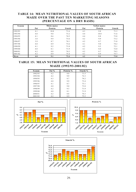## **TABLE 14: MEAN NUTRITIONAL VALUES OF SOUTH AFRICAN MAIZE OVER THE PAST TEN MARKETING SEASONS (PERCENTAGE ON A DRY BASIS)**

| Season  |     | White maize |               |     | <b>Yellow maize</b> |               |
|---------|-----|-------------|---------------|-----|---------------------|---------------|
|         | Fat | Protein     | <b>Starch</b> | Fat | Protein             | <b>Starch</b> |
| 1992/93 | 4.1 | 10.0        | 71.6          | 4.3 | 9.8                 | 71.3          |
| 1993/94 | 4.0 | 9.8         | 73.2          | 4.4 | 10.0                | 71.6          |
| 1994/95 | 4.1 | 8.6         | 74.5          | 4.4 | 8.8                 | 73.8          |
| 1995/96 | 3.8 | 9.9         | 73.6          | 4.2 | 9.9                 | 73.2          |
| 1996/97 | 3.9 | 8.7         | 74.1          | 4.2 | 8.7                 | 71.8          |
| 1997/98 | 4.0 | 8.9         | 73.6          | 4.1 | 9.0                 | 74.2          |
| 1998/99 | 4.1 | 9.2         | 71.8          | 4.2 | 9.5                 | 72.1          |
| 1999/00 | 4.0 | 8.1         | 71.9          | 4.1 | 8.0                 | 72.0          |
| 2000/01 | 4.2 | 8.8         | 74.2          | 4.2 | 8.7                 | 74.5          |
| 2001/02 | 4.2 | 8.9         | 75.4          | 4.1 | 8.9                 | 75.7          |
| Mean    | 4.0 | 9.1         | 73.4          | 4.2 | 9.1                 | 73.0          |

### **MAIZE (1992/93-2001/02) TABLE 15: MEAN NUTRITIONAL VALUES OF SOUTH AFRICAN**

| Season  | Fat % | Protein % | Starch % |
|---------|-------|-----------|----------|
| 1992/93 | 4.2   | 9.9       | 71.5     |
| 1993/94 | 4.2   | 9.9       | 72.3     |
| 1994/95 | 4.3   | 8.7       | 74.2     |
| 1995/96 | 4.0   | 9.9       | 73.4     |
| 1996/97 | 4.1   | 8.7       | 73.1     |
| 1997/98 | 4.0   | 9.0       | 73.8     |
| 1998/99 | 4.2   | 9.3       | 71.9     |
| 1999/00 | 4.0   | 8.1       | 71.9     |
| 2000/01 | 4.2   | 8.8       | 74.3     |
| 2001/02 | 4.2   | 8.9       | 75.5     |





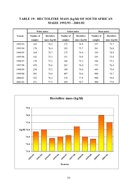## **TABLE 19: HECTOLITRE MASS (kg/hl) OF SOUTH AFRICAN MAIZE 1992/93 - 2001/02**

|               | White maize          |                                   |                      | <b>Yellow maize</b>                                            | Mean maize           |                                            |  |
|---------------|----------------------|-----------------------------------|----------------------|----------------------------------------------------------------|----------------------|--------------------------------------------|--|
| <b>Season</b> | Number of<br>samples | <b>Hectolitre</b><br>mass (kg/hl) | Number of<br>samples | <b>Hectolitre</b><br>$\text{mass} \left( \frac{kg}{h} \right)$ | Number of<br>samples | <b>Hectolitre</b><br>$\text{mass (kg/hl)}$ |  |
| 1992/93       | 165                  | 76.5                              | 172                  | 74.9                                                           | 337                  | 75.7                                       |  |
| 1993/94       | 178                  | 76.4                              | 183                  | 75.7                                                           | 361                  | 76.0                                       |  |
| 1994/95       | 164                  | 74.7                              | 175                  | 74.9                                                           | 339                  | 74.8                                       |  |
| 1995/96       | 142                  | 75.3                              | 151                  | 74.8                                                           | 293                  | 75.0                                       |  |
| 1996/97       | 178                  | 75.2                              | 166                  | 75.2                                                           | 344                  | 75.2                                       |  |
| 1997/98       | 470                  | 76.6                              | 267                  | 76.0                                                           | 737                  | 76.4                                       |  |
| 1998/99       | 256                  | 75.2                              | 189                  | 74.8                                                           | 445                  | 75.0                                       |  |
| 1999/00       | 493                  | 74.8                              | 407                  | 74.6                                                           | 900                  | 74.7                                       |  |
| 2000/01       | 522                  | 78.2                              | 378                  | 77.8                                                           | 900                  | 78.0                                       |  |
| 2001/02       | 471                  | 77.3                              | 429                  | 76.7                                                           | 900                  | 77.0                                       |  |

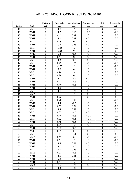|                 |                   | Aflatoxin        | Fumonisin         | Deoxynivalenol   | Zearalenone       | $T-2$            | Ochratoxin               |
|-----------------|-------------------|------------------|-------------------|------------------|-------------------|------------------|--------------------------|
| Region          | Grade             | ppb              | ppm               | ppm              | ppm               | ppm              | ppb                      |
| 10              | YM1               | $\boldsymbol{0}$ | 1.7               | 1.2              | < 0.1             | $\boldsymbol{0}$ | <2.0                     |
| 11              | WM1               | $\boldsymbol{0}$ | 1.2               | 0.65             | 0.3               | $\boldsymbol{0}$ | $\leq 2.0$               |
| 12              | WM1               | $\boldsymbol{0}$ | 0.62              | 0.91             | $\mathbf{0}$      | $\mathbf{0}$     | < 2.0                    |
| 12              | WM1               | $\boldsymbol{0}$ | 1.1               | 0.81             | < 0.1             | $\boldsymbol{0}$ | $2.0$                    |
| 12              | YM1               | $\boldsymbol{0}$ | 0.29              | $\boldsymbol{0}$ | < 0.1             | $\boldsymbol{0}$ | <2.0                     |
| 13              | WM1               | $\overline{0}$   | 0.3               | 0.76             | < 0.1             | $\boldsymbol{0}$ | $2.0$                    |
| $\overline{13}$ | YM1               | $\overline{0}$   | $\overline{0.25}$ | $\overline{1.2}$ | $\boldsymbol{0}$  | $\overline{0}$   | $2.0$                    |
| $\overline{14}$ | WM1               | $\overline{0}$   | $\overline{0.25}$ | $\overline{0}$   | $\overline{0}$    | $\overline{0}$   | $\overline{0}$           |
| 14              | WM <sub>2</sub>   | $\overline{0}$   | $\overline{2.4}$  | $\overline{5}$   | $\overline{<}0.1$ | $\overline{0}$   | < 2.0                    |
| 14              | WM1               | $\boldsymbol{0}$ | 0.57              | 0.6              | < 0.1             | $\boldsymbol{0}$ | $2.0$                    |
| 14              | YM1               | $\boldsymbol{0}$ | 1.3               | < 0.5            | < 0.1             | $\mathbf{0}$     | $2.0$                    |
| 14              | YM1               | $\boldsymbol{0}$ | 0.29              | 0.73             | < 0.1             | $\boldsymbol{0}$ | $2.0$                    |
| 15              | WM1               | $\overline{0}$   | < 0.25            | 1.3              | $\boldsymbol{0}$  | $\overline{0}$   | < 2.0                    |
| 15              | WM1               | $\boldsymbol{0}$ | 2.2               | $\boldsymbol{0}$ | < 0.1             | $\boldsymbol{0}$ | $\boldsymbol{0}$         |
| $\overline{15}$ | YM1               | $\overline{0}$   | 0.96              | 1.4              | $\boldsymbol{0}$  | $\overline{0}$   | $\overline{\langle 2.0}$ |
| $\overline{15}$ | YM1               | $\overline{0}$   | 0.36              | $\overline{0}$   | $\overline{0}$    | $\overline{0}$   | $2.0$                    |
| 16              | WM1               | $\overline{0}$   | 1.0               | $\overline{5}$   | $\overline{<}0.1$ | $\overline{0}$   | $2.0$                    |
| 16              | WM1               | $\boldsymbol{0}$ | 0.42              | < 0.5            | < 0.1             | $\boldsymbol{0}$ | $2.0$                    |
| 16              | WM1               | $\boldsymbol{0}$ | 0.40              | < 0.5            | $\boldsymbol{0}$  | $\boldsymbol{0}$ | $\leq 2.0$               |
| 16              | WM1               | $\boldsymbol{0}$ | 1.6               | 1.1              | $\boldsymbol{0}$  | $\mathbf{0}$     | $\boldsymbol{0}$         |
| 16              | YM1               | $\boldsymbol{0}$ | 1.1               | 0.74             | < 0.1             | $\mathbf{0}$     | $\boldsymbol{0}$         |
| 16              | YM <sub>2</sub>   | $\boldsymbol{0}$ | 2.7               | 0.70             | $\leq 0.1$        | $\boldsymbol{0}$ | $\boldsymbol{0}$         |
| 17              | WM1               | $\boldsymbol{0}$ | 0.46              | 1.1              | $\leq 0.1$        | $\boldsymbol{0}$ | $\overline{0}$           |
| 17              | YM1               | $\boldsymbol{0}$ | 0.48              | 0.89             | $\boldsymbol{0}$  | $\boldsymbol{0}$ | $2.0$                    |
| $\overline{18}$ | WM <sub>2</sub>   | $\overline{0}$   | 1.4               | < 0.5            | < 0.1             | $\boldsymbol{0}$ | $\boldsymbol{0}$         |
| 18              | WM1               | $\boldsymbol{0}$ | 0.72              | 0.78             | $\leq 0.1$        | $\boldsymbol{0}$ | $2.0$                    |
| $\overline{18}$ | YM <sub>2</sub>   | $\overline{0}$   | $\overline{1.8}$  | 0.57             | $\boldsymbol{0}$  | $\overline{0}$   | $\overline{\langle 2.0}$ |
| 18              | YM1               | $\boldsymbol{0}$ | 0.27              | < 0.5            | < 0.1             | $\boldsymbol{0}$ | <2.0                     |
| 19              | WM1               | $\boldsymbol{0}$ | 0.44              | < 0.5            | < 0.1             | $\boldsymbol{0}$ | $2.0$                    |
| 19              | YM1               | $\boldsymbol{0}$ | 0.93              | < 0.5            | $\leq 0.1$        | $\boldsymbol{0}$ | <2.0                     |
| 20              | WM1               | $\boldsymbol{0}$ | 0.45              | < 0.5            | $\leq 0.1$        | $\boldsymbol{0}$ | $2.0$                    |
| 20              | YM1               | $\mathbf{0}$     | 0.79              | 0.66             | $\leq 0.1$        | $\boldsymbol{0}$ | $\leq 2.0$               |
| 21              | WM1               | $\boldsymbol{0}$ | < 0.25            | < 0.5            | $\mathbf{0}$      | $\boldsymbol{0}$ | $\leq 2.0$               |
| 21              | $\overline{W}$ M2 | $\boldsymbol{0}$ | 0.39              | < 0.5            | $\leq 0.1$        | $\boldsymbol{0}$ | $\leq 2.0$               |
| 21              | YM1               | $\boldsymbol{0}$ | $\overline{0}$    | 0.61             | < 0.1             | $\boldsymbol{0}$ | $\mathbf{0}$             |
| 21              | YM <sub>2</sub>   | $\boldsymbol{0}$ | 0.52              | $\boldsymbol{0}$ | < 0.1             | $\boldsymbol{0}$ | $\leq 2.0$               |
| 22              | WM1               | $\boldsymbol{0}$ | 0.75              | 1.3              | $\mathbf{0}$      | $\boldsymbol{0}$ | $\leq 2.0$               |
| 22              | WM <sub>2</sub>   | $\boldsymbol{0}$ | 1.7               | 0.77             | < 0.1             | $\boldsymbol{0}$ | $\leq 2.0$               |
| 22              | WM <sub>2</sub>   | $\boldsymbol{0}$ | 1.0               | < 0.5            | $\overline{0}$    | $\boldsymbol{0}$ | $\leq 2.0$               |
| 22              | YM1               | $\boldsymbol{0}$ | 5.1               | 0.66             | < 0.1             | $\boldsymbol{0}$ | $\leq 2.0$               |
| 22              | YM <sub>2</sub>   | $\boldsymbol{0}$ | 0.71              | < 0.5            | $\boldsymbol{0}$  | $\boldsymbol{0}$ | $\leq 2.0$               |
| 23              | WM1               | $\boldsymbol{0}$ | 1.1               | 0.61             | $\boldsymbol{0}$  | $\boldsymbol{0}$ | $\leq 2.0$               |
| $\overline{23}$ | WM1               | $\boldsymbol{0}$ | $\overline{2.8}$  | 1.3              | $\boldsymbol{0}$  | $\boldsymbol{0}$ | $\leq 2.0$               |
| 23              | WM1               | $\overline{0}$   | 0.81              | 1.2              | $\overline{0}$    | $\overline{0}$   | $\leq 2.0$               |
| $\overline{23}$ | $\overline{Y}$ M2 | $\boldsymbol{0}$ | 5.0               | 0.74             | < 0.1             | $\boldsymbol{0}$ | <2.0                     |
| 23              | YM1               | $\overline{0}$   | 1.3               | 0.84             | $\overline{0}$    | $\overline{0}$   | $\overline{\langle 2.0}$ |

## **TABLE 23: MYCOTOXIN RESULTS 2001/2002**